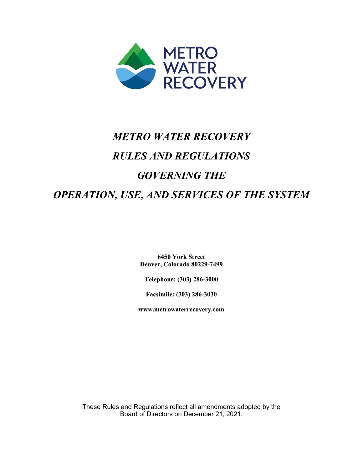

# *METRO WATER RECOVERY RULES AND REGULATIONS GOVERNING THE OPERATION, USE, AND SERVICES OF THE SYSTEM*

**6450 York Street Denver, Colorado 80229-7499**

**Telephone: (303) 286-3000**

**Facsimile: (303) 286-3030**

**www.metrowaterrecovery.com**

These Rules and Regulations reflect all amendments adopted by the Board of Directors on December 21, 2021.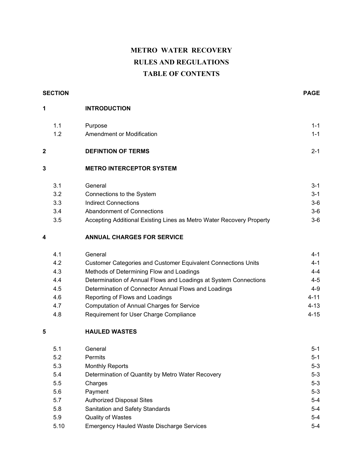# **METRO WATER RECOVERY RULES AND REGULATIONS TABLE OF CONTENTS**

| <b>SECTION</b> |                                                                      | <b>PAGE</b> |
|----------------|----------------------------------------------------------------------|-------------|
| 1              | <b>INTRODUCTION</b>                                                  |             |
| 1.1            | Purpose                                                              | $1 - 1$     |
| 1.2            | Amendment or Modification                                            | $1 - 1$     |
| 2              | <b>DEFINTION OF TERMS</b>                                            | $2 - 1$     |
| 3              | <b>METRO INTERCEPTOR SYSTEM</b>                                      |             |
| 3.1            | General                                                              | $3 - 1$     |
| 3.2            | Connections to the System                                            | $3 - 1$     |
| 3.3            | <b>Indirect Connections</b>                                          | $3-6$       |
| 3.4            | <b>Abandonment of Connections</b>                                    | $3-6$       |
| 3.5            | Accepting Additional Existing Lines as Metro Water Recovery Property | $3-6$       |
| 4              | <b>ANNUAL CHARGES FOR SERVICE</b>                                    |             |
| 4.1            | General                                                              | $4 - 1$     |
| 4.2            | <b>Customer Categories and Customer Equivalent Connections Units</b> | $4 - 1$     |
| 4.3            | Methods of Determining Flow and Loadings                             | $4 - 4$     |
| 4.4            | Determination of Annual Flows and Loadings at System Connections     | $4 - 5$     |
| 4.5            | Determination of Connector Annual Flows and Loadings                 | $4 - 9$     |
| 4.6            | Reporting of Flows and Loadings                                      | $4 - 11$    |
| 4.7            | <b>Computation of Annual Charges for Service</b>                     | $4 - 13$    |
| 4.8            | Requirement for User Charge Compliance                               | $4 - 15$    |
| 5              | <b>HAULED WASTES</b>                                                 |             |
| 5.1            | General                                                              | $5 - 1$     |
| 5.2            | Permits                                                              | $5 - 1$     |
| 5.3            | <b>Monthly Reports</b>                                               | $5 - 3$     |
| 5.4            | Determination of Quantity by Metro Water Recovery                    | $5-3$       |
| 5.5            | Charges                                                              | $5-3$       |
| 5.6            | Payment                                                              | $5-3$       |
| 5.7            | <b>Authorized Disposal Sites</b>                                     | $5-4$       |
| 5.8            | Sanitation and Safety Standards                                      | $5-4$       |

- 5.9 Quality of Wastes 5-4
- 5.10 Emergency Hauled Waste Discharge Services 6-4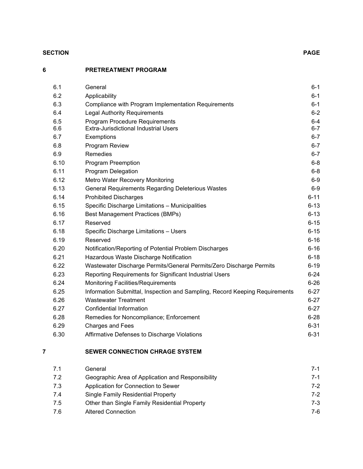#### **SECTION PAGE**

| r |
|---|
|   |

### **6 PRETREATMENT PROGRAM**

| 6.1  | General                                                                     | $6 - 1$  |
|------|-----------------------------------------------------------------------------|----------|
| 6.2  | Applicability                                                               | $6 - 1$  |
| 6.3  | <b>Compliance with Program Implementation Requirements</b>                  | $6 - 1$  |
| 6.4  | <b>Legal Authority Requirements</b>                                         | $6 - 2$  |
| 6.5  | <b>Program Procedure Requirements</b>                                       | $6 - 4$  |
| 6.6  | Extra-Jurisdictional Industrial Users                                       | $6 - 7$  |
| 6.7  | Exemptions                                                                  | $6 - 7$  |
| 6.8  | Program Review                                                              | $6 - 7$  |
| 6.9  | Remedies                                                                    | $6 - 7$  |
| 6.10 | <b>Program Preemption</b>                                                   | $6-8$    |
| 6.11 | <b>Program Delegation</b>                                                   | $6-8$    |
| 6.12 | Metro Water Recovery Monitoring                                             | $6-9$    |
| 6.13 | <b>General Requirements Regarding Deleterious Wastes</b>                    | $6-9$    |
| 6.14 | <b>Prohibited Discharges</b>                                                | $6 - 11$ |
| 6.15 | Specific Discharge Limitations - Municipalities                             | $6 - 13$ |
| 6.16 | Best Management Practices (BMPs)                                            | $6 - 13$ |
| 6.17 | Reserved                                                                    | $6 - 15$ |
| 6.18 | Specific Discharge Limitations - Users                                      | $6 - 15$ |
| 6.19 | Reserved                                                                    | $6 - 16$ |
| 6.20 | Notification/Reporting of Potential Problem Discharges                      | $6 - 16$ |
| 6.21 | Hazardous Waste Discharge Notification                                      | $6 - 18$ |
| 6.22 | Wastewater Discharge Permits/General Permits/Zero Discharge Permits         | $6 - 19$ |
| 6.23 | Reporting Requirements for Significant Industrial Users                     | $6 - 24$ |
| 6.24 | <b>Monitoring Facilities/Requirements</b>                                   | $6 - 26$ |
| 6.25 | Information Submittal, Inspection and Sampling, Record Keeping Requirements | $6 - 27$ |
| 6.26 | <b>Wastewater Treatment</b>                                                 | $6 - 27$ |
| 6.27 | Confidential Information                                                    | $6 - 27$ |
| 6.28 | Remedies for Noncompliance; Enforcement                                     | $6 - 28$ |
| 6.29 | <b>Charges and Fees</b>                                                     | $6 - 31$ |
| 6.30 | Affirmative Defenses to Discharge Violations                                | $6 - 31$ |
|      |                                                                             |          |

#### **7 SEWER CONNECTION CHRAGE SYSTEM**

| 7.1 | General                                           | 7-1     |
|-----|---------------------------------------------------|---------|
| 7.2 | Geographic Area of Application and Responsibility | $7-1$   |
| 7.3 | Application for Connection to Sewer               | 7-2     |
| 7.4 | <b>Single Family Residential Property</b>         | $7-2$   |
| 7.5 | Other than Single Family Residential Property     | $7 - 3$ |
| 7.6 | <b>Altered Connection</b>                         | 7-6     |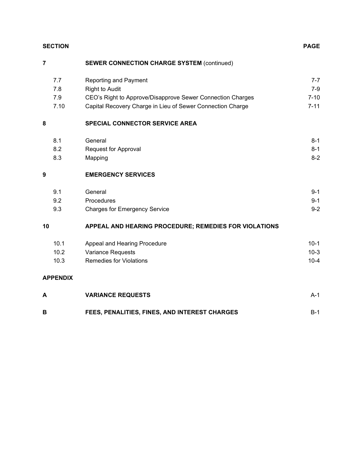| <b>SECTION</b> | <b>PAGE</b> |
|----------------|-------------|
|                |             |

# **7 SEWER CONNECTION CHARGE SYSTEM** (continued)

|    | 7.7             | <b>Reporting and Payment</b>                               | $7 - 7$  |
|----|-----------------|------------------------------------------------------------|----------|
|    | 7.8             | <b>Right to Audit</b>                                      | $7-9$    |
|    | 7.9             | CEO's Right to Approve/Disapprove Sewer Connection Charges | $7 - 10$ |
|    | 7.10            | Capital Recovery Charge in Lieu of Sewer Connection Charge | $7 - 11$ |
| 8  |                 | <b>SPECIAL CONNECTOR SERVICE AREA</b>                      |          |
|    | 8.1             | General                                                    | $8 - 1$  |
|    | 8.2             | Request for Approval                                       | $8 - 1$  |
|    | 8.3             | Mapping                                                    | $8 - 2$  |
| 9  |                 | <b>EMERGENCY SERVICES</b>                                  |          |
|    | 9.1             | General                                                    | $9 - 1$  |
|    | 9.2             | Procedures                                                 | $9 - 1$  |
|    | 9.3             | <b>Charges for Emergency Service</b>                       | $9 - 2$  |
| 10 |                 | APPEAL AND HEARING PROCEDURE; REMEDIES FOR VIOLATIONS      |          |
|    | 10.1            | Appeal and Hearing Procedure                               | $10-1$   |
|    | 10.2            | <b>Variance Requests</b>                                   | $10-3$   |
|    | 10.3            | <b>Remedies for Violations</b>                             | $10 - 4$ |
|    | <b>APPENDIX</b> |                                                            |          |
| А  |                 | <b>VARIANCE REQUESTS</b>                                   | $A-1$    |
|    |                 |                                                            |          |

**B FEES, PENALITIES, FINES, AND INTEREST CHARGES B-1**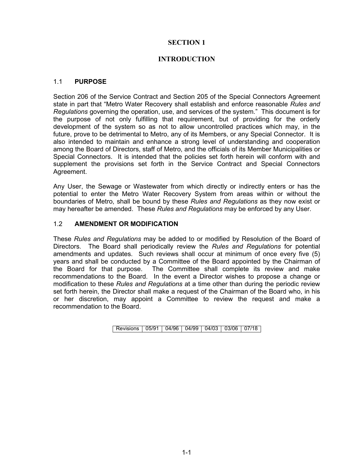#### **SECTION 1**

#### **INTRODUCTION**

#### 1.1 **PURPOSE**

Section 206 of the Service Contract and Section 205 of the Special Connectors Agreement state in part that "Metro Water Recovery shall establish and enforce reasonable *Rules and Regulations* governing the operation, use, and services of the system." This document is for the purpose of not only fulfilling that requirement, but of providing for the orderly development of the system so as not to allow uncontrolled practices which may, in the future, prove to be detrimental to Metro, any of its Members, or any Special Connector. It is also intended to maintain and enhance a strong level of understanding and cooperation among the Board of Directors, staff of Metro, and the officials of its Member Municipalities or Special Connectors. It is intended that the policies set forth herein will conform with and supplement the provisions set forth in the Service Contract and Special Connectors Agreement.

Any User, the Sewage or Wastewater from which directly or indirectly enters or has the potential to enter the Metro Water Recovery System from areas within or without the boundaries of Metro, shall be bound by these *Rules and Regulations* as they now exist or may hereafter be amended. These *Rules and Regulations* may be enforced by any User.

#### 1.2 **AMENDMENT OR MODIFICATION**

These *Rules and Regulations* may be added to or modified by Resolution of the Board of Directors. The Board shall periodically review the *Rules and Regulations* for potential amendments and updates. Such reviews shall occur at minimum of once every five (5) years and shall be conducted by a Committee of the Board appointed by the Chairman of the Board for that purpose. The Committee shall complete its review and make recommendations to the Board. In the event a Director wishes to propose a change or modification to these *Rules and Regulations* at a time other than during the periodic review set forth herein, the Director shall make a request of the Chairman of the Board who, in his or her discretion, may appoint a Committee to review the request and make a recommendation to the Board.

| Revisions   05/91   04/96   04/99   04/03   03/06   07/18 |  |  |  |
|-----------------------------------------------------------|--|--|--|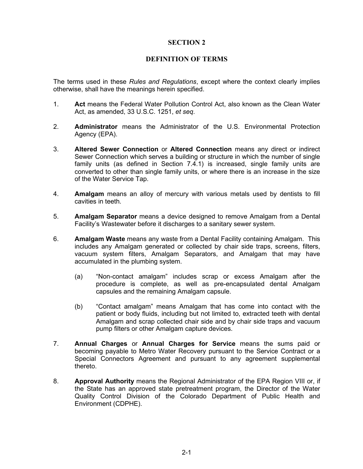#### **SECTION 2**

#### **DEFINITION OF TERMS**

The terms used in these *Rules and Regulations*, except where the context clearly implies otherwise, shall have the meanings herein specified.

- 1. **Act** means the Federal Water Pollution Control Act, also known as the Clean Water Act, as amended, 33 U.S.C. 1251, *et seq*.
- 2. **Administrator** means the Administrator of the U.S. Environmental Protection Agency (EPA).
- 3. **Altered Sewer Connection** or **Altered Connection** means any direct or indirect Sewer Connection which serves a building or structure in which the number of single family units (as defined in Section 7.4.1) is increased, single family units are converted to other than single family units, or where there is an increase in the size of the Water Service Tap.
- 4. **Amalgam** means an alloy of mercury with various metals used by dentists to fill cavities in teeth.
- 5. **Amalgam Separator** means a device designed to remove Amalgam from a Dental Facility's Wastewater before it discharges to a sanitary sewer system.
- 6. **Amalgam Waste** means any waste from a Dental Facility containing Amalgam. This includes any Amalgam generated or collected by chair side traps, screens, filters, vacuum system filters, Amalgam Separators, and Amalgam that may have accumulated in the plumbing system.
	- (a) "Non-contact amalgam" includes scrap or excess Amalgam after the procedure is complete, as well as pre-encapsulated dental Amalgam capsules and the remaining Amalgam capsule.
	- (b) "Contact amalgam" means Amalgam that has come into contact with the patient or body fluids, including but not limited to, extracted teeth with dental Amalgam and scrap collected chair side and by chair side traps and vacuum pump filters or other Amalgam capture devices.
- 7. **Annual Charges** or **Annual Charges for Service** means the sums paid or becoming payable to Metro Water Recovery pursuant to the Service Contract or a Special Connectors Agreement and pursuant to any agreement supplemental thereto.
- 8. **Approval Authority** means the Regional Administrator of the EPA Region VIII or, if the State has an approved state pretreatment program, the Director of the Water Quality Control Division of the Colorado Department of Public Health and Environment (CDPHE).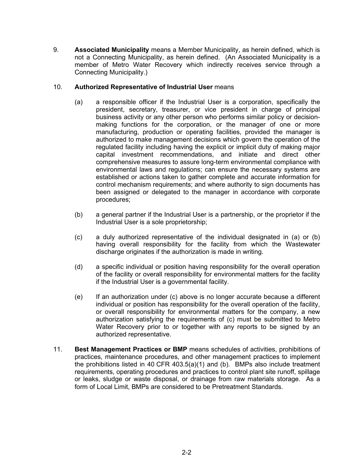9. **Associated Municipality** means a Member Municipality, as herein defined, which is not a Connecting Municipality, as herein defined. (An Associated Municipality is a member of Metro Water Recovery which indirectly receives service through a Connecting Municipality.)

#### 10. **Authorized Representative of Industrial User** means

- (a) a responsible officer if the Industrial User is a corporation, specifically the president, secretary, treasurer, or vice president in charge of principal business activity or any other person who performs similar policy or decisionmaking functions for the corporation, or the manager of one or more manufacturing, production or operating facilities, provided the manager is authorized to make management decisions which govern the operation of the regulated facility including having the explicit or implicit duty of making major capital investment recommendations, and initiate and direct other comprehensive measures to assure long-term environmental compliance with environmental laws and regulations; can ensure the necessary systems are established or actions taken to gather complete and accurate information for control mechanism requirements; and where authority to sign documents has been assigned or delegated to the manager in accordance with corporate procedures;
- (b) a general partner if the Industrial User is a partnership, or the proprietor if the Industrial User is a sole proprietorship;
- (c) a duly authorized representative of the individual designated in (a) or (b) having overall responsibility for the facility from which the Wastewater discharge originates if the authorization is made in writing.
- (d) a specific individual or position having responsibility for the overall operation of the facility or overall responsibility for environmental matters for the facility if the Industrial User is a governmental facility.
- (e) If an authorization under (c) above is no longer accurate because a different individual or position has responsibility for the overall operation of the facility, or overall responsibility for environmental matters for the company, a new authorization satisfying the requirements of (c) must be submitted to Metro Water Recovery prior to or together with any reports to be signed by an authorized representative.
- 11. **Best Management Practices or BMP** means schedules of activities, prohibitions of practices, maintenance procedures, and other management practices to implement the prohibitions listed in 40 CFR  $403.5(a)(1)$  and (b). BMPs also include treatment requirements, operating procedures and practices to control plant site runoff, spillage or leaks, sludge or waste disposal, or drainage from raw materials storage. As a form of Local Limit, BMPs are considered to be Pretreatment Standards.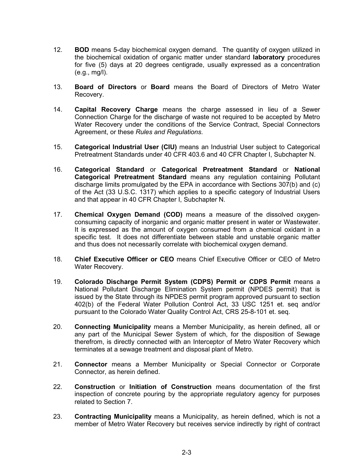- 12. **BOD** means 5-day biochemical oxygen demand. The quantity of oxygen utilized in the biochemical oxidation of organic matter under standard **laboratory** procedures for five (5) days at 20 degrees centigrade, usually expressed as a concentration (e.g., mg/l).
- 13. **Board of Directors** or **Board** means the Board of Directors of Metro Water Recovery.
- 14. **Capital Recovery Charge** means the charge assessed in lieu of a Sewer Connection Charge for the discharge of waste not required to be accepted by Metro Water Recovery under the conditions of the Service Contract, Special Connectors Agreement, or these *Rules and Regulations*.
- 15. **Categorical Industrial User (CIU)** means an Industrial User subject to Categorical Pretreatment Standards under 40 CFR 403.6 and 40 CFR Chapter I, Subchapter N.
- 16. **Categorical Standard** or **Categorical Pretreatment Standard** or **National Categorical Pretreatment Standard** means any regulation containing Pollutant discharge limits promulgated by the EPA in accordance with Sections 307(b) and (c) of the Act (33 U.S.C. 1317) which applies to a specific category of Industrial Users and that appear in 40 CFR Chapter I, Subchapter N.
- 17. **Chemical Oxygen Demand (COD)** means a measure of the dissolved oxygenconsuming capacity of inorganic and organic matter present in water or Wastewater. It is expressed as the amount of oxygen consumed from a chemical oxidant in a specific test. It does not differentiate between stable and unstable organic matter and thus does not necessarily correlate with biochemical oxygen demand.
- 18. **Chief Executive Officer or CEO** means Chief Executive Officer or CEO of Metro Water Recovery.
- 19. **Colorado Discharge Permit System (CDPS) Permit or CDPS Permit** means a National Pollutant Discharge Elimination System permit (NPDES permit) that is issued by the State through its NPDES permit program approved pursuant to section 402(b) of the Federal Water Pollution Control Act, 33 USC 1251 et. seq and/or pursuant to the Colorado Water Quality Control Act, CRS 25-8-101 et. seq.
- 20. **Connecting Municipality** means a Member Municipality, as herein defined, all or any part of the Municipal Sewer System of which, for the disposition of Sewage therefrom, is directly connected with an Interceptor of Metro Water Recovery which terminates at a sewage treatment and disposal plant of Metro.
- 21. **Connector** means a Member Municipality or Special Connector or Corporate Connector, as herein defined.
- 22. **Construction** or **Initiation of Construction** means documentation of the first inspection of concrete pouring by the appropriate regulatory agency for purposes related to Section 7.
- 23. **Contracting Municipality** means a Municipality, as herein defined, which is not a member of Metro Water Recovery but receives service indirectly by right of contract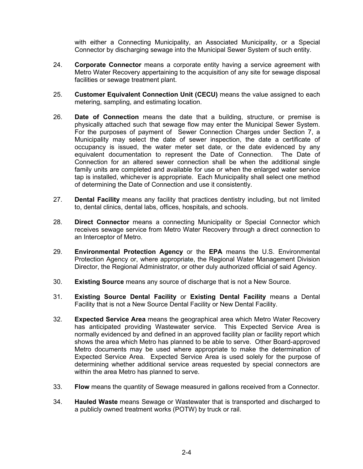with either a Connecting Municipality, an Associated Municipality, or a Special Connector by discharging sewage into the Municipal Sewer System of such entity.

- 24. **Corporate Connector** means a corporate entity having a service agreement with Metro Water Recovery appertaining to the acquisition of any site for sewage disposal facilities or sewage treatment plant.
- 25. **Customer Equivalent Connection Unit (CECU)** means the value assigned to each metering, sampling, and estimating location.
- 26. **Date of Connection** means the date that a building, structure, or premise is physically attached such that sewage flow may enter the Municipal Sewer System. For the purposes of payment of Sewer Connection Charges under Section 7, a Municipality may select the date of sewer inspection, the date a certificate of occupancy is issued, the water meter set date, or the date evidenced by any equivalent documentation to represent the Date of Connection. The Date of Connection for an altered sewer connection shall be when the additional single family units are completed and available for use or when the enlarged water service tap is installed, whichever is appropriate. Each Municipality shall select one method of determining the Date of Connection and use it consistently.
- 27. **Dental Facility** means any facility that practices dentistry including, but not limited to, dental clinics, dental labs, offices, hospitals, and schools.
- 28. **Direct Connector** means a connecting Municipality or Special Connector which receives sewage service from Metro Water Recovery through a direct connection to an Interceptor of Metro.
- 29. **Environmental Protection Agency** or the **EPA** means the U.S. Environmental Protection Agency or, where appropriate, the Regional Water Management Division Director, the Regional Administrator, or other duly authorized official of said Agency.
- 30. **Existing Source** means any source of discharge that is not a New Source.
- 31. **Existing Source Dental Facility** or **Existing Dental Facility** means a Dental Facility that is not a New Source Dental Facility or New Dental Facility.
- 32. **Expected Service Area** means the geographical area which Metro Water Recovery has anticipated providing Wastewater service. This Expected Service Area is normally evidenced by and defined in an approved facility plan or facility report which shows the area which Metro has planned to be able to serve. Other Board-approved Metro documents may be used where appropriate to make the determination of Expected Service Area. Expected Service Area is used solely for the purpose of determining whether additional service areas requested by special connectors are within the area Metro has planned to serve.
- 33. **Flow** means the quantity of Sewage measured in gallons received from a Connector.
- 34. **Hauled Waste** means Sewage or Wastewater that is transported and discharged to a publicly owned treatment works (POTW) by truck or rail.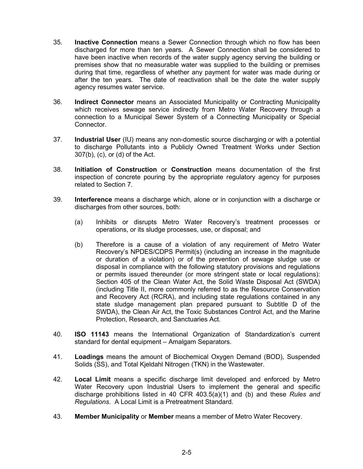- 35. **Inactive Connection** means a Sewer Connection through which no flow has been discharged for more than ten years. A Sewer Connection shall be considered to have been inactive when records of the water supply agency serving the building or premises show that no measurable water was supplied to the building or premises during that time, regardless of whether any payment for water was made during or after the ten years. The date of reactivation shall be the date the water supply agency resumes water service.
- 36. **Indirect Connector** means an Associated Municipality or Contracting Municipality which receives sewage service indirectly from Metro Water Recovery through a connection to a Municipal Sewer System of a Connecting Municipality or Special Connector.
- 37. **Industrial User** (IU) means any non-domestic source discharging or with a potential to discharge Pollutants into a Publicly Owned Treatment Works under Section 307(b), (c), or (d) of the Act.
- 38. **Initiation of Construction** or **Construction** means documentation of the first inspection of concrete pouring by the appropriate regulatory agency for purposes related to Section 7.
- 39. **Interference** means a discharge which, alone or in conjunction with a discharge or discharges from other sources, both:
	- (a) Inhibits or disrupts Metro Water Recovery's treatment processes or operations, or its sludge processes, use, or disposal; and
	- (b) Therefore is a cause of a violation of any requirement of Metro Water Recovery's NPDES/CDPS Permit(s) (including an increase in the magnitude or duration of a violation) or of the prevention of sewage sludge use or disposal in compliance with the following statutory provisions and regulations or permits issued thereunder (or more stringent state or local regulations): Section 405 of the Clean Water Act, the Solid Waste Disposal Act (SWDA) (including Title II, more commonly referred to as the Resource Conservation and Recovery Act (RCRA), and including state regulations contained in any state sludge management plan prepared pursuant to Subtitle D of the SWDA), the Clean Air Act, the Toxic Substances Control Act, and the Marine Protection, Research, and Sanctuaries Act.
- 40. **ISO 11143** means the International Organization of Standardization's current standard for dental equipment – Amalgam Separators.
- 41. **Loadings** means the amount of Biochemical Oxygen Demand (BOD), Suspended Solids (SS), and Total Kjeldahl Nitrogen (TKN) in the Wastewater.
- 42. **Local Limit** means a specific discharge limit developed and enforced by Metro Water Recovery upon Industrial Users to implement the general and specific discharge prohibitions listed in 40 CFR 403.5(a)(1) and (b) and these *Rules and Regulations*. A Local Limit is a Pretreatment Standard.
- 43. **Member Municipality** or **Member** means a member of Metro Water Recovery.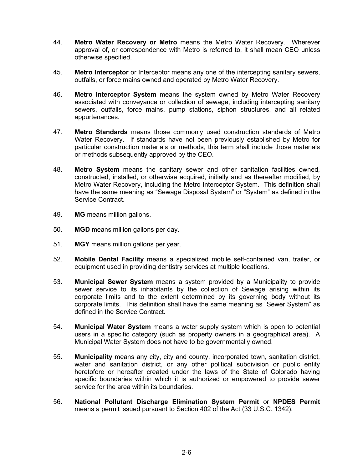- 44. **Metro Water Recovery or Metro** means the Metro Water Recovery. Wherever approval of, or correspondence with Metro is referred to, it shall mean CEO unless otherwise specified.
- 45. **Metro Interceptor** or Interceptor means any one of the intercepting sanitary sewers, outfalls, or force mains owned and operated by Metro Water Recovery.
- 46. **Metro Interceptor System** means the system owned by Metro Water Recovery associated with conveyance or collection of sewage, including intercepting sanitary sewers, outfalls, force mains, pump stations, siphon structures, and all related appurtenances.
- 47. **Metro Standards** means those commonly used construction standards of Metro Water Recovery. If standards have not been previously established by Metro for particular construction materials or methods, this term shall include those materials or methods subsequently approved by the CEO.
- 48. **Metro System** means the sanitary sewer and other sanitation facilities owned, constructed, installed, or otherwise acquired, initially and as thereafter modified, by Metro Water Recovery, including the Metro Interceptor System. This definition shall have the same meaning as "Sewage Disposal System" or "System" as defined in the Service Contract.
- 49. **MG** means million gallons.
- 50. **MGD** means million gallons per day.
- 51. **MGY** means million gallons per year.
- 52. **Mobile Dental Facility** means a specialized mobile self-contained van, trailer, or equipment used in providing dentistry services at multiple locations.
- 53. **Municipal Sewer System** means a system provided by a Municipality to provide sewer service to its inhabitants by the collection of Sewage arising within its corporate limits and to the extent determined by its governing body without its corporate limits. This definition shall have the same meaning as "Sewer System" as defined in the Service Contract.
- 54. **Municipal Water System** means a water supply system which is open to potential users in a specific category (such as property owners in a geographical area). A Municipal Water System does not have to be governmentally owned.
- 55. **Municipality** means any city, city and county, incorporated town, sanitation district, water and sanitation district, or any other political subdivision or public entity heretofore or hereafter created under the laws of the State of Colorado having specific boundaries within which it is authorized or empowered to provide sewer service for the area within its boundaries.
- 56. **National Pollutant Discharge Elimination System Permit** or **NPDES Permit** means a permit issued pursuant to Section 402 of the Act (33 U.S.C. 1342).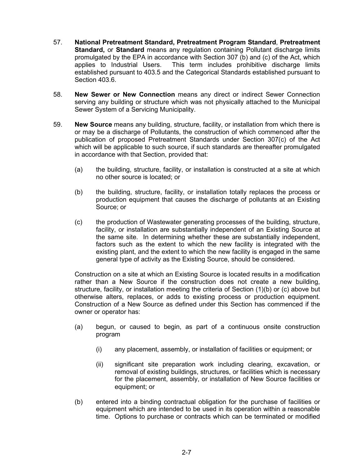- 57. **National Pretreatment Standard, Pretreatment Program Standard**, **Pretreatment Standard,** or **Standard** means any regulation containing Pollutant discharge limits promulgated by the EPA in accordance with Section 307 (b) and (c) of the Act, which applies to Industrial Users. This term includes prohibitive discharge limits established pursuant to 403.5 and the Categorical Standards established pursuant to Section 403.6.
- 58. **New Sewer or New Connection** means any direct or indirect Sewer Connection serving any building or structure which was not physically attached to the Municipal Sewer System of a Servicing Municipality.
- 59. **New Source** means any building, structure, facility, or installation from which there is or may be a discharge of Pollutants, the construction of which commenced after the publication of proposed Pretreatment Standards under Section 307(c) of the Act which will be applicable to such source, if such standards are thereafter promulgated in accordance with that Section, provided that:
	- (a) the building, structure, facility, or installation is constructed at a site at which no other source is located; or
	- (b) the building, structure, facility, or installation totally replaces the process or production equipment that causes the discharge of pollutants at an Existing Source; or
	- (c) the production of Wastewater generating processes of the building, structure, facility, or installation are substantially independent of an Existing Source at the same site. In determining whether these are substantially independent, factors such as the extent to which the new facility is integrated with the existing plant, and the extent to which the new facility is engaged in the same general type of activity as the Existing Source, should be considered.

Construction on a site at which an Existing Source is located results in a modification rather than a New Source if the construction does not create a new building, structure, facility, or installation meeting the criteria of Section (1)(b) or (c) above but otherwise alters, replaces, or adds to existing process or production equipment. Construction of a New Source as defined under this Section has commenced if the owner or operator has:

- (a) begun, or caused to begin, as part of a continuous onsite construction program
	- (i) any placement, assembly, or installation of facilities or equipment; or
	- (ii) significant site preparation work including clearing, excavation, or removal of existing buildings, structures, or facilities which is necessary for the placement, assembly, or installation of New Source facilities or equipment; or
- (b) entered into a binding contractual obligation for the purchase of facilities or equipment which are intended to be used in its operation within a reasonable time. Options to purchase or contracts which can be terminated or modified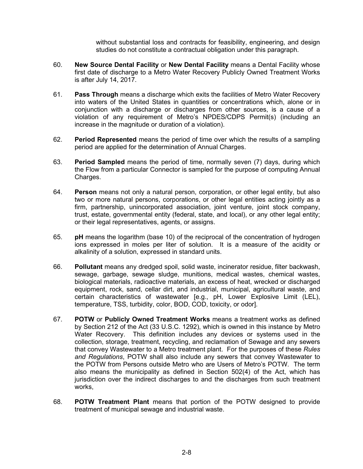without substantial loss and contracts for feasibility, engineering, and design studies do not constitute a contractual obligation under this paragraph.

- 60. **New Source Dental Facility** or **New Dental Facility** means a Dental Facility whose first date of discharge to a Metro Water Recovery Publicly Owned Treatment Works is after July 14, 2017.
- 61. **Pass Through** means a discharge which exits the facilities of Metro Water Recovery into waters of the United States in quantities or concentrations which, alone or in conjunction with a discharge or discharges from other sources, is a cause of a violation of any requirement of Metro's NPDES/CDPS Permit(s) (including an increase in the magnitude or duration of a violation).
- 62. **Period Represented** means the period of time over which the results of a sampling period are applied for the determination of Annual Charges.
- 63. **Period Sampled** means the period of time, normally seven (7) days, during which the Flow from a particular Connector is sampled for the purpose of computing Annual Charges.
- 64. **Person** means not only a natural person, corporation, or other legal entity, but also two or more natural persons, corporations, or other legal entities acting jointly as a firm, partnership, unincorporated association, joint venture, joint stock company, trust, estate, governmental entity (federal, state, and local), or any other legal entity; or their legal representatives, agents, or assigns.
- 65. **pH** means the logarithm (base 10) of the reciprocal of the concentration of hydrogen ions expressed in moles per liter of solution. It is a measure of the acidity or alkalinity of a solution, expressed in standard units.
- 66. **Pollutant** means any dredged spoil, solid waste, incinerator residue, filter backwash, sewage, garbage, sewage sludge, munitions, medical wastes, chemical wastes, biological materials, radioactive materials, an excess of heat, wrecked or discharged equipment, rock, sand, cellar dirt, and industrial, municipal, agricultural waste, and certain characteristics of wastewater [e.g., pH, Lower Explosive Limit (LEL), temperature, TSS, turbidity, color, BOD, COD, toxicity, or odor].
- 67. **POTW** or **Publicly Owned Treatment Works** means a treatment works as defined by Section 212 of the Act (33 U.S.C. 1292), which is owned in this instance by Metro Water Recovery. This definition includes any devices or systems used in the collection, storage, treatment, recycling, and reclamation of Sewage and any sewers that convey Wastewater to a Metro treatment plant. For the purposes of these *Rules and Regulations*, POTW shall also include any sewers that convey Wastewater to the POTW from Persons outside Metro who are Users of Metro's POTW. The term also means the municipality as defined in Section 502(4) of the Act, which has jurisdiction over the indirect discharges to and the discharges from such treatment works,
- 68. **POTW Treatment Plant** means that portion of the POTW designed to provide treatment of municipal sewage and industrial waste.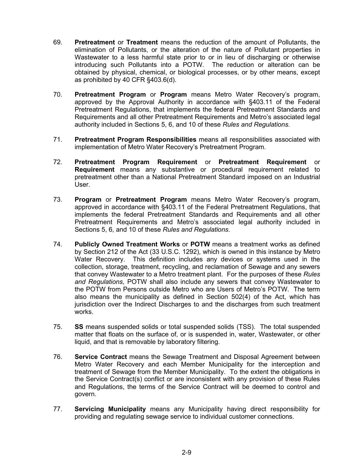- 69. **Pretreatment** or **Treatment** means the reduction of the amount of Pollutants, the elimination of Pollutants, or the alteration of the nature of Pollutant properties in Wastewater to a less harmful state prior to or in lieu of discharging or otherwise introducing such Pollutants into a POTW. The reduction or alteration can be obtained by physical, chemical, or biological processes, or by other means, except as prohibited by 40 CFR §403.6(d).
- 70. **Pretreatment Program** or **Program** means Metro Water Recovery's program, approved by the Approval Authority in accordance with §403.11 of the Federal Pretreatment Regulations, that implements the federal Pretreatment Standards and Requirements and all other Pretreatment Requirements and Metro's associated legal authority included in Sections 5, 6, and 10 of these *Rules and Regulations*.
- 71. **Pretreatment Program Responsibilities** means all responsibilities associated with implementation of Metro Water Recovery's Pretreatment Program.
- 72. **Pretreatment Program Requirement** or **Pretreatment Requirement** or **Requirement** means any substantive or procedural requirement related to pretreatment other than a National Pretreatment Standard imposed on an Industrial User.
- 73. **Program** or **Pretreatment Program** means Metro Water Recovery's program, approved in accordance with §403.11 of the Federal Pretreatment Regulations, that implements the federal Pretreatment Standards and Requirements and all other Pretreatment Requirements and Metro's associated legal authority included in Sections 5, 6, and 10 of these *Rules and Regulations*.
- 74. **Publicly Owned Treatment Works** or **POTW** means a treatment works as defined by Section 212 of the Act (33 U.S.C. 1292), which is owned in this instance by Metro Water Recovery. This definition includes any devices or systems used in the collection, storage, treatment, recycling, and reclamation of Sewage and any sewers that convey Wastewater to a Metro treatment plant. For the purposes of these *Rules and Regulations*, POTW shall also include any sewers that convey Wastewater to the POTW from Persons outside Metro who are Users of Metro's POTW. The term also means the municipality as defined in Section 502(4) of the Act, which has jurisdiction over the Indirect Discharges to and the discharges from such treatment works.
- 75. **SS** means suspended solids or total suspended solids (TSS). The total suspended matter that floats on the surface of, or is suspended in, water, Wastewater, or other liquid, and that is removable by laboratory filtering.
- 76. **Service Contract** means the Sewage Treatment and Disposal Agreement between Metro Water Recovery and each Member Municipality for the interception and treatment of Sewage from the Member Municipality. To the extent the obligations in the Service Contract(s) conflict or are inconsistent with any provision of these Rules and Regulations, the terms of the Service Contract will be deemed to control and govern.
- 77. **Servicing Municipality** means any Municipality having direct responsibility for providing and regulating sewage service to individual customer connections.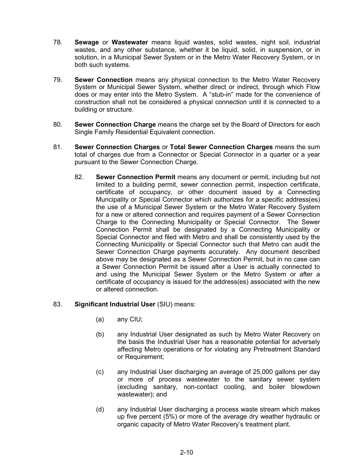- 78. **Sewage** or **Wastewater** means liquid wastes, solid wastes, night soil, industrial wastes, and any other substance, whether it be liquid, solid, in suspension, or in solution, in a Municipal Sewer System or in the Metro Water Recovery System, or in both such systems.
- 79. **Sewer Connection** means any physical connection to the Metro Water Recovery System or Municipal Sewer System, whether direct or indirect, through which Flow does or may enter into the Metro System. A "stub-in" made for the convenience of construction shall not be considered a physical connection until it is connected to a building or structure.
- 80. **Sewer Connection Charge** means the charge set by the Board of Directors for each Single Family Residential Equivalent connection.
- 81. **Sewer Connection Charges** or **Total Sewer Connection Charges** means the sum total of charges due from a Connector or Special Connector in a quarter or a year pursuant to the Sewer Connection Charge.
	- 82. **Sewer Connection Permit** means any document or permit, including but not limited to a building permit, sewer connection permit, inspection certificate, certificate of occupancy, or other document issued by a Connecting Muncipality or Special Connector which authorizes for a specific address(es) the use of a Municipal Sewer System or the Metro Water Recovery System for a new or altered connection and requires payment of a Sewer Connection Charge to the Connecting Municipality or Special Connector. The Sewer Connection Permit shall be designated by a Connecting Municipality or Special Connector and filed with Metro and shall be consistently used by the Connecting Municipality or Special Connector such that Metro can audit the Sewer Connection Charge payments accurately. Any document described above may be designated as a Sewer Connection Permit, but in no case can a Sewer Connection Permit be issued after a User is actually connected to and using the Municipal Sewer System or the Metro System or after a certificate of occupancy is issued for the address(es) associated with the new or altered connection.
- 83. **Significant Industrial User** (SIU) means:
	- (a) any CIU;
	- (b) any Industrial User designated as such by Metro Water Recovery on the basis the Industrial User has a reasonable potential for adversely affecting Metro operations or for violating any Pretreatment Standard or Requirement;
	- (c) any Industrial User discharging an average of 25,000 gallons per day or more of process wastewater to the sanitary sewer system (excluding sanitary, non-contact cooling, and boiler blowdown wastewater); and
	- (d) any Industrial User discharging a process waste stream which makes up five percent (5%) or more of the average dry weather hydraulic or organic capacity of Metro Water Recovery's treatment plant.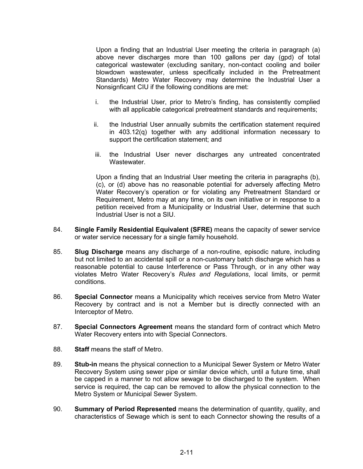Upon a finding that an Industrial User meeting the criteria in paragraph (a) above never discharges more than 100 gallons per day (gpd) of total categorical wastewater (excluding sanitary, non-contact cooling and boiler blowdown wastewater, unless specifically included in the Pretreatment Standards) Metro Water Recovery may determine the Industrial User a Nonsignficant CIU if the following conditions are met:

- i. the Industrial User, prior to Metro's finding, has consistently complied with all applicable categorical pretreatment standards and requirements;
- ii. the Industrial User annually submits the certification statement required in 403.12(q) together with any additional information necessary to support the certification statement; and
- iii. the Industrial User never discharges any untreated concentrated Wastewater.

Upon a finding that an Industrial User meeting the criteria in paragraphs (b), (c), or (d) above has no reasonable potential for adversely affecting Metro Water Recovery's operation or for violating any Pretreatment Standard or Requirement, Metro may at any time, on its own initiative or in response to a petition received from a Municipality or Industrial User, determine that such Industrial User is not a SIU.

- 84. **Single Family Residential Equivalent (SFRE)** means the capacity of sewer service or water service necessary for a single family household.
- 85. **Slug Discharge** means any discharge of a non-routine, episodic nature, including but not limited to an accidental spill or a non-customary batch discharge which has a reasonable potential to cause Interference or Pass Through, or in any other way violates Metro Water Recovery's *Rules and Regulations*, local limits, or permit conditions.
- 86. **Special Connector** means a Municipality which receives service from Metro Water Recovery by contract and is not a Member but is directly connected with an Interceptor of Metro.
- 87. **Special Connectors Agreement** means the standard form of contract which Metro Water Recovery enters into with Special Connectors.
- 88. **Staff** means the staff of Metro.
- 89. **Stub-in** means the physical connection to a Municipal Sewer System or Metro Water Recovery System using sewer pipe or similar device which, until a future time, shall be capped in a manner to not allow sewage to be discharged to the system. When service is required, the cap can be removed to allow the physical connection to the Metro System or Municipal Sewer System.
- 90. **Summary of Period Represented** means the determination of quantity, quality, and characteristics of Sewage which is sent to each Connector showing the results of a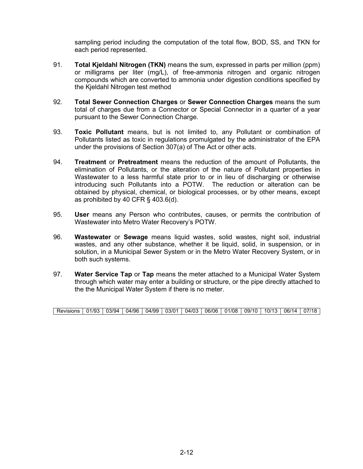sampling period including the computation of the total flow, BOD, SS, and TKN for each period represented.

- 91. **Total Kjeldahl Nitrogen (TKN)** means the sum, expressed in parts per million (ppm) or milligrams per liter (mg/L), of free-ammonia nitrogen and organic nitrogen compounds which are converted to ammonia under digestion conditions specified by the Kjeldahl Nitrogen test method
- 92. **Total Sewer Connection Charges** or **Sewer Connection Charges** means the sum total of charges due from a Connector or Special Connector in a quarter of a year pursuant to the Sewer Connection Charge.
- 93. **Toxic Pollutant** means, but is not limited to, any Pollutant or combination of Pollutants listed as toxic in regulations promulgated by the administrator of the EPA under the provisions of Section 307(a) of The Act or other acts.
- 94. **Treatment** or **Pretreatment** means the reduction of the amount of Pollutants, the elimination of Pollutants, or the alteration of the nature of Pollutant properties in Wastewater to a less harmful state prior to or in lieu of discharging or otherwise introducing such Pollutants into a POTW. The reduction or alteration can be obtained by physical, chemical, or biological processes, or by other means, except as prohibited by 40 CFR § 403.6(d).
- 95. **User** means any Person who contributes, causes, or permits the contribution of Wastewater into Metro Water Recovery's POTW.
- 96. **Wastewater** or **Sewage** means liquid wastes, solid wastes, night soil, industrial wastes, and any other substance, whether it be liquid, solid, in suspension, or in solution, in a Municipal Sewer System or in the Metro Water Recovery System, or in both such systems.
- 97. **Water Service Tap** or **Tap** means the meter attached to a Municipal Water System through which water may enter a building or structure, or the pipe directly attached to the the Municipal Water System if there is no meter.

| Revisions | 93. ا<br>$\cdot$ | 03/94 | 04/96 | 04/99 | 03/01 | 04/03 | 06/06 | 01/08 | 09/10 | 10/13<br>◢ | 06/14 | 07/40<br>07<br>ה ו |
|-----------|------------------|-------|-------|-------|-------|-------|-------|-------|-------|------------|-------|--------------------|
|-----------|------------------|-------|-------|-------|-------|-------|-------|-------|-------|------------|-------|--------------------|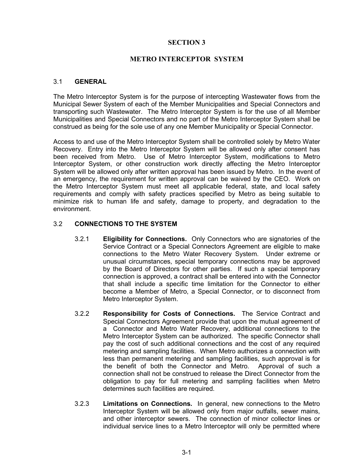#### **SECTION 3**

#### **METRO INTERCEPTOR SYSTEM**

#### 3.1 **GENERAL**

The Metro Interceptor System is for the purpose of intercepting Wastewater flows from the Municipal Sewer System of each of the Member Municipalities and Special Connectors and transporting such Wastewater. The Metro Interceptor System is for the use of all Member Municipalities and Special Connectors and no part of the Metro Interceptor System shall be construed as being for the sole use of any one Member Municipality or Special Connector.

Access to and use of the Metro Interceptor System shall be controlled solely by Metro Water Recovery. Entry into the Metro Interceptor System will be allowed only after consent has been received from Metro. Use of Metro Interceptor System, modifications to Metro Interceptor System, or other construction work directly affecting the Metro Interceptor System will be allowed only after written approval has been issued by Metro. In the event of an emergency, the requirement for written approval can be waived by the CEO. Work on the Metro Interceptor System must meet all applicable federal, state, and local safety requirements and comply with safety practices specified by Metro as being suitable to minimize risk to human life and safety, damage to property, and degradation to the environment.

#### 3.2 **CONNECTIONS TO THE SYSTEM**

- 3.2.1 **Eligibility for Connections.** Only Connectors who are signatories of the Service Contract or a Special Connectors Agreement are eligible to make connections to the Metro Water Recovery System. Under extreme or unusual circumstances, special temporary connections may be approved by the Board of Directors for other parties. If such a special temporary connection is approved, a contract shall be entered into with the Connector that shall include a specific time limitation for the Connector to either become a Member of Metro, a Special Connector, or to disconnect from Metro Interceptor System.
- 3.2.2 **Responsibility for Costs of Connections.** The Service Contract and Special Connectors Agreement provide that upon the mutual agreement of a Connector and Metro Water Recovery, additional connections to the Metro Interceptor System can be authorized. The specific Connector shall pay the cost of such additional connections and the cost of any required metering and sampling facilities. When Metro authorizes a connection with less than permanent metering and sampling facilities, such approval is for the benefit of both the Connector and Metro. Approval of such a connection shall not be construed to release the Direct Connector from the obligation to pay for full metering and sampling facilities when Metro determines such facilities are required.
- 3.2.3 **Limitations on Connections.** In general, new connections to the Metro Interceptor System will be allowed only from major outfalls, sewer mains, and other interceptor sewers. The connection of minor collector lines or individual service lines to a Metro Interceptor will only be permitted where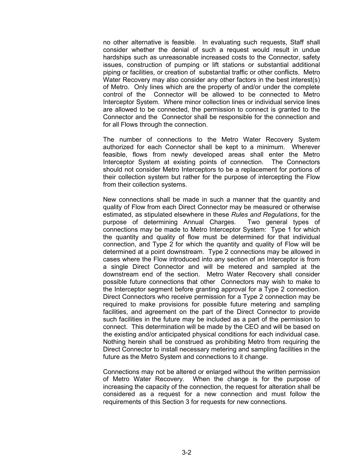no other alternative is feasible. In evaluating such requests, Staff shall consider whether the denial of such a request would result in undue hardships such as unreasonable increased costs to the Connector, safety issues, construction of pumping or lift stations or substantial additional piping or facilities, or creation of substantial traffic or other conflicts. Metro Water Recovery may also consider any other factors in the best interest(s) of Metro. Only lines which are the property of and/or under the complete control of the Connector will be allowed to be connected to Metro Interceptor System. Where minor collection lines or individual service lines are allowed to be connected, the permission to connect is granted to the Connector and the Connector shall be responsible for the connection and for all Flows through the connection.

The number of connections to the Metro Water Recovery System authorized for each Connector shall be kept to a minimum. Wherever feasible, flows from newly developed areas shall enter the Metro Interceptor System at existing points of connection. The Connectors should not consider Metro Interceptors to be a replacement for portions of their collection system but rather for the purpose of intercepting the Flow from their collection systems.

New connections shall be made in such a manner that the quantity and quality of Flow from each Direct Connector may be measured or otherwise estimated, as stipulated elsewhere in these *Rules and Regulations*, for the purpose of determining Annual Charges. Two general types of connections may be made to Metro Interceptor System: Type 1 for which the quantity and quality of flow must be determined for that individual connection, and Type 2 for which the quantity and quality of Flow will be determined at a point downstream. Type 2 connections may be allowed in cases where the Flow introduced into any section of an Interceptor is from a single Direct Connector and will be metered and sampled at the downstream end of the section. Metro Water Recovery shall consider possible future connections that other Connectors may wish to make to the Interceptor segment before granting approval for a Type 2 connection. Direct Connectors who receive permission for a Type 2 connection may be required to make provisions for possible future metering and sampling facilities, and agreement on the part of the Direct Connector to provide such facilities in the future may be included as a part of the permission to connect. This determination will be made by the CEO and will be based on the existing and/or anticipated physical conditions for each individual case. Nothing herein shall be construed as prohibiting Metro from requiring the Direct Connector to install necessary metering and sampling facilities in the future as the Metro System and connections to it change.

Connections may not be altered or enlarged without the written permission of Metro Water Recovery. When the change is for the purpose of increasing the capacity of the connection, the request for alteration shall be considered as a request for a new connection and must follow the requirements of this Section 3 for requests for new connections.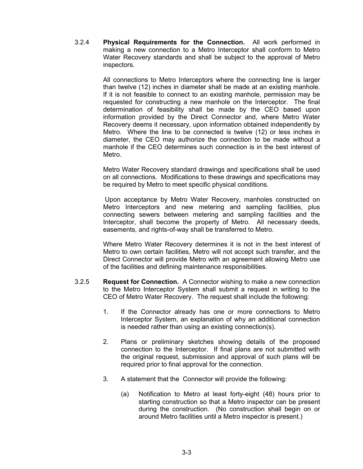3.2.4 **Physical Requirements for the Connection.** All work performed in making a new connection to a Metro Interceptor shall conform to Metro Water Recovery standards and shall be subject to the approval of Metro inspectors.

> All connections to Metro Interceptors where the connecting line is larger than twelve (12) inches in diameter shall be made at an existing manhole. If it is not feasible to connect to an existing manhole, permission may be requested for constructing a new manhole on the Interceptor. The final determination of feasibility shall be made by the CEO based upon information provided by the Direct Connector and, where Metro Water Recovery deems it necessary, upon information obtained independently by Metro. Where the line to be connected is twelve (12) or less inches in diameter, the CEO may authorize the connection to be made without a manhole if the CEO determines such connection is in the best interest of Metro.

> Metro Water Recovery standard drawings and specifications shall be used on all connections. Modifications to these drawings and specifications may be required by Metro to meet specific physical conditions.

> Upon acceptance by Metro Water Recovery, manholes constructed on Metro Interceptors and new metering and sampling facilities, plus connecting sewers between metering and sampling facilities and the Interceptor, shall become the property of Metro. All necessary deeds, easements, and rights-of-way shall be transferred to Metro.

> Where Metro Water Recovery determines it is not in the best interest of Metro to own certain facilities, Metro will not accept such transfer, and the Direct Connector will provide Metro with an agreement allowing Metro use of the facilities and defining maintenance responsibilities.

- 3.2.5 **Request for Connection.** A Connector wishing to make a new connection to the Metro Interceptor System shall submit a request in writing to the CEO of Metro Water Recovery. The request shall include the following:
	- 1. If the Connector already has one or more connections to Metro Interceptor System, an explanation of why an additional connection is needed rather than using an existing connection(s).
	- 2. Plans or preliminary sketches showing details of the proposed connection to the Interceptor. If final plans are not submitted with the original request, submission and approval of such plans will be required prior to final approval for the connection.
	- 3. A statement that the Connector will provide the following:
		- (a) Notification to Metro at least forty-eight (48) hours prior to starting construction so that a Metro inspector can be present during the construction. (No construction shall begin on or around Metro facilities until a Metro inspector is present.)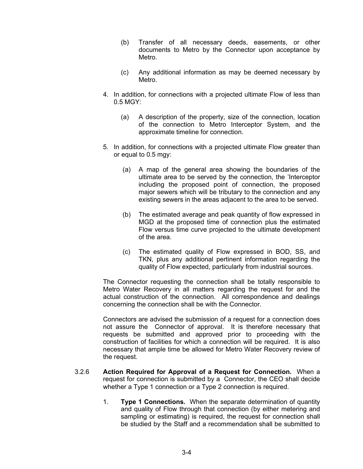- (b) Transfer of all necessary deeds, easements, or other documents to Metro by the Connector upon acceptance by Metro.
- (c) Any additional information as may be deemed necessary by Metro.
- 4. In addition, for connections with a projected ultimate Flow of less than 0.5 MGY:
	- (a) A description of the property, size of the connection, location of the connection to Metro Interceptor System, and the approximate timeline for connection.
- 5. In addition, for connections with a projected ultimate Flow greater than or equal to 0.5 mgy:
	- (a) A map of the general area showing the boundaries of the ultimate area to be served by the connection, the 'Interceptor including the proposed point of connection, the proposed major sewers which will be tributary to the connection and any existing sewers in the areas adjacent to the area to be served.
	- (b) The estimated average and peak quantity of flow expressed in MGD at the proposed time of connection plus the estimated Flow versus time curve projected to the ultimate development of the area.
	- (c) The estimated quality of Flow expressed in BOD, SS, and TKN, plus any additional pertinent information regarding the quality of Flow expected, particularly from industrial sources.

The Connector requesting the connection shall be totally responsible to Metro Water Recovery in all matters regarding the request for and the actual construction of the connection. All correspondence and dealings concerning the connection shall be with the Connector.

Connectors are advised the submission of a request for a connection does not assure the Connector of approval. It is therefore necessary that requests be submitted and approved prior to proceeding with the construction of facilities for which a connection will be required. It is also necessary that ample time be allowed for Metro Water Recovery review of the request.

- 3.2.6 **Action Required for Approval of a Request for Connection.** When a request for connection is submitted by a Connector, the CEO shall decide whether a Type 1 connection or a Type 2 connection is required.
	- 1. **Type 1 Connections.** When the separate determination of quantity and quality of Flow through that connection (by either metering and sampling or estimating) is required, the request for connection shall be studied by the Staff and a recommendation shall be submitted to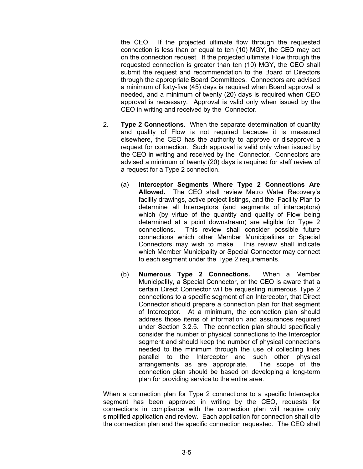the CEO. If the projected ultimate flow through the requested connection is less than or equal to ten (10) MGY, the CEO may act on the connection request. If the projected ultimate Flow through the requested connection is greater than ten (10) MGY, the CEO shall submit the request and recommendation to the Board of Directors through the appropriate Board Committees. Connectors are advised a minimum of forty-five (45) days is required when Board approval is needed, and a minimum of twenty (20) days is required when CEO approval is necessary. Approval is valid only when issued by the CEO in writing and received by the Connector.

- 2. **Type 2 Connections.** When the separate determination of quantity and quality of Flow is not required because it is measured elsewhere, the CEO has the authority to approve or disapprove a request for connection. Such approval is valid only when issued by the CEO in writing and received by the Connector. Connectors are advised a minimum of twenty (20) days is required for staff review of a request for a Type 2 connection.
	- (a) **Interceptor Segments Where Type 2 Connections Are Allowed.** The CEO shall review Metro Water Recovery's facility drawings, active project listings, and the Facility Plan to determine all Interceptors (and segments of interceptors) which (by virtue of the quantity and quality of Flow being determined at a point downstream) are eligible for Type 2 connections. This review shall consider possible future connections which other Member Municipalities or Special Connectors may wish to make. This review shall indicate which Member Municipality or Special Connector may connect to each segment under the Type 2 requirements.
	- (b) **Numerous Type 2 Connections.** When a Member Municipality, a Special Connector, or the CEO is aware that a certain Direct Connector will be requesting numerous Type 2 connections to a specific segment of an Interceptor, that Direct Connector should prepare a connection plan for that segment of Interceptor. At a minimum, the connection plan should address those items of information and assurances required under Section 3.2.5. The connection plan should specifically consider the number of physical connections to the Interceptor segment and should keep the number of physical connections needed to the minimum through the use of collecting lines parallel to the Interceptor and such other physical arrangements as are appropriate. The scope of the connection plan should be based on developing a long-term plan for providing service to the entire area.

When a connection plan for Type 2 connections to a specific Interceptor segment has been approved in writing by the CEO, requests for connections in compliance with the connection plan will require only simplified application and review. Each application for connection shall cite the connection plan and the specific connection requested. The CEO shall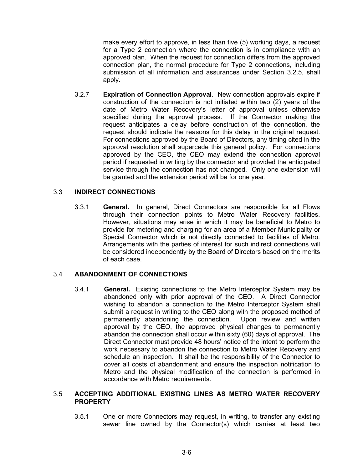make every effort to approve, in less than five (5) working days, a request for a Type 2 connection where the connection is in compliance with an approved plan. When the request for connection differs from the approved connection plan, the normal procedure for Type 2 connections, including submission of all information and assurances under Section 3.2.5, shall apply.

3.2.7 **Expiration of Connection Approval**. New connection approvals expire if construction of the connection is not initiated within two (2) years of the date of Metro Water Recovery's letter of approval unless otherwise specified during the approval process. If the Connector making the request anticipates a delay before construction of the connection, the request should indicate the reasons for this delay in the original request. For connections approved by the Board of Directors, any timing cited in the approval resolution shall supercede this general policy. For connections approved by the CEO, the CEO may extend the connection approval period if requested in writing by the connector and provided the anticipated service through the connection has not changed. Only one extension will be granted and the extension period will be for one year.

#### 3.3 **INDIRECT CONNECTIONS**

3.3.1 **General.** In general, Direct Connectors are responsible for all Flows through their connection points to Metro Water Recovery facilities. However, situations may arise in which it may be beneficial to Metro to provide for metering and charging for an area of a Member Municipality or Special Connector which is not directly connected to facilities of Metro. Arrangements with the parties of interest for such indirect connections will be considered independently by the Board of Directors based on the merits of each case.

#### 3.4 **ABANDONMENT OF CONNECTIONS**

3.4.1 **General.** Existing connections to the Metro Interceptor System may be abandoned only with prior approval of the CEO. A Direct Connector wishing to abandon a connection to the Metro Interceptor System shall submit a request in writing to the CEO along with the proposed method of permanently abandoning the connection. Upon review and written approval by the CEO, the approved physical changes to permanently abandon the connection shall occur within sixty (60) days of approval. The Direct Connector must provide 48 hours' notice of the intent to perform the work necessary to abandon the connection to Metro Water Recovery and schedule an inspection. It shall be the responsibility of the Connector to cover all costs of abandonment and ensure the inspection notification to Metro and the physical modification of the connection is performed in accordance with Metro requirements.

#### 3.5 **ACCEPTING ADDITIONAL EXISTING LINES AS METRO WATER RECOVERY PROPERTY**

3.5.1 One or more Connectors may request, in writing, to transfer any existing sewer line owned by the Connector(s) which carries at least two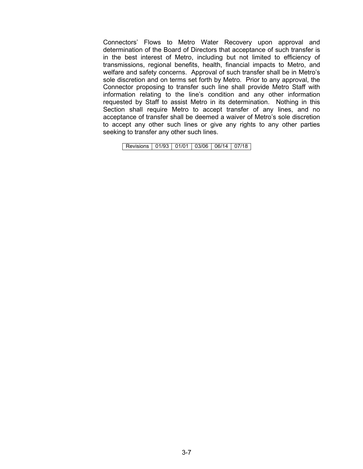Connectors' Flows to Metro Water Recovery upon approval and determination of the Board of Directors that acceptance of such transfer is in the best interest of Metro, including but not limited to efficiency of transmissions, regional benefits, health, financial impacts to Metro, and welfare and safety concerns. Approval of such transfer shall be in Metro's sole discretion and on terms set forth by Metro. Prior to any approval, the Connector proposing to transfer such line shall provide Metro Staff with information relating to the line's condition and any other information requested by Staff to assist Metro in its determination. Nothing in this Section shall require Metro to accept transfer of any lines, and no acceptance of transfer shall be deemed a waiver of Metro's sole discretion to accept any other such lines or give any rights to any other parties seeking to transfer any other such lines.

Revisions | 01/93 | 01/01 | 03/06 | 06/14 | 07/18 |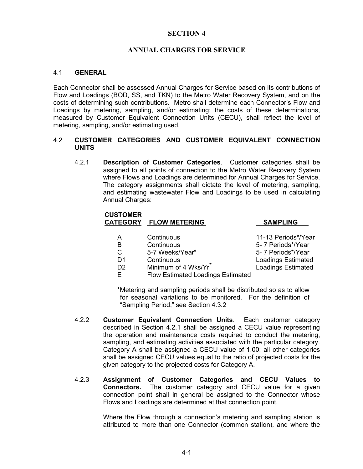#### **SECTION 4**

#### **ANNUAL CHARGES FOR SERVICE**

#### 4.1 **GENERAL**

Each Connector shall be assessed Annual Charges for Service based on its contributions of Flow and Loadings (BOD, SS, and TKN) to the Metro Water Recovery System, and on the costs of determining such contributions. Metro shall determine each Connector's Flow and Loadings by metering, sampling, and/or estimating; the costs of these determinations, measured by Customer Equivalent Connection Units (CECU), shall reflect the level of metering, sampling, and/or estimating used.

#### 4.2 **CUSTOMER CATEGORIES AND CUSTOMER EQUIVALENT CONNECTION UNITS**

4.2.1 **Description of Customer Categories**. Customer categories shall be assigned to all points of connection to the Metro Water Recovery System where Flows and Loadings are determined for Annual Charges for Service. The category assignments shall dictate the level of metering, sampling, and estimating wastewater Flow and Loadings to be used in calculating Annual Charges:

#### **CUSTOMER CATEGORY FLOW METERING SAMPLING**

| A              | Continuous                               | 11-13 Periods*/Year       |
|----------------|------------------------------------------|---------------------------|
| B              | Continuous                               | 5-7 Periods*/Year         |
| C              | 5-7 Weeks/Year*                          | 5-7 Periods*/Year         |
| D1             | Continuous                               | <b>Loadings Estimated</b> |
| D <sub>2</sub> | Minimum of 4 Wks/Yr <sup>*</sup>         | <b>Loadings Estimated</b> |
| F.             | <b>Flow Estimated Loadings Estimated</b> |                           |

\*Metering and sampling periods shall be distributed so as to allow for seasonal variations to be monitored. For the definition of "Sampling Period," see Section 4.3.2

- 4.2.2 **Customer Equivalent Connection Units**. Each customer category described in Section 4.2.1 shall be assigned a CECU value representing the operation and maintenance costs required to conduct the metering, sampling, and estimating activities associated with the particular category. Category A shall be assigned a CECU value of 1.00; all other categories shall be assigned CECU values equal to the ratio of projected costs for the given category to the projected costs for Category A.
- 4.2.3 **Assignment of Customer Categories and CECU Values to Connectors.** The customer category and CECU value for a given connection point shall in general be assigned to the Connector whose Flows and Loadings are determined at that connection point.

 Where the Flow through a connection's metering and sampling station is attributed to more than one Connector (common station), and where the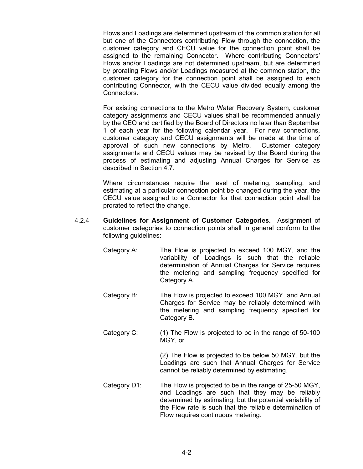Flows and Loadings are determined upstream of the common station for all but one of the Connectors contributing Flow through the connection, the customer category and CECU value for the connection point shall be assigned to the remaining Connector. Where contributing Connectors' Flows and/or Loadings are not determined upstream, but are determined by prorating Flows and/or Loadings measured at the common station, the customer category for the connection point shall be assigned to each contributing Connector, with the CECU value divided equally among the Connectors.

For existing connections to the Metro Water Recovery System, customer category assignments and CECU values shall be recommended annually by the CEO and certified by the Board of Directors no later than September 1 of each year for the following calendar year. For new connections, customer category and CECU assignments will be made at the time of approval of such new connections by Metro. Customer category assignments and CECU values may be revised by the Board during the process of estimating and adjusting Annual Charges for Service as described in Section 4.7.

Where circumstances require the level of metering, sampling, and estimating at a particular connection point be changed during the year, the CECU value assigned to a Connector for that connection point shall be prorated to reflect the change.

- 4.2.4 **Guidelines for Assignment of Customer Categories.** Assignment of customer categories to connection points shall in general conform to the following guidelines:
	- Category A: The Flow is projected to exceed 100 MGY, and the variability of Loadings is such that the reliable determination of Annual Charges for Service requires the metering and sampling frequency specified for Category A.
	- Category B: The Flow is projected to exceed 100 MGY, and Annual Charges for Service may be reliably determined with the metering and sampling frequency specified for Category B.
	- Category C: (1) The Flow is projected to be in the range of 50-100 MGY, or

(2) The Flow is projected to be below 50 MGY, but the Loadings are such that Annual Charges for Service cannot be reliably determined by estimating.

Category D1: The Flow is projected to be in the range of 25-50 MGY, and Loadings are such that they may be reliably determined by estimating, but the potential variability of the Flow rate is such that the reliable determination of Flow requires continuous metering.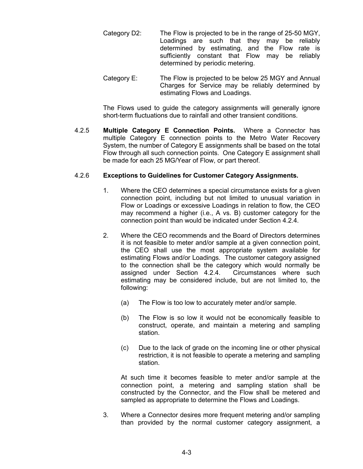- Category D2: The Flow is projected to be in the range of 25-50 MGY, Loadings are such that they may be reliably determined by estimating, and the Flow rate is sufficiently constant that Flow may be reliably determined by periodic metering.
- Category E: The Flow is projected to be below 25 MGY and Annual Charges for Service may be reliably determined by estimating Flows and Loadings.

The Flows used to guide the category assignments will generally ignore short-term fluctuations due to rainfall and other transient conditions.

4.2.5 **Multiple Category E Connection Points.** Where a Connector has multiple Category E connection points to the Metro Water Recovery System, the number of Category E assignments shall be based on the total Flow through all such connection points. One Category E assignment shall be made for each 25 MG/Year of Flow, or part thereof.

#### 4.2.6 **Exceptions to Guidelines for Customer Category Assignments.**

- 1. Where the CEO determines a special circumstance exists for a given connection point, including but not limited to unusual variation in Flow or Loadings or excessive Loadings in relation to flow, the CEO may recommend a higher (i.e., A vs. B) customer category for the connection point than would be indicated under Section 4.2.4.
- 2. Where the CEO recommends and the Board of Directors determines it is not feasible to meter and/or sample at a given connection point, the CEO shall use the most appropriate system available for estimating Flows and/or Loadings. The customer category assigned to the connection shall be the category which would normally be assigned under Section 4.2.4. Circumstances where such estimating may be considered include, but are not limited to, the following:
	- (a) The Flow is too low to accurately meter and/or sample.
	- (b) The Flow is so low it would not be economically feasible to construct, operate, and maintain a metering and sampling station.
	- (c) Due to the lack of grade on the incoming line or other physical restriction, it is not feasible to operate a metering and sampling station.

At such time it becomes feasible to meter and/or sample at the connection point, a metering and sampling station shall be constructed by the Connector, and the Flow shall be metered and sampled as appropriate to determine the Flows and Loadings.

3. Where a Connector desires more frequent metering and/or sampling than provided by the normal customer category assignment, a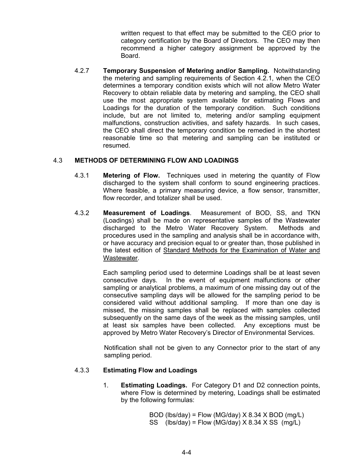written request to that effect may be submitted to the CEO prior to category certification by the Board of Directors. The CEO may then recommend a higher category assignment be approved by the Board.

4.2.7 **Temporary Suspension of Metering and/or Sampling.** Notwithstanding the metering and sampling requirements of Section 4.2.1, when the CEO determines a temporary condition exists which will not allow Metro Water Recovery to obtain reliable data by metering and sampling, the CEO shall use the most appropriate system available for estimating Flows and Loadings for the duration of the temporary condition. Such conditions include, but are not limited to, metering and/or sampling equipment malfunctions, construction activities, and safety hazards. In such cases, the CEO shall direct the temporary condition be remedied in the shortest reasonable time so that metering and sampling can be instituted or resumed.

#### 4.3 **METHODS OF DETERMINING FLOW AND LOADINGS**

- 4.3.1 **Metering of Flow.** Techniques used in metering the quantity of Flow discharged to the system shall conform to sound engineering practices. Where feasible, a primary measuring device, a flow sensor, transmitter, flow recorder, and totalizer shall be used.
- 4.3.2 **Measurement of Loadings**. Measurement of BOD, SS, and TKN (Loadings) shall be made on representative samples of the Wastewater discharged to the Metro Water Recovery System. Methods and procedures used in the sampling and analysis shall be in accordance with, or have accuracy and precision equal to or greater than, those published in the latest edition of Standard Methods for the Examination of Water and Wastewater.

 Each sampling period used to determine Loadings shall be at least seven consecutive days. In the event of equipment malfunctions or other sampling or analytical problems, a maximum of one missing day out of the consecutive sampling days will be allowed for the sampling period to be considered valid without additional sampling. If more than one day is missed, the missing samples shall be replaced with samples collected subsequently on the same days of the week as the missing samples, until at least six samples have been collected. Any exceptions must be approved by Metro Water Recovery's Director of Environmental Services.

Notification shall not be given to any Connector prior to the start of any sampling period.

#### 4.3.3 **Estimating Flow and Loadings**

 1. **Estimating Loadings.** For Category D1 and D2 connection points, where Flow is determined by metering, Loadings shall be estimated by the following formulas:

> BOD (lbs/day) = Flow (MG/day)  $X$  8.34  $X$  BOD (mg/L) SS  $(lbs/day) = Flow (MG/day) \times 8.34 \times SS (mg/L)$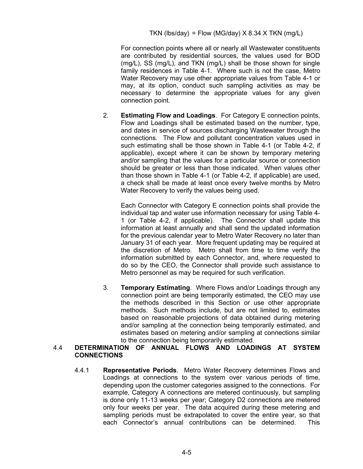For connection points where all or nearly all Wastewater constituents are contributed by residential sources, the values used for BOD (mg/L), SS (mg/L), and TKN (mg/L) shall be those shown for single family residences in Table 4-1. Where such is not the case, Metro Water Recovery may use other appropriate values from Table 4-1 or may, at its option, conduct such sampling activities as may be necessary to determine the appropriate values for any given connection point.

2. **Estimating Flow and Loadings**. For Category E connection points, Flow and Loadings shall be estimated based on the number, type, and dates in service of sources discharging Wastewater through the connections. The Flow and pollutant concentration values used in such estimating shall be those shown in Table 4-1 (or Table 4-2, if applicable), except where it can be shown by temporary metering and/or sampling that the values for a particular source or connection should be greater or less than those indicated. When values other than those shown in Table 4-1 (or Table 4-2, if applicable) are used, a check shall be made at least once every twelve months by Metro Water Recovery to verify the values being used.

Each Connector with Category E connection points shall provide the individual tap and water use information necessary for using Table 4- 1 (or Table 4-2, if applicable). The Connector shall update this information at least annually and shall send the updated information for the previous calendar year to Metro Water Recovery no later than January 31 of each year. More frequent updating may be required at the discretion of Metro. Metro shall from time to time verify the information submitted by each Connector, and, where requested to do so by the CEO, the Connector shall provide such assistance to Metro personnel as may be required for such verification.

3. **Temporary Estimating**. Where Flows and/or Loadings through any connection point are being temporarily estimated, the CEO may use the methods described in this Section or use other appropriate methods. Such methods include, but are not limited to, estimates based on reasonable projections of data obtained during metering and/or sampling at the connection being temporarily estimated, and estimates based on metering and/or sampling at connections similar to the connection being temporarily estimated.

#### 4.4 **DETERMINATION OF ANNUAL FLOWS AND LOADINGS AT SYSTEM CONNECTIONS**

4.4.1 **Representative Periods**. Metro Water Recovery determines Flows and Loadings at connections to the system over various periods of time, depending upon the customer categories assigned to the connections. For example, Category A connections are metered continuously, but sampling is done only 11-13 weeks per year; Category D2 connections are metered only four weeks per year. The data acquired during these metering and sampling periods must be extrapolated to cover the entire year, so that each Connector's annual contributions can be determined. This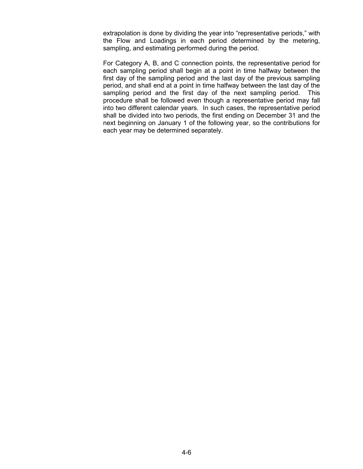extrapolation is done by dividing the year into "representative periods," with the Flow and Loadings in each period determined by the metering, sampling, and estimating performed during the period.

For Category A, B, and C connection points, the representative period for each sampling period shall begin at a point in time halfway between the first day of the sampling period and the last day of the previous sampling period, and shall end at a point in time halfway between the last day of the sampling period and the first day of the next sampling period. This procedure shall be followed even though a representative period may fall into two different calendar years. In such cases, the representative period shall be divided into two periods, the first ending on December 31 and the next beginning on January 1 of the following year, so the contributions for each year may be determined separately.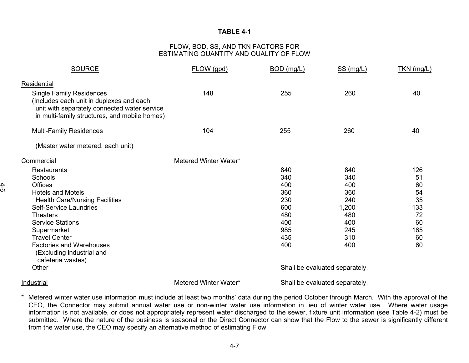#### **TABLE 4-1**

#### FLOW, BOD, SS, AND TKN FACTORS FOR ESTIMATING QUANTITY AND QUALITY OF FLOW

| <b>SOURCE</b>                                                                                                                                                                | FLOW (gpd)            | BOD (mg/L) | SS(mg/L)                       | $TKN$ (mg/L) |
|------------------------------------------------------------------------------------------------------------------------------------------------------------------------------|-----------------------|------------|--------------------------------|--------------|
| <b>Residential</b>                                                                                                                                                           |                       |            |                                |              |
| <b>Single Family Residences</b><br>(Includes each unit in duplexes and each<br>unit with separately connected water service<br>in multi-family structures, and mobile homes) | 148                   | 255        | 260                            | 40           |
| <b>Multi-Family Residences</b>                                                                                                                                               | 104                   | 255        | 260                            | 40           |
| (Master water metered, each unit)                                                                                                                                            |                       |            |                                |              |
| Commercial                                                                                                                                                                   | Metered Winter Water* |            |                                |              |
| <b>Restaurants</b>                                                                                                                                                           |                       | 840        | 840                            | 126          |
| <b>Schools</b>                                                                                                                                                               |                       | 340        | 340                            | 51           |
| <b>Offices</b>                                                                                                                                                               |                       | 400        | 400                            | 60           |
| <b>Hotels and Motels</b>                                                                                                                                                     |                       | 360        | 360                            | 54           |
| <b>Health Care/Nursing Facilities</b>                                                                                                                                        |                       | 230        | 240                            | 35           |
| <b>Self-Service Laundries</b>                                                                                                                                                |                       | 600        | 1,200                          | 133          |
| <b>Theaters</b>                                                                                                                                                              |                       | 480        | 480                            | 72           |
| <b>Service Stations</b>                                                                                                                                                      |                       | 400        | 400                            | 60           |
| Supermarket                                                                                                                                                                  |                       | 985        | 245                            | 165          |
| <b>Travel Center</b>                                                                                                                                                         |                       | 435        | 310                            | 60           |
| <b>Factories and Warehouses</b><br>(Excluding industrial and<br>cafeteria wastes)                                                                                            |                       | 400        | 400                            | 60           |
| Other                                                                                                                                                                        |                       |            | Shall be evaluated separately. |              |
| Industrial                                                                                                                                                                   | Metered Winter Water* |            | Shall be evaluated separately. |              |

4-6

\* Metered winter water use information must include at least two months' data during the period October through March. With the approval of the CEO, the Connector may submit annual water use or non-winter water use information in lieu of winter water use. Where water usage information is not available, or does not appropriately represent water discharged to the sewer, fixture unit information (see Table 4-2) must be submitted. Where the nature of the business is seasonal or the Direct Connector can show that the Flow to the sewer is significantly different from the water use, the CEO may specify an alternative method of estimating Flow.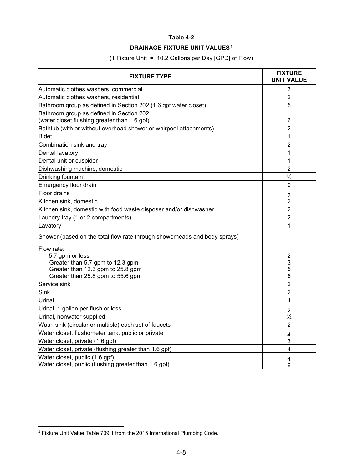#### **Table 4-2**

### **DRAINAGE FIXTURE UNIT VALUES[1](#page-31-0)**

(1 Fixture Unit = 10.2 Gallons per Day [GPD] of Flow)

| <b>FIXTURE TYPE</b>                                                       | <b>FIXTURE</b><br><b>UNIT VALUE</b> |
|---------------------------------------------------------------------------|-------------------------------------|
| Automatic clothes washers, commercial                                     | 3                                   |
| Automatic clothes washers, residential                                    | $\overline{2}$                      |
| Bathroom group as defined in Section 202 (1.6 gpf water closet)           | 5                                   |
| Bathroom group as defined in Section 202                                  |                                     |
| (water closet flushing greater than 1.6 gpf)                              | 6                                   |
| Bathtub (with or without overhead shower or whirpool attachments)         | $\overline{2}$                      |
| <b>Bidet</b>                                                              | 1                                   |
| Combination sink and tray                                                 | $\overline{2}$                      |
| Dental lavatory                                                           | 1                                   |
| Dental unit or cuspidor                                                   | 1                                   |
| Dishwashing machine, domestic                                             | $\overline{2}$                      |
| Drinking fountain                                                         | $\frac{1}{2}$                       |
| Emergency floor drain                                                     | $\mathbf 0$                         |
| <b>Floor drains</b>                                                       | 2                                   |
| Kitchen sink, domestic                                                    | $\overline{2}$                      |
| Kitchen sink, domestic with food waste disposer and/or dishwasher         | $\overline{2}$                      |
| Laundry tray (1 or 2 compartments)                                        | $\overline{2}$                      |
| Lavatory                                                                  | 1                                   |
| Shower (based on the total flow rate through showerheads and body sprays) |                                     |
| Flow rate:                                                                |                                     |
| 5.7 gpm or less                                                           | $\overline{2}$                      |
| Greater than 5.7 gpm to 12.3 gpm                                          | 3                                   |
| Greater than 12.3 gpm to 25.8 gpm<br>Greater than 25.8 gpm to 55.6 gpm    | 5<br>6                              |
| Service sink                                                              | $\overline{2}$                      |
| Sink                                                                      | $\overline{2}$                      |
| Urinal                                                                    | 4                                   |
| Urinal, 1 gallon per flush or less                                        |                                     |
| Urinal, nonwater supplied                                                 | $\mathcal{D}$<br>$\frac{1}{2}$      |
| Wash sink (circular or multiple) each set of faucets                      | $\overline{2}$                      |
| Water closet, flushometer tank, public or private                         |                                     |
| Water closet, private (1.6 gpf)                                           | Δ<br>3                              |
| Water closet, private (flushing greater than 1.6 gpf)                     | 4                                   |
| Water closet, public (1.6 gpf)                                            |                                     |
| Water closet, public (flushing greater than 1.6 gpf)                      | 6                                   |
|                                                                           |                                     |

<span id="page-31-0"></span><sup>&</sup>lt;sup>1</sup> Fixture Unit Value Table 709.1 from the 2015 International Plumbing Code.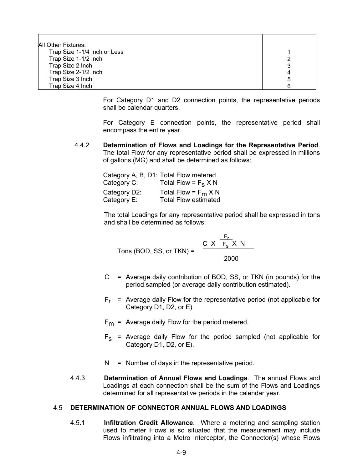| All Other Fixtures:          |   |
|------------------------------|---|
| Trap Size 1-1/4 Inch or Less |   |
| Trap Size 1-1/2 Inch         |   |
| Trap Size 2 Inch             | 3 |
| Trap Size 2-1/2 Inch         |   |
| Trap Size 3 Inch             |   |
| Trap Size 4 Inch             |   |

For Category D1 and D2 connection points, the representative periods shall be calendar quarters.

For Category E connection points, the representative period shall encompass the entire year.

4.4.2 **Determination of Flows and Loadings for the Representative Period**. The total Flow for any representative period shall be expressed in millions of gallons (MG) and shall be determined as follows:

| Category C:  | Category A, B, D1: Total Flow metered<br>Total Flow = $F_S X N$ |
|--------------|-----------------------------------------------------------------|
| Category D2: | Total Flow = $F_m$ X N                                          |
| Category E:  | <b>Total Flow estimated</b>                                     |

The total Loadings for any representative period shall be expressed in tons and shall be determined as follows:

 $F_{\rm r}$ C X F<sub>s</sub> X N Tons (BOD, SS, or TKN) = 2000

- $C =$  Average daily contribution of BOD, SS, or TKN (in pounds) for the period sampled (or average daily contribution estimated).
- $F_r$  = Average daily Flow for the representative period (not applicable for Category D1, D2, or E).
- $F_m$  = Average daily Flow for the period metered.
- $F_S$  = Average daily Flow for the period sampled (not applicable for Category D1, D2, or E).
- $N =$  Number of days in the representative period.
- 4.4.3 **Determination of Annual Flows and Loadings**. The annual Flows and Loadings at each connection shall be the sum of the Flows and Loadings determined for all representative periods in the calendar year.

#### 4.5 **DETERMINATION OF CONNECTOR ANNUAL FLOWS AND LOADINGS**

4.5.1 **Infiltration Credit Allowance**. Where a metering and sampling station used to meter Flows is so situated that the measurement may include Flows infiltrating into a Metro Interceptor, the Connector(s) whose Flows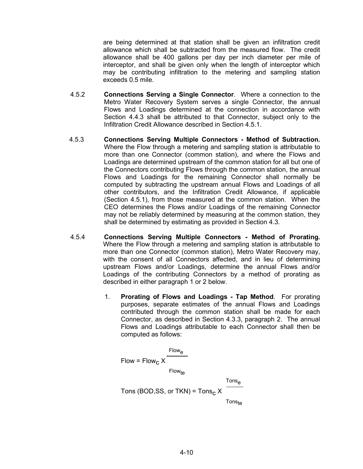are being determined at that station shall be given an infiltration credit allowance which shall be subtracted from the measured flow. The credit allowance shall be 400 gallons per day per inch diameter per mile of interceptor, and shall be given only when the length of interceptor which may be contributing infiltration to the metering and sampling station exceeds 0.5 mile.

- 4.5.2 **Connections Serving a Single Connector**. Where a connection to the Metro Water Recovery System serves a single Connector, the annual Flows and Loadings determined at the connection in accordance with Section 4.4.3 shall be attributed to that Connector, subject only to the Infiltration Credit Allowance described in Section 4.5.1.
- 4.5.3 **Connections Serving Multiple Connectors - Method of Subtraction.** Where the Flow through a metering and sampling station is attributable to more than one Connector (common station), and where the Flows and Loadings are determined upstream of the common station for all but one of the Connectors contributing Flows through the common station, the annual Flows and Loadings for the remaining Connector shall normally be computed by subtracting the upstream annual Flows and Loadings of all other contributors, and the Infiltration Credit Allowance, if applicable (Section 4.5.1), from those measured at the common station. When the CEO determines the Flows and/or Loadings of the remaining Connector may not be reliably determined by measuring at the common station, they shall be determined by estimating as provided in Section 4.3.
- 4.5.4 **Connections Serving Multiple Connectors - Method of Prorating.** Where the Flow through a metering and sampling station is attributable to more than one Connector (common station), Metro Water Recovery may, with the consent of all Connectors affected, and in lieu of determining upstream Flows and/or Loadings, determine the annual Flows and/or Loadings of the contributing Connectors by a method of prorating as described in either paragraph 1 or 2 below.
	- 1. **Prorating of Flows and Loadings - Tap Method**. For prorating purposes, separate estimates of the annual Flows and Loadings contributed through the common station shall be made for each Connector, as described in Section 4.3.3, paragraph 2. The annual Flows and Loadings attributable to each Connector shall then be computed as follows:

Flow = Flow<sub>c</sub> 
$$
X
$$
  
Flow<sub>te</sub>  
Flow<sub>te</sub>  
Tons (BOD,SS, or TKN) = Tons<sub>c</sub>  $X$   
Tons<sub>te</sub>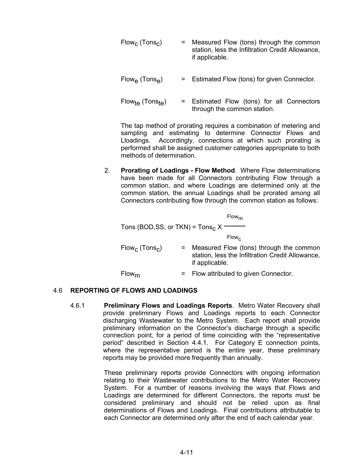| $Flowc$ (Tons <sub>c</sub> )             | $=$ | Measured Flow (tons) through the common<br>station, less the Infiltration Credit Allowance,<br>if applicable. |
|------------------------------------------|-----|---------------------------------------------------------------------------------------------------------------|
| $Flow_{\mathsf{A}}$ (Tons <sub>e</sub> ) |     | = Estimated Flow (tons) for given Connector.                                                                  |
| $Flow_{te}$ (Tons <sub>te</sub> )        |     | = Estimated Flow (tons) for all Connectors<br>through the common station.                                     |

The tap method of prorating requires a combination of metering and sampling and estimating to determine Connector Flows and Lloadings. Accordingly, connections at which such prorating is performed shall be assigned customer categories appropriate to both methods of determination.

2. **Prorating of Loadings - Flow Method**. Where Flow determinations have been made for all Connectors contributing Flow through a common station, and where Loadings are determined only at the common station, the annual Loadings shall be prorated among all Connectors contributing flow through the common station as follows:

Thus, 
$$
1000, SS
$$
, or  $TKN$  =  $Tons_C X$ 

\nFrom,  $1000, SS$ , or  $TKN$  =  $1000$  (Ions)  
\n $1000$  =  $1000$  (Ions)  
\n $1000$  =  $1000$  (Ions)  
\n $1000$  =  $1000$  =  $1000$  (Ions)  
\n $1000$  =  $1000$  at the initial value of  $1000$  =  $1000$  at the initial value of  $1000$  =  $1000$  at the initial value of  $1000$  =  $1000$  at the initial value of  $1000$  =  $1000$  at the initial value of  $1000$  =  $1000$  at the initial value of  $1000$  =  $1000$  at the initial value of  $1000$  =  $1000$  =  $1000$  at the initial value of  $1000$  =  $1000$  =  $1000$  =  $1000$  =  $1000$  =  $1000$  =  $1000$  =  $1000$  =  $1000$  =  $1000$  =  $1000$  =  $1000$  =  $1000$  =  $1000$  =  $1000$  =  $1000$  =  $1000$  =  $1000$  =  $1000$  =  $1000$  =  $1000$  =  $1000$  =  $1000$  =  $1000$  =  $1000$  =  $1000$  =  $1000$  =  $1000$  =  $1000$  =  $1000$  =  $1000$  =  $1000$  =  $1000$  =  $1000$ 

#### 4.6 **REPORTING OF FLOWS AND LOADINGS**

4.6.1 **Preliminary Flows and Loadings Reports**. Metro Water Recovery shall provide preliminary Flows and Loadings reports to each Connector discharging Wastewater to the Metro System. Each report shall provide preliminary information on the Connector's discharge through a specific connection point, for a period of time coinciding with the "representative period" described in Section 4.4.1. For Category E connection points, where the representative period is the entire year, these preliminary reports may be provided more frequently than annually.

> These preliminary reports provide Connectors with ongoing information relating to their Wastewater contributions to the Metro Water Recovery System. For a number of reasons involving the ways that Flows and Loadings are determined for different Connectors, the reports must be considered preliminary and should not be relied upon as final determinations of Flows and Loadings. Final contributions attributable to each Connector are determined only after the end of each calendar year.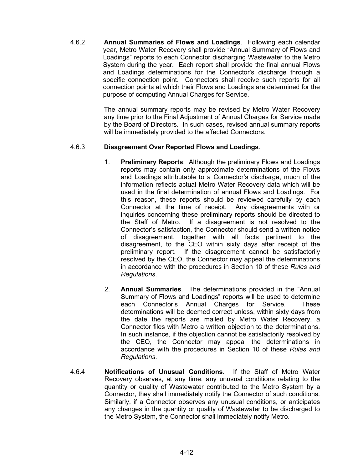4.6.2 **Annual Summaries of Flows and Loadings**. Following each calendar year, Metro Water Recovery shall provide "Annual Summary of Flows and Loadings" reports to each Connector discharging Wastewater to the Metro System during the year. Each report shall provide the final annual Flows and Loadings determinations for the Connector's discharge through a specific connection point. Connectors shall receive such reports for all connection points at which their Flows and Loadings are determined for the purpose of computing Annual Charges for Service.

> The annual summary reports may be revised by Metro Water Recovery any time prior to the Final Adjustment of Annual Charges for Service made by the Board of Directors. In such cases, revised annual summary reports will be immediately provided to the affected Connectors.

#### 4.6.3 **Disagreement Over Reported Flows and Loadings**.

- 1. **Preliminary Reports**. Although the preliminary Flows and Loadings reports may contain only approximate determinations of the Flows and Loadings attributable to a Connector's discharge, much of the information reflects actual Metro Water Recovery data which will be used in the final determination of annual Flows and Loadings. For this reason, these reports should be reviewed carefully by each Connector at the time of receipt. Any disagreements with or inquiries concerning these preliminary reports should be directed to the Staff of Metro. If a disagreement is not resolved to the Connector's satisfaction, the Connector should send a written notice of disagreement, together with all facts pertinent to the disagreement, to the CEO within sixty days after receipt of the preliminary report. If the disagreement cannot be satisfactorily resolved by the CEO, the Connector may appeal the determinations in accordance with the procedures in Section 10 of these *Rules and Regulations*.
- 2. **Annual Summaries**. The determinations provided in the "Annual Summary of Flows and Loadings" reports will be used to determine each Connector's Annual Charges for Service. These determinations will be deemed correct unless, within sixty days from the date the reports are mailed by Metro Water Recovery, a Connector files with Metro a written objection to the determinations. In such instance, if the objection cannot be satisfactorily resolved by the CEO, the Connector may appeal the determinations in accordance with the procedures in Section 10 of these *Rules and Regulations*.
- 4.6.4 **Notifications of Unusual Conditions**. If the Staff of Metro Water Recovery observes, at any time, any unusual conditions relating to the quantity or quality of Wastewater contributed to the Metro System by a Connector, they shall immediately notify the Connector of such conditions. Similarly, if a Connector observes any unusual conditions, or anticipates any changes in the quantity or quality of Wastewater to be discharged to the Metro System, the Connector shall immediately notify Metro.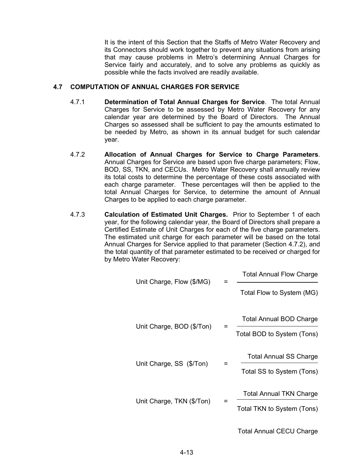It is the intent of this Section that the Staffs of Metro Water Recovery and its Connectors should work together to prevent any situations from arising that may cause problems in Metro's determining Annual Charges for Service fairly and accurately, and to solve any problems as quickly as possible while the facts involved are readily available.

#### **4.7 COMPUTATION OF ANNUAL CHARGES FOR SERVICE**

- 4.7.1 **Determination of Total Annual Charges for Service**. The total Annual Charges for Service to be assessed by Metro Water Recovery for any calendar year are determined by the Board of Directors. The Annual Charges so assessed shall be sufficient to pay the amounts estimated to be needed by Metro, as shown in its annual budget for such calendar year.
- 4.7.2 **Allocation of Annual Charges for Service to Charge Parameters**. Annual Charges for Service are based upon five charge parameters; Flow, BOD, SS, TKN, and CECUs. Metro Water Recovery shall annually review its total costs to determine the percentage of these costs associated with each charge parameter. These percentages will then be applied to the total Annual Charges for Service, to determine the amount of Annual Charges to be applied to each charge parameter.
- 4.7.3 **Calculation of Estimated Unit Charges.** Prior to September 1 of each year, for the following calendar year, the Board of Directors shall prepare a Certified Estimate of Unit Charges for each of the five charge parameters. The estimated unit charge for each parameter will be based on the total Annual Charges for Service applied to that parameter (Section 4.7.2), and the total quantity of that parameter estimated to be received or charged for by Metro Water Recovery:

| Unit Charge, Flow (\$/MG) | <b>Total Annual Flow Charge</b><br>Total Flow to System (MG) |
|---------------------------|--------------------------------------------------------------|
| Unit Charge, BOD (\$/Ton) | <b>Total Annual BOD Charge</b><br>Total BOD to System (Tons) |
| Unit Charge, SS (\$/Ton)  | <b>Total Annual SS Charge</b><br>Total SS to System (Tons)   |
| Unit Charge, TKN (\$/Ton) | <b>Total Annual TKN Charge</b><br>Total TKN to System (Tons) |
|                           | <b>Total Annual CECU Charge</b>                              |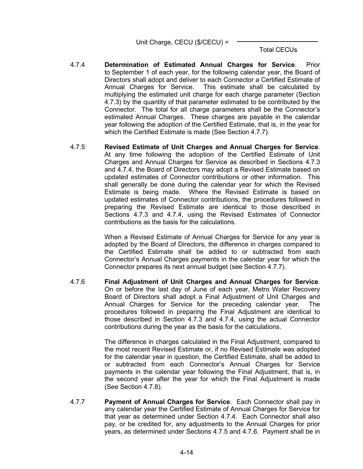Unit Charge, CECU (\$/CECU) =

### Total CECUs

- 4.7.4 **Determination of Estimated Annual Charges for Service**. Prior to September 1 of each year, for the following calendar year, the Board of Directors shall adopt and deliver to each Connector a Certified Estimate of Annual Charges for Service. This estimate shall be calculated by multiplying the estimated unit charge for each charge parameter (Section 4.7.3) by the quantity of that parameter estimated to be contributed by the Connector. The total for all charge parameters shall be the Connector's estimated Annual Charges. These charges are payable in the calendar year following the adoption of the Certified Estimate, that is, in the year for which the Certified Estimate is made (See Section 4.7.7).
- 4.7.5 **Revised Estimate of Unit Charges and Annual Charges for Service**. At any time following the adoption of the Certified Estimate of Unit Charges and Annual Charges for Service as described in Sections 4.7.3 and 4.7.4, the Board of Directors may adopt a Revised Estimate based on updated estimates of Connector contributions or other information. This shall generally be done during the calendar year for which the Revised Estimate is being made. Where the Revised Estimate is based on updated estimates of Connector contributions, the procedures followed in preparing the Revised Estimate are identical to those described in Sections 4.7.3 and 4.7.4, using the Revised Estimates of Connector contributions as the basis for the calculations.

When a Revised Estimate of Annual Charges for Service for any year is adopted by the Board of Directors, the difference in charges compared to the Certified Estimate shall be added to or subtracted from each Connector's Annual Charges payments in the calendar year for which the Connector prepares its next annual budget (see Section 4.7.7).

4.7.6 **Final Adjustment of Unit Charges and Annual Charges for Service**. On or before the last day of June of each year, Metro Water Recovery Board of Directors shall adopt a Final Adjustment of Unit Charges and Annual Charges for Service for the preceding calendar year. The procedures followed in preparing the Final Adjustment are identical to those described in Section 4.7.3 and 4.7.4, using the actual Connector contributions during the year as the basis for the calculations.

> The difference in charges calculated in the Final Adjustment, compared to the most recent Revised Estimate or, if no Revised Estimate was adopted for the calendar year in question, the Certified Estimate, shall be added to or subtracted from each Connector's Annual Charges for Service payments in the calendar year following the Final Adjustment, that is, in the second year after the year for which the Final Adjustment is made (See Section 4.7.8).

4.7.7 **Payment of Annual Charges for Service**. Each Connector shall pay in any calendar year the Certified Estimate of Annual Charges for Service for that year as determined under Section 4.7.4. Each Connector shall also pay, or be credited for, any adjustments to the Annual Charges for prior years, as determined under Sections 4.7.5 and 4.7.6. Payment shall be in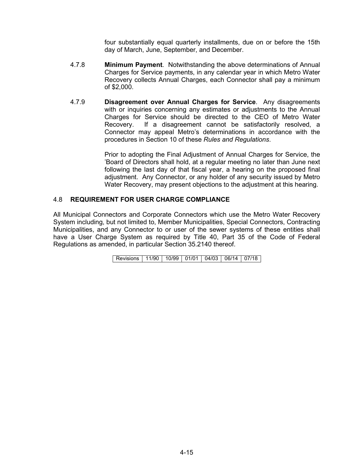four substantially equal quarterly installments, due on or before the 15th day of March, June, September, and December.

- 4.7.8 **Minimum Payment**. Notwithstanding the above determinations of Annual Charges for Service payments, in any calendar year in which Metro Water Recovery collects Annual Charges, each Connector shall pay a minimum of \$2,000.
- 4.7.9 **Disagreement over Annual Charges for Service**. Any disagreements with or inquiries concerning any estimates or adjustments to the Annual Charges for Service should be directed to the CEO of Metro Water Recovery. If a disagreement cannot be satisfactorily resolved, a Connector may appeal Metro's determinations in accordance with the procedures in Section 10 of these *Rules and Regulations*.

Prior to adopting the Final Adjustment of Annual Charges for Service, the 'Board of Directors shall hold, at a regular meeting no later than June next following the last day of that fiscal year, a hearing on the proposed final adjustment. Any Connector, or any holder of any security issued by Metro Water Recovery, may present objections to the adjustment at this hearing.

### 4.8 **REQUIREMENT FOR USER CHARGE COMPLIANCE**

All Municipal Connectors and Corporate Connectors which use the Metro Water Recovery System including, but not limited to, Member Municipalities, Special Connectors, Contracting Municipalities, and any Connector to or user of the sewer systems of these entities shall have a User Charge System as required by Title 40, Part 35 of the Code of Federal Regulations as amended, in particular Section 35.2140 thereof.

| Revisions   11/90   10/99   01/01   04/03   06/14   07/18 |  |  |  |
|-----------------------------------------------------------|--|--|--|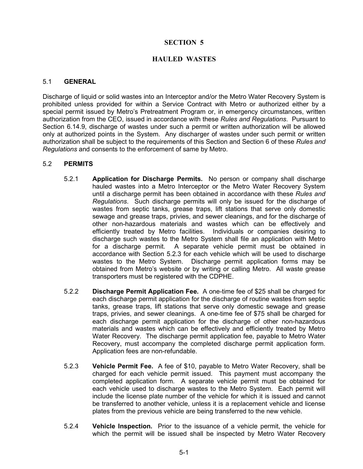### **SECTION 5**

## **HAULED WASTES**

#### 5.1 **GENERAL**

Discharge of liquid or solid wastes into an Interceptor and/or the Metro Water Recovery System is prohibited unless provided for within a Service Contract with Metro or authorized either by a special permit issued by Metro's Pretreatment Program or, in emergency circumstances, written authorization from the CEO, issued in accordance with these *Rules and Regulations*. Pursuant to Section 6.14.9, discharge of wastes under such a permit or written authorization will be allowed only at authorized points in the System. Any discharger of wastes under such permit or written authorization shall be subject to the requirements of this Section and Section 6 of these *Rules and Regulations* and consents to the enforcement of same by Metro.

#### 5.2 **PERMITS**

- 5.2.1 **Application for Discharge Permits.** No person or company shall discharge hauled wastes into a Metro Interceptor or the Metro Water Recovery System until a discharge permit has been obtained in accordance with these *Rules and Regulations*. Such discharge permits will only be issued for the discharge of wastes from septic tanks, grease traps, lift stations that serve only domestic sewage and grease traps, privies, and sewer cleanings, and for the discharge of other non-hazardous materials and wastes which can be effectively and efficiently treated by Metro facilities. Individuals or companies desiring to efficiently treated by Metro facilities. discharge such wastes to the Metro System shall file an application with Metro for a discharge permit. A separate vehicle permit must be obtained in accordance with Section 5.2.3 for each vehicle which will be used to discharge wastes to the Metro System. Discharge permit application forms may be obtained from Metro's website or by writing or calling Metro. All waste grease transporters must be registered with the CDPHE.
- 5.2.2 **Discharge Permit Application Fee.** A one-time fee of \$25 shall be charged for each discharge permit application for the discharge of routine wastes from septic tanks, grease traps, lift stations that serve only domestic sewage and grease traps, privies, and sewer cleanings. A one-time fee of \$75 shall be charged for each discharge permit application for the discharge of other non-hazardous materials and wastes which can be effectively and efficiently treated by Metro Water Recovery. The discharge permit application fee, payable to Metro Water Recovery, must accompany the completed discharge permit application form. Application fees are non-refundable.
- 5.2.3 **Vehicle Permit Fee.** A fee of \$10, payable to Metro Water Recovery, shall be charged for each vehicle permit issued. This payment must accompany the completed application form. A separate vehicle permit must be obtained for each vehicle used to discharge wastes to the Metro System. Each permit will include the license plate number of the vehicle for which it is issued and cannot be transferred to another vehicle, unless it is a replacement vehicle and license plates from the previous vehicle are being transferred to the new vehicle.
- 5.2.4 **Vehicle Inspection.** Prior to the issuance of a vehicle permit, the vehicle for which the permit will be issued shall be inspected by Metro Water Recovery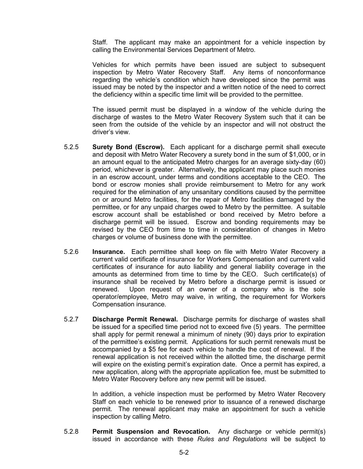Staff. The applicant may make an appointment for a vehicle inspection by calling the Environmental Services Department of Metro.

Vehicles for which permits have been issued are subject to subsequent inspection by Metro Water Recovery Staff. Any items of nonconformance regarding the vehicle's condition which have developed since the permit was issued may be noted by the inspector and a written notice of the need to correct the deficiency within a specific time limit will be provided to the permittee.

The issued permit must be displayed in a window of the vehicle during the discharge of wastes to the Metro Water Recovery System such that it can be seen from the outside of the vehicle by an inspector and will not obstruct the driver's view.

- 5.2.5 **Surety Bond (Escrow).** Each applicant for a discharge permit shall execute and deposit with Metro Water Recovery a surety bond in the sum of \$1,000, or in an amount equal to the anticipated Metro charges for an average sixty-day (60) period, whichever is greater. Alternatively, the applicant may place such monies in an escrow account, under terms and conditions acceptable to the CEO. The bond or escrow monies shall provide reimbursement to Metro for any work required for the elimination of any unsanitary conditions caused by the permittee on or around Metro facilities, for the repair of Metro facilities damaged by the permittee, or for any unpaid charges owed to Metro by the permittee. A suitable escrow account shall be established or bond received by Metro before a discharge permit will be issued. Escrow and bonding requirements may be revised by the CEO from time to time in consideration of changes in Metro charges or volume of business done with the permittee.
- 5.2.6 **Insurance.** Each permittee shall keep on file with Metro Water Recovery a current valid certificate of insurance for Workers Compensation and current valid certificates of insurance for auto liability and general liability coverage in the amounts as determined from time to time by the CEO. Such certificate(s) of insurance shall be received by Metro before a discharge permit is issued or renewed. Upon request of an owner of a company who is the sole operator/employee, Metro may waive, in writing, the requirement for Workers Compensation insurance.
- 5.2.7 **Discharge Permit Renewal.** Discharge permits for discharge of wastes shall be issued for a specified time period not to exceed five (5) years. The permittee shall apply for permit renewal a minimum of ninety (90) days prior to expiration of the permittee's existing permit. Applications for such permit renewals must be accompanied by a \$5 fee for each vehicle to handle the cost of renewal. If the renewal application is not received within the allotted time, the discharge permit will expire on the existing permit's expiration date. Once a permit has expired, a new application, along with the appropriate application fee, must be submitted to Metro Water Recovery before any new permit will be issued.

In addition, a vehicle inspection must be performed by Metro Water Recovery Staff on each vehicle to be renewed prior to issuance of a renewed discharge permit. The renewal applicant may make an appointment for such a vehicle inspection by calling Metro.

5.2.8 **Permit Suspension and Revocation.** Any discharge or vehicle permit(s) issued in accordance with these *Rules and Regulations* will be subject to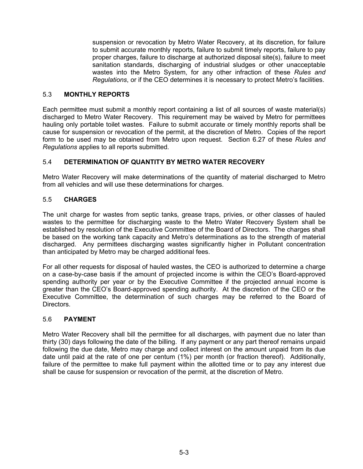suspension or revocation by Metro Water Recovery, at its discretion, for failure to submit accurate monthly reports, failure to submit timely reports, failure to pay proper charges, failure to discharge at authorized disposal site(s), failure to meet sanitation standards, discharging of industrial sludges or other unacceptable wastes into the Metro System, for any other infraction of these *Rules and Regulations*, or if the CEO determines it is necessary to protect Metro's facilities.

## 5.3 **MONTHLY REPORTS**

Each permittee must submit a monthly report containing a list of all sources of waste material(s) discharged to Metro Water Recovery. This requirement may be waived by Metro for permittees hauling only portable toilet wastes. Failure to submit accurate or timely monthly reports shall be cause for suspension or revocation of the permit, at the discretion of Metro. Copies of the report form to be used may be obtained from Metro upon request. Section 6.27 of these *Rules and Regulations* applies to all reports submitted.

# 5.4 **DETERMINATION OF QUANTITY BY METRO WATER RECOVERY**

Metro Water Recovery will make determinations of the quantity of material discharged to Metro from all vehicles and will use these determinations for charges.

### 5.5 **CHARGES**

The unit charge for wastes from septic tanks, grease traps, privies, or other classes of hauled wastes to the permittee for discharging waste to the Metro Water Recovery System shall be established by resolution of the Executive Committee of the Board of Directors. The charges shall be based on the working tank capacity and Metro's determinations as to the strength of material discharged. Any permittees discharging wastes significantly higher in Pollutant concentration than anticipated by Metro may be charged additional fees.

For all other requests for disposal of hauled wastes, the CEO is authorized to determine a charge on a case-by-case basis if the amount of projected income is within the CEO's Board-approved spending authority per year or by the Executive Committee if the projected annual income is greater than the CEO's Board-approved spending authority. At the discretion of the CEO or the Executive Committee, the determination of such charges may be referred to the Board of **Directors** 

### 5.6 **PAYMENT**

Metro Water Recovery shall bill the permittee for all discharges, with payment due no later than thirty (30) days following the date of the billing. If any payment or any part thereof remains unpaid following the due date, Metro may charge and collect interest on the amount unpaid from its due date until paid at the rate of one per centum (1%) per month (or fraction thereof). Additionally, failure of the permittee to make full payment within the allotted time or to pay any interest due shall be cause for suspension or revocation of the permit, at the discretion of Metro.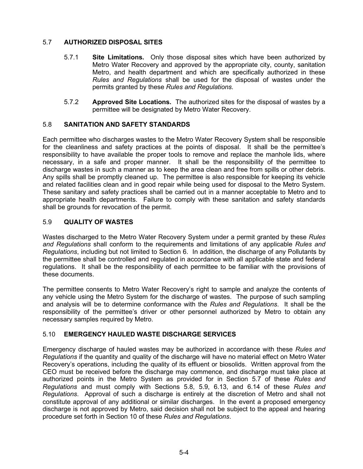# 5.7 **AUTHORIZED DISPOSAL SITES**

- 5.7.1 **Site Limitations.** Only those disposal sites which have been authorized by Metro Water Recovery and approved by the appropriate city, county, sanitation Metro, and health department and which are specifically authorized in these *Rules and Regulations* shall be used for the disposal of wastes under the permits granted by these *Rules and Regulations*.
- 5.7.2 **Approved Site Locations.** The authorized sites for the disposal of wastes by a permittee will be designated by Metro Water Recovery.

## 5.8 **SANITATION AND SAFETY STANDARDS**

Each permittee who discharges wastes to the Metro Water Recovery System shall be responsible for the cleanliness and safety practices at the points of disposal. It shall be the permittee's responsibility to have available the proper tools to remove and replace the manhole lids, where necessary, in a safe and proper manner. It shall be the responsibility of the permittee to discharge wastes in such a manner as to keep the area clean and free from spills or other debris. Any spills shall be promptly cleaned up. The permittee is also responsible for keeping its vehicle and related facilities clean and in good repair while being used for disposal to the Metro System. These sanitary and safety practices shall be carried out in a manner acceptable to Metro and to appropriate health departments. Failure to comply with these sanitation and safety standards shall be grounds for revocation of the permit.

#### 5.9 **QUALITY OF WASTES**

Wastes discharged to the Metro Water Recovery System under a permit granted by these *Rules and Regulations* shall conform to the requirements and limitations of any applicable *Rules and Regulations*, including but not limited to Section 6. In addition, the discharge of any Pollutants by the permittee shall be controlled and regulated in accordance with all applicable state and federal regulations. It shall be the responsibility of each permittee to be familiar with the provisions of these documents.

The permittee consents to Metro Water Recovery's right to sample and analyze the contents of any vehicle using the Metro System for the discharge of wastes. The purpose of such sampling and analysis will be to determine conformance with the *Rules and Regulations*. It shall be the responsibility of the permittee's driver or other personnel authorized by Metro to obtain any necessary samples required by Metro.

### 5.10 **EMERGENCY HAULED WASTE DISCHARGE SERVICES**

Emergency discharge of hauled wastes may be authorized in accordance with these *Rules and Regulations* if the quantity and quality of the discharge will have no material effect on Metro Water Recovery's operations, including the quality of its effluent or biosolids. Written approval from the CEO must be received before the discharge may commence, and discharge must take place at authorized points in the Metro System as provided for in Section 5.7 of these *Rules and Regulations* and must comply with Sections 5.8, 5.9, 6.13, and 6.14 of these *Rules and Regulations*. Approval of such a discharge is entirely at the discretion of Metro and shall not constitute approval of any additional or similar discharges. In the event a proposed emergency discharge is not approved by Metro, said decision shall not be subject to the appeal and hearing procedure set forth in Section 10 of these *Rules and Regulations*.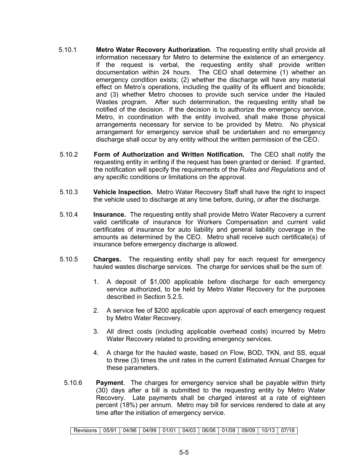- 5.10.1 **Metro Water Recovery Authorization.** The requesting entity shall provide all information necessary for Metro to determine the existence of an emergency. If the request is verbal, the requesting entity shall provide written documentation within 24 hours. The CEO shall determine (1) whether an emergency condition exists; (2) whether the discharge will have any material effect on Metro's operations, including the quality of its effluent and biosolids; and (3) whether Metro chooses to provide such service under the Hauled Wastes program. After such determination, the requesting entity shall be notified of the decision. If the decision is to authorize the emergency service, Metro, in coordination with the entity involved, shall make those physical arrangements necessary for service to be provided by Metro. No physical arrangement for emergency service shall be undertaken and no emergency discharge shall occur by any entity without the written permission of the CEO.
- 5.10.2 **Form of Authorization and Written Notification.** The CEO shall notify the requesting entity in writing if the request has been granted or denied. If granted, the notification will specify the requirements of the *Rules and Regulations* and of any specific conditions or limitations on the approval.
- 5.10.3 **Vehicle Inspection.** Metro Water Recovery Staff shall have the right to inspect the vehicle used to discharge at any time before, during, or after the discharge.
- 5.10.4 **Insurance.** The requesting entity shall provide Metro Water Recovery a current valid certificate of insurance for Workers Compensation and current valid certificates of insurance for auto liability and general liability coverage in the amounts as determined by the CEO. Metro shall receive such certificate(s) of insurance before emergency discharge is allowed.
- 5.10.5 **Charges.** The requesting entity shall pay for each request for emergency hauled wastes discharge services. The charge for services shall be the sum of:
	- 1. A deposit of \$1,000 applicable before discharge for each emergency service authorized, to be held by Metro Water Recovery for the purposes described in Section 5.2.5.
	- 2. A service fee of \$200 applicable upon approval of each emergency request by Metro Water Recovery.
	- 3. All direct costs (including applicable overhead costs) incurred by Metro Water Recovery related to providing emergency services.
	- 4. A charge for the hauled waste, based on Flow, BOD, TKN, and SS, equal to three (3) times the unit rates in the current Estimated Annual Charges for these parameters.
	- 5.10.6 **Payment**. The charges for emergency service shall be payable within thirty (30) days after a bill is submitted to the requesting entity by Metro Water Recovery. Late payments shall be charged interest at a rate of eighteen percent (18%) per annum. Metro may bill for services rendered to date at any time after the initiation of emergency service.

Revisions 05/91 04/96 04/99 01/01 04/03 06/06 01/08 09/09 10/13 07/18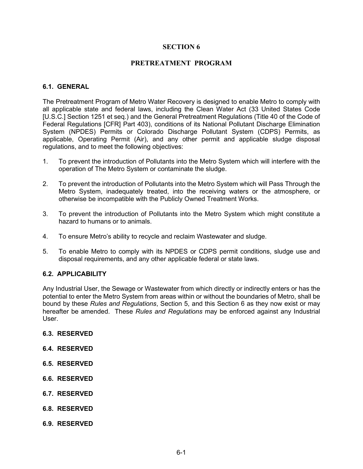### **SECTION 6**

#### **PRETREATMENT PROGRAM**

#### **6.1. GENERAL**

The Pretreatment Program of Metro Water Recovery is designed to enable Metro to comply with all applicable state and federal laws, including the Clean Water Act (33 United States Code [U.S.C.] Section 1251 et seq.) and the General Pretreatment Regulations (Title 40 of the Code of Federal Regulations [CFR] Part 403), conditions of its National Pollutant Discharge Elimination System (NPDES) Permits or Colorado Discharge Pollutant System (CDPS) Permits, as applicable, Operating Permit (Air), and any other permit and applicable sludge disposal regulations, and to meet the following objectives:

- 1. To prevent the introduction of Pollutants into the Metro System which will interfere with the operation of The Metro System or contaminate the sludge.
- 2. To prevent the introduction of Pollutants into the Metro System which will Pass Through the Metro System, inadequately treated, into the receiving waters or the atmosphere, or otherwise be incompatible with the Publicly Owned Treatment Works.
- 3. To prevent the introduction of Pollutants into the Metro System which might constitute a hazard to humans or to animals.
- 4. To ensure Metro's ability to recycle and reclaim Wastewater and sludge.
- 5. To enable Metro to comply with its NPDES or CDPS permit conditions, sludge use and disposal requirements, and any other applicable federal or state laws.

#### **6.2. APPLICABILITY**

Any Industrial User, the Sewage or Wastewater from which directly or indirectly enters or has the potential to enter the Metro System from areas within or without the boundaries of Metro, shall be bound by these *Rules and Regulations*, Section 5, and this Section 6 as they now exist or may hereafter be amended. These *Rules and Regulations* may be enforced against any Industrial User.

- **6.3. RESERVED**
- **6.4. RESERVED**
- **6.5. RESERVED**
- **6.6. RESERVED**
- **6.7. RESERVED**
- **6.8. RESERVED**
- **6.9. RESERVED**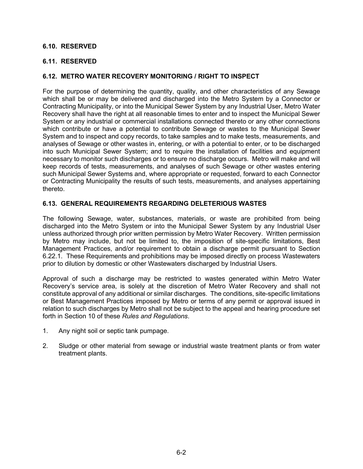### **6.10. RESERVED**

## **6.11. RESERVED**

## **6.12. METRO WATER RECOVERY MONITORING / RIGHT TO INSPECT**

For the purpose of determining the quantity, quality, and other characteristics of any Sewage which shall be or may be delivered and discharged into the Metro System by a Connector or Contracting Municipality, or into the Municipal Sewer System by any Industrial User, Metro Water Recovery shall have the right at all reasonable times to enter and to inspect the Municipal Sewer System or any industrial or commercial installations connected thereto or any other connections which contribute or have a potential to contribute Sewage or wastes to the Municipal Sewer System and to inspect and copy records, to take samples and to make tests, measurements, and analyses of Sewage or other wastes in, entering, or with a potential to enter, or to be discharged into such Municipal Sewer System; and to require the installation of facilities and equipment necessary to monitor such discharges or to ensure no discharge occurs. Metro will make and will keep records of tests, measurements, and analyses of such Sewage or other wastes entering such Municipal Sewer Systems and, where appropriate or requested, forward to each Connector or Contracting Municipality the results of such tests, measurements, and analyses appertaining thereto.

### **6.13. GENERAL REQUIREMENTS REGARDING DELETERIOUS WASTES**

The following Sewage, water, substances, materials, or waste are prohibited from being discharged into the Metro System or into the Municipal Sewer System by any Industrial User unless authorized through prior written permission by Metro Water Recovery. Written permission by Metro may include, but not be limited to, the imposition of site-specific limitations, Best Management Practices, and/or requirement to obtain a discharge permit pursuant to Section 6.22.1. These Requirements and prohibitions may be imposed directly on process Wastewaters prior to dilution by domestic or other Wastewaters discharged by Industrial Users.

Approval of such a discharge may be restricted to wastes generated within Metro Water Recovery's service area, is solely at the discretion of Metro Water Recovery and shall not constitute approval of any additional or similar discharges. The conditions, site-specific limitations or Best Management Practices imposed by Metro or terms of any permit or approval issued in relation to such discharges by Metro shall not be subject to the appeal and hearing procedure set forth in Section 10 of these *Rules and Regulations*.

- 1. Any night soil or septic tank pumpage.
- 2. Sludge or other material from sewage or industrial waste treatment plants or from water treatment plants.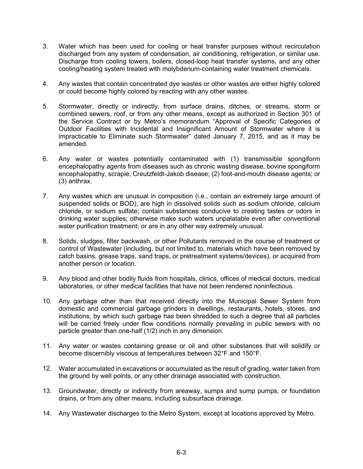- 3. Water which has been used for cooling or heat transfer purposes without recirculation discharged from any system of condensation, air conditioning, refrigeration, or similar use. Discharge from cooling towers, boilers, closed-loop heat transfer systems, and any other cooling/heating system treated with molybdenum-containing water treatment chemicals.
- 4. Any wastes that contain concentrated dye wastes or other wastes are either highly colored or could become highly colored by reacting with any other wastes.
- 5. Stormwater, directly or indirectly, from surface drains, ditches, or streams, storm or combined sewers, roof, or from any other means, except as authorized in Section 301 of the Service Contract or by Metro's memorandum "Approval of Specific Categories of Outdoor Facilities with Incidental and Insignificant Amount of Stormwater where it is impracticable to Eliminate such Stormwater" dated January 7, 2015, and as it may be amended.
- 6. Any water or wastes potentially contaminated with (1) transmissible spongiform encephalopathy agents from diseases such as chronic wasting disease, bovine spongiform encephalopathy, scrapie, Creutzfeldt-Jakob disease; (2) foot-and-mouth disease agents; or (3) anthrax.
- 7. Any wastes which are unusual in composition (i.e., contain an extremely large amount of suspended solids or BOD); are high in dissolved solids such as sodium chloride, calcium chloride, or sodium sulfate; contain substances conducive to creating tastes or odors in drinking water supplies; otherwise make such waters unpalatable even after conventional water purification treatment; or are in any other way extremely unusual.
- 8. Solids, sludges, filter backwash, or other Pollutants removed in the course of treatment or control of Wastewater (including, but not limited to, materials which have been removed by catch basins, grease traps, sand traps, or pretreatment systems/devices), or acquired from another person or location.
- 9. Any blood and other bodily fluids from hospitals, clinics, offices of medical doctors, medical laboratories, or other medical facilities that have not been rendered noninfectious.
- 10. Any garbage other than that received directly into the Municipal Sewer System from domestic and commercial garbage grinders in dwellings, restaurants, hotels, stores, and institutions, by which such garbage has been shredded to such a degree that all particles will be carried freely under flow conditions normally prevailing in public sewers with no particle greater than one-half (1/2) inch in any dimension.
- 11. Any water or wastes containing grease or oil and other substances that will solidify or become discernibly viscous at temperatures between 32°F and 150°F.
- 12. Water accumulated in excavations or accumulated as the result of grading, water taken from the ground by well points, or any other drainage associated with construction.
- 13. Groundwater, directly or indirectly from areaway, sumps and sump pumps, or foundation drains, or from any other means, including subsurface drainage.
- 14. Any Wastewater discharges to the Metro System, except at locations approved by Metro.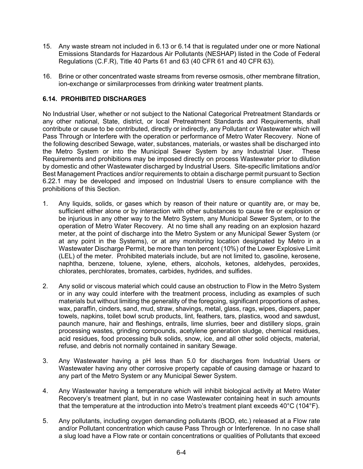- 15. Any waste stream not included in 6.13 or 6.14 that is regulated under one or more National Emissions Standards for Hazardous Air Pollutants (NESHAP) listed in the Code of Federal Regulations (C.F.R), Title 40 Parts 61 and 63 (40 CFR 61 and 40 CFR 63).
- 16. Brine or other concentrated waste streams from reverse osmosis, other membrane filtration, ion-exchange or similarprocesses from drinking water treatment plants.

## **6.14. PROHIBITED DISCHARGES**

No Industrial User, whether or not subject to the National Categorical Pretreatment Standards or any other national, State, district, or local Pretreatment Standards and Requirements, shall contribute or cause to be contributed, directly or indirectly, any Pollutant or Wastewater which will Pass Through or Interfere with the operation or performance of Metro Water Recovery. None of the following described Sewage, water, substances, materials, or wastes shall be discharged into the Metro System or into the Municipal Sewer System by any Industrial User. These Requirements and prohibitions may be imposed directly on process Wastewater prior to dilution by domestic and other Wastewater discharged by Industrial Users. Site-specific limitations and/or Best Management Practices and/or requirements to obtain a discharge permit pursuant to Section 6.22.1 may be developed and imposed on Industrial Users to ensure compliance with the prohibitions of this Section.

- 1. Any liquids, solids, or gases which by reason of their nature or quantity are, or may be, sufficient either alone or by interaction with other substances to cause fire or explosion or be injurious in any other way to the Metro System, any Municipal Sewer System, or to the operation of Metro Water Recovery. At no time shall any reading on an explosion hazard meter, at the point of discharge into the Metro System or any Municipal Sewer System (or at any point in the Systems), or at any monitoring location designated by Metro in a Wastewater Discharge Permit, be more than ten percent (10%) of the Lower Explosive Limit (LEL) of the meter. Prohibited materials include, but are not limited to, gasoline, kerosene, naphtha, benzene, toluene, xylene, ethers, alcohols, ketones, aldehydes, peroxides, chlorates, perchlorates, bromates, carbides, hydrides, and sulfides.
- 2. Any solid or viscous material which could cause an obstruction to Flow in the Metro System or in any way could interfere with the treatment process, including as examples of such materials but without limiting the generality of the foregoing, significant proportions of ashes, wax, paraffin, cinders, sand, mud, straw, shavings, metal, glass, rags, wipes, diapers, paper towels, napkins, toilet bowl scrub products, lint, feathers, tars, plastics, wood and sawdust, paunch manure, hair and fleshings, entrails, lime slurries, beer and distillery slops, grain processing wastes, grinding compounds, acetylene generation sludge, chemical residues, acid residues, food processing bulk solids, snow, ice, and all other solid objects, material, refuse, and debris not normally contained in sanitary Sewage.
- 3. Any Wastewater having a pH less than 5.0 for discharges from Industrial Users or Wastewater having any other corrosive property capable of causing damage or hazard to any part of the Metro System or any Municipal Sewer System.
- 4. Any Wastewater having a temperature which will inhibit biological activity at Metro Water Recovery's treatment plant, but in no case Wastewater containing heat in such amounts that the temperature at the introduction into Metro's treatment plant exceeds 40°C (104°F).
- 5. Any pollutants, including oxygen demanding pollutants (BOD, etc.) released at a Flow rate and/or Pollutant concentration which cause Pass Through or Interference. In no case shall a slug load have a Flow rate or contain concentrations or qualities of Pollutants that exceed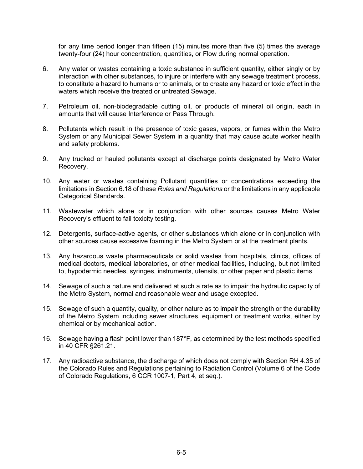for any time period longer than fifteen (15) minutes more than five (5) times the average twenty-four (24) hour concentration, quantities, or Flow during normal operation.

- 6. Any water or wastes containing a toxic substance in sufficient quantity, either singly or by interaction with other substances, to injure or interfere with any sewage treatment process, to constitute a hazard to humans or to animals, or to create any hazard or toxic effect in the waters which receive the treated or untreated Sewage.
- 7. Petroleum oil, non-biodegradable cutting oil, or products of mineral oil origin, each in amounts that will cause Interference or Pass Through.
- 8. Pollutants which result in the presence of toxic gases, vapors, or fumes within the Metro System or any Municipal Sewer System in a quantity that may cause acute worker health and safety problems.
- 9. Any trucked or hauled pollutants except at discharge points designated by Metro Water Recovery.
- 10. Any water or wastes containing Pollutant quantities or concentrations exceeding the limitations in Section 6.18 of these *Rules and Regulations* or the limitations in any applicable Categorical Standards.
- 11. Wastewater which alone or in conjunction with other sources causes Metro Water Recovery's effluent to fail toxicity testing.
- 12. Detergents, surface-active agents, or other substances which alone or in conjunction with other sources cause excessive foaming in the Metro System or at the treatment plants.
- 13. Any hazardous waste pharmaceuticals or solid wastes from hospitals, clinics, offices of medical doctors, medical laboratories, or other medical facilities, including, but not limited to, hypodermic needles, syringes, instruments, utensils, or other paper and plastic items.
- 14. Sewage of such a nature and delivered at such a rate as to impair the hydraulic capacity of the Metro System, normal and reasonable wear and usage excepted.
- 15. Sewage of such a quantity, quality, or other nature as to impair the strength or the durability of the Metro System including sewer structures, equipment or treatment works, either by chemical or by mechanical action.
- 16. Sewage having a flash point lower than 187°F, as determined by the test methods specified in 40 CFR §261.21.
- 17. Any radioactive substance, the discharge of which does not comply with Section RH 4.35 of the Colorado Rules and Regulations pertaining to Radiation Control (Volume 6 of the Code of Colorado Regulations, 6 CCR 1007-1, Part 4, et seq.).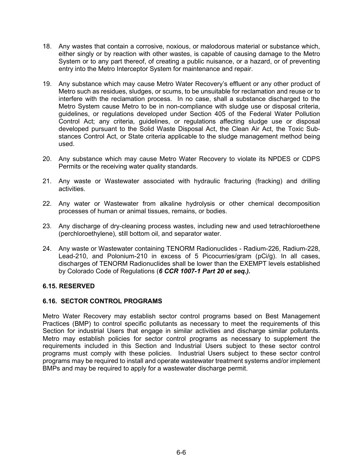- 18. Any wastes that contain a corrosive, noxious, or malodorous material or substance which, either singly or by reaction with other wastes, is capable of causing damage to the Metro System or to any part thereof, of creating a public nuisance, or a hazard, or of preventing entry into the Metro Interceptor System for maintenance and repair.
- 19. Any substance which may cause Metro Water Recovery's effluent or any other product of Metro such as residues, sludges, or scums, to be unsuitable for reclamation and reuse or to interfere with the reclamation process. In no case, shall a substance discharged to the Metro System cause Metro to be in non-compliance with sludge use or disposal criteria, guidelines, or regulations developed under Section 405 of the Federal Water Pollution Control Act; any criteria, guidelines, or regulations affecting sludge use or disposal developed pursuant to the Solid Waste Disposal Act, the Clean Air Act, the Toxic Substances Control Act, or State criteria applicable to the sludge management method being used.
- 20. Any substance which may cause Metro Water Recovery to violate its NPDES or CDPS Permits or the receiving water quality standards.
- 21. Any waste or Wastewater associated with hydraulic fracturing (fracking) and drilling activities.
- 22. Any water or Wastewater from alkaline hydrolysis or other chemical decomposition processes of human or animal tissues, remains, or bodies.
- 23. Any discharge of dry-cleaning process wastes, including new and used tetrachloroethene (perchloroethylene), still bottom oil, and separator water.
- 24. Any waste or Wastewater containing TENORM Radionuclides Radium-226, Radium-228, Lead-210, and Polonium-210 in excess of 5 Picocurries/gram (pCi/g). In all cases, discharges of TENORM Radionuclides shall be lower than the EXEMPT levels established by Colorado Code of Regulations (*6 CCR 1007-1 Part 20 et seq.).*

### **6.15. RESERVED**

### **6.16. SECTOR CONTROL PROGRAMS**

Metro Water Recovery may establish sector control programs based on Best Management Practices (BMP) to control specific pollutants as necessary to meet the requirements of this Section for industrial Users that engage in similar activities and discharge similar pollutants. Metro may establish policies for sector control programs as necessary to supplement the requirements included in this Section and Industrial Users subject to these sector control programs must comply with these policies. Industrial Users subject to these sector control programs may be required to install and operate wastewater treatment systems and/or implement BMPs and may be required to apply for a wastewater discharge permit.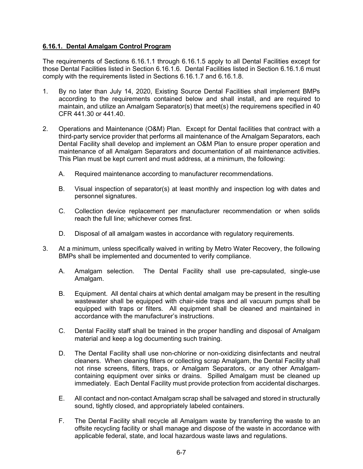## **6.16.1. Dental Amalgam Control Program**

The requirements of Sections 6.16.1.1 through 6.16.1.5 apply to all Dental Facilities except for those Dental Facilities listed in Section 6.16.1.6. Dental Facilities listed in Section 6.16.1.6 must comply with the requirements listed in Sections 6.16.1.7 and 6.16.1.8.

- 1. By no later than July 14, 2020, Existing Source Dental Facilities shall implement BMPs according to the requirements contained below and shall install, and are required to maintain, and utilize an Amalgam Separator(s) that meet(s) the requiremens specified in 40 CFR 441.30 or 441.40.
- 2. Operations and Maintenance (O&M) Plan. Except for Dental facilities that contract with a third-party service provider that performs all maintenance of the Amalgam Separators, each Dental Facility shall develop and implement an O&M Plan to ensure proper operation and maintenance of all Amalgam Separators and documentation of all maintenance activities. This Plan must be kept current and must address, at a minimum, the following:
	- A. Required maintenance according to manufacturer recommendations.
	- B. Visual inspection of separator(s) at least monthly and inspection log with dates and personnel signatures.
	- C. Collection device replacement per manufacturer recommendation or when solids reach the full line; whichever comes first.
	- D. Disposal of all amalgam wastes in accordance with regulatory requirements.
- 3. At a minimum, unless specifically waived in writing by Metro Water Recovery, the following BMPs shall be implemented and documented to verify compliance.
	- A. Amalgam selection. The Dental Facility shall use pre-capsulated, single-use Amalgam.
	- B. Equipment. All dental chairs at which dental amalgam may be present in the resulting wastewater shall be equipped with chair-side traps and all vacuum pumps shall be equipped with traps or filters. All equipment shall be cleaned and maintained in accordance with the manufacturer's instructions.
	- C. Dental Facility staff shall be trained in the proper handling and disposal of Amalgam material and keep a log documenting such training.
	- D. The Dental Facility shall use non-chlorine or non-oxidizing disinfectants and neutral cleaners. When cleaning filters or collecting scrap Amalgam, the Dental Facility shall not rinse screens, filters, traps, or Amalgam Separators, or any other Amalgamcontaining equipment over sinks or drains. Spilled Amalgam must be cleaned up immediately. Each Dental Facility must provide protection from accidental discharges.
	- E. All contact and non-contact Amalgam scrap shall be salvaged and stored in structurally sound, tightly closed, and appropriately labeled containers.
	- F. The Dental Facility shall recycle all Amalgam waste by transferring the waste to an offsite recycling facility or shall manage and dispose of the waste in accordance with applicable federal, state, and local hazardous waste laws and regulations.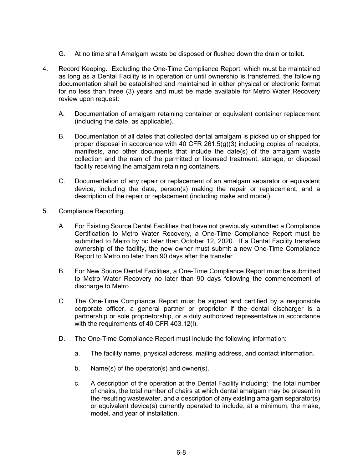- G. At no time shall Amalgam waste be disposed or flushed down the drain or toilet.
- 4. Record Keeping. Excluding the One-Time Compliance Report, which must be maintained as long as a Dental Facility is in operation or until ownership is transferred, the following documentation shall be established and maintained in either physical or electronic format for no less than three (3) years and must be made available for Metro Water Recovery review upon request:
	- A. Documentation of amalgam retaining container or equivalent container replacement (including the date, as applicable).
	- B. Documentation of all dates that collected dental amalgam is picked up or shipped for proper disposal in accordance with 40 CFR 261.5(g)(3) including copies of receipts, manifests, and other documents that include the date(s) of the amalgam waste collection and the nam of the permitted or licensed treatment, storage, or disposal facility receiving the amalgam retaining containers.
	- C. Documentation of any repair or replacement of an amalgam separator or equivalent device, including the date, person(s) making the repair or replacement, and a description of the repair or replacement (including make and model).
- 5. Compliance Reporting.
	- A. For Existing Source Dental Facilities that have not previously submitted a Compliance Certification to Metro Water Recovery, a One-Time Compliance Report must be submitted to Metro by no later than October 12, 2020. If a Dental Facility transfers ownership of the facility, the new owner must submit a new One-Time Compliance Report to Metro no later than 90 days after the transfer.
	- B. For New Source Dental Facilities, a One-Time Compliance Report must be submitted to Metro Water Recovery no later than 90 days following the commencement of discharge to Metro.
	- C. The One-Time Compliance Report must be signed and certified by a responsible corporate officer, a general partner or proprietor if the dental discharger is a partnership or sole proprietorship, or a duly authorized representative in accordance with the requirements of 40 CFR 403.12(l).
	- D. The One-Time Compliance Report must include the following information:
		- a. The facility name, physical address, mailing address, and contact information.
		- b. Name(s) of the operator(s) and owner(s).
		- c. A description of the operation at the Dental Facility including: the total number of chairs, the total number of chairs at which dental amalgam may be present in the resulting wastewater, and a description of any existing amalgam separator(s) or equivalent device(s) currently operated to include, at a minimum, the make, model, and year of installation.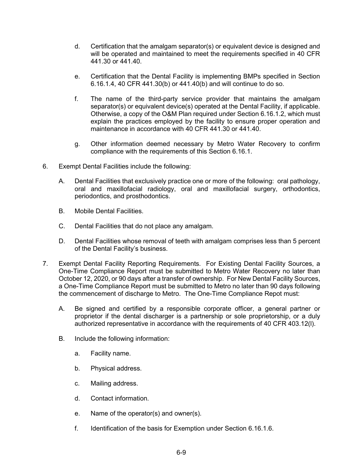- d. Certification that the amalgam separator(s) or equivalent device is designed and will be operated and maintained to meet the requirements specified in 40 CFR 441.30 or 441.40.
- e. Certification that the Dental Facility is implementing BMPs specified in Section 6.16.1.4, 40 CFR 441.30(b) or 441.40(b) and will continue to do so.
- f. The name of the third-party service provider that maintains the amalgam separator(s) or equivalent device(s) operated at the Dental Facility, if applicable. Otherwise, a copy of the O&M Plan required under Section 6.16.1.2, which must explain the practices employed by the facility to ensure proper operation and maintenance in accordance with 40 CFR 441.30 or 441.40.
- g. Other information deemed necessary by Metro Water Recovery to confirm compliance with the requirements of this Section 6.16.1.
- 6. Exempt Dental Facilities include the following:
	- A. Dental Facilities that exclusively practice one or more of the following: oral pathology, oral and maxillofacial radiology, oral and maxillofacial surgery, orthodontics, periodontics, and prosthodontics.
	- B. Mobile Dental Facilities.
	- C. Dental Facilities that do not place any amalgam.
	- D. Dental Facilities whose removal of teeth with amalgam comprises less than 5 percent of the Dental Facility's business.
- 7. Exempt Dental Facility Reporting Requirements. For Existing Dental Facility Sources, a One-Time Compliance Report must be submitted to Metro Water Recovery no later than October 12, 2020, or 90 days after a transfer of ownership. For New Dental Facility Sources, a One-Time Compliance Report must be submitted to Metro no later than 90 days following the commencement of discharge to Metro. The One-Time Compliance Repot must:
	- A. Be signed and certified by a responsible corporate officer, a general partner or proprietor if the dental discharger is a partnership or sole proprietorship, or a duly authorized representative in accordance with the requirements of 40 CFR 403.12(l).
	- B. Include the following information:
		- a. Facility name.
		- b. Physical address.
		- c. Mailing address.
		- d. Contact information.
		- e. Name of the operator(s) and owner(s).
		- f. Identification of the basis for Exemption under Section 6.16.1.6.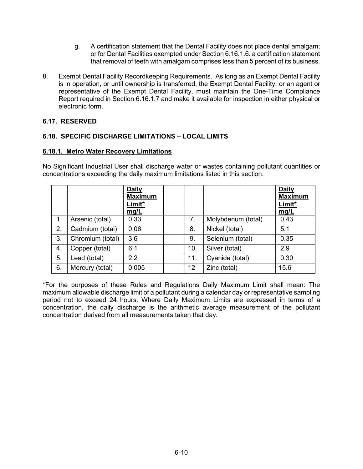- g. A certification statement that the Dental Facility does not place dental amalgam; or for Dental Facilities exempted under Section 6.16.1.6. a certification statement that removal of teeth with amalgam comprises less than 5 percent of its business.
- 8. Exempt Dental Facility Recordkeeping Requirements. As long as an Exempt Dental Facility is in operation, or until ownership is transferred, the Exempt Dental Facility, or an agent or representative of the Exempt Dental Facility, must maintain the One-Time Compliance Report required in Section 6.16.1.7 and make it available for inspection in either physical or electronic form.

## **6.17. RESERVED**

## **6.18. SPECIFIC DISCHARGE LIMITATIONS – LOCAL LIMITS**

### **6.18.1. Metro Water Recovery Limitations**

No Significant Industrial User shall discharge water or wastes containing pollutant quantities or concentrations exceeding the daily maximum limitations listed in this section.

|    |                  | <b>Daily</b><br><b>Maximum</b><br>Limit*<br>mg/L |                 |                    | <b>Daily</b><br><b>Maximum</b><br>Limit*<br>mg/L |
|----|------------------|--------------------------------------------------|-----------------|--------------------|--------------------------------------------------|
| 1. | Arsenic (total)  | 0.33                                             | 7.              | Molybdenum (total) | 0.43                                             |
| 2. | Cadmium (total)  | 0.06                                             | 8.              | Nickel (total)     | 5.1                                              |
| 3. | Chromium (total) | 3.6                                              | 9.              | Selenium (total)   | 0.35                                             |
| 4. | Copper (total)   | 6.1                                              | 10.             | Silver (total)     | 2.9                                              |
| 5. | Lead (total)     | 2.2                                              | 11.             | Cyanide (total)    | 0.30                                             |
| 6. | Mercury (total)  | 0.005                                            | 12 <sup>2</sup> | Zinc (total)       | 15.6                                             |

\*For the purposes of these Rules and Regulations Daily Maximum Limit shall mean: The maximum allowable discharge limit of a pollutant during a calendar day or representative sampling period not to exceed 24 hours. Where Daily Maximum Limits are expressed in terms of a concentration, the daily discharge is the arithmetic average measurement of the pollutant concentration derived from all measurements taken that day.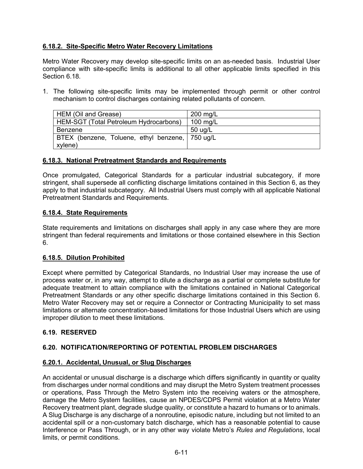# **6.18.2. Site-Specific Metro Water Recovery Limitations**

Metro Water Recovery may develop site-specific limits on an as-needed basis. Industrial User compliance with site-specific limits is additional to all other applicable limits specified in this Section 6.18

1. The following site-specific limits may be implemented through permit or other control mechanism to control discharges containing related pollutants of concern.

| HEM (Oil and Grease)                              | $200 \text{ mg/L}$ |
|---------------------------------------------------|--------------------|
| <b>HEM-SGT (Total Petroleum Hydrocarbons)</b>     | $100 \text{ mg/L}$ |
| Benzene                                           | $50 \text{ ug/L}$  |
| BTEX (benzene, Toluene, ethyl benzene,   750 ug/L |                    |
| xylene)                                           |                    |

### **6.18.3. National Pretreatment Standards and Requirements**

Once promulgated, Categorical Standards for a particular industrial subcategory, if more stringent, shall supersede all conflicting discharge limitations contained in this Section 6, as they apply to that industrial subcategory. All Industrial Users must comply with all applicable National Pretreatment Standards and Requirements.

#### **6.18.4. State Requirements**

State requirements and limitations on discharges shall apply in any case where they are more stringent than federal requirements and limitations or those contained elsewhere in this Section 6.

#### **6.18.5. Dilution Prohibited**

Except where permitted by Categorical Standards, no Industrial User may increase the use of process water or, in any way, attempt to dilute a discharge as a partial or complete substitute for adequate treatment to attain compliance with the limitations contained in National Categorical Pretreatment Standards or any other specific discharge limitations contained in this Section 6. Metro Water Recovery may set or require a Connector or Contracting Municipality to set mass limitations or alternate concentration-based limitations for those Industrial Users which are using improper dilution to meet these limitations.

### **6.19. RESERVED**

### **6.20. NOTIFICATION/REPORTING OF POTENTIAL PROBLEM DISCHARGES**

#### **6.20.1. Accidental, Unusual, or Slug Discharges**

An accidental or unusual discharge is a discharge which differs significantly in quantity or quality from discharges under normal conditions and may disrupt the Metro System treatment processes or operations, Pass Through the Metro System into the receiving waters or the atmosphere, damage the Metro System facilities, cause an NPDES/CDPS Permit violation at a Metro Water Recovery treatment plant, degrade sludge quality, or constitute a hazard to humans or to animals. A Slug Discharge is any discharge of a nonroutine, episodic nature, including but not limited to an accidental spill or a non-customary batch discharge, which has a reasonable potential to cause Interference or Pass Through, or in any other way violate Metro's *Rules and Regulations*, local limits, or permit conditions.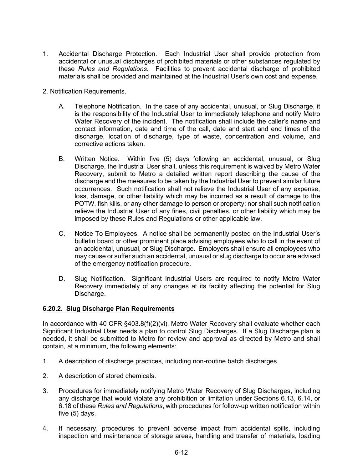- 1. Accidental Discharge Protection. Each Industrial User shall provide protection from accidental or unusual discharges of prohibited materials or other substances regulated by these *Rules and Regulations*. Facilities to prevent accidental discharge of prohibited materials shall be provided and maintained at the Industrial User's own cost and expense.
- 2. Notification Requirements.
	- A. Telephone Notification. In the case of any accidental, unusual, or Slug Discharge, it is the responsibility of the Industrial User to immediately telephone and notify Metro Water Recovery of the incident. The notification shall include the caller's name and contact information, date and time of the call, date and start and end times of the discharge, location of discharge, type of waste, concentration and volume, and corrective actions taken.
	- B. Written Notice. Within five (5) days following an accidental, unusual, or Slug Discharge, the Industrial User shall, unless this requirement is waived by Metro Water Recovery, submit to Metro a detailed written report describing the cause of the discharge and the measures to be taken by the Industrial User to prevent similar future occurrences. Such notification shall not relieve the Industrial User of any expense, loss, damage, or other liability which may be incurred as a result of damage to the POTW, fish kills, or any other damage to person or property; nor shall such notification relieve the Industrial User of any fines, civil penalties, or other liability which may be imposed by these Rules and Regulations or other applicable law.
	- C. Notice To Employees. A notice shall be permanently posted on the Industrial User's bulletin board or other prominent place advising employees who to call in the event of an accidental, unusual, or Slug Discharge. Employers shall ensure all employees who may cause or suffer such an accidental, unusual or slug discharge to occur are advised of the emergency notification procedure.
	- D. Slug Notification. Significant Industrial Users are required to notify Metro Water Recovery immediately of any changes at its facility affecting the potential for Slug Discharge.

#### **6.20.2. Slug Discharge Plan Requirements**

In accordance with 40 CFR §403.8(f)(2)(vi), Metro Water Recovery shall evaluate whether each Significant Industrial User needs a plan to control Slug Discharges. If a Slug Discharge plan is needed, it shall be submitted to Metro for review and approval as directed by Metro and shall contain, at a minimum, the following elements:

- 1. A description of discharge practices, including non-routine batch discharges.
- 2. A description of stored chemicals.
- 3. Procedures for immediately notifying Metro Water Recovery of Slug Discharges, including any discharge that would violate any prohibition or limitation under Sections 6.13, 6.14, or 6.18 of these *Rules and Regulations*, with procedures for follow-up written notification within five (5) days.
- 4. If necessary, procedures to prevent adverse impact from accidental spills, including inspection and maintenance of storage areas, handling and transfer of materials, loading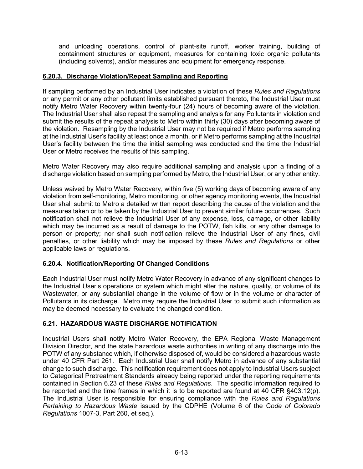and unloading operations, control of plant-site runoff, worker training, building of containment structures or equipment, measures for containing toxic organic pollutants (including solvents), and/or measures and equipment for emergency response.

## **6.20.3. Discharge Violation/Repeat Sampling and Reporting**

If sampling performed by an Industrial User indicates a violation of these *Rules and Regulations* or any permit or any other pollutant limits established pursuant thereto, the Industrial User must notify Metro Water Recovery within twenty-four (24) hours of becoming aware of the violation. The Industrial User shall also repeat the sampling and analysis for any Pollutants in violation and submit the results of the repeat analysis to Metro within thirty (30) days after becoming aware of the violation. Resampling by the Industrial User may not be required if Metro performs sampling at the Industrial User's facility at least once a month, or if Metro performs sampling at the Industrial User's facility between the time the initial sampling was conducted and the time the Industrial User or Metro receives the results of this sampling.

Metro Water Recovery may also require additional sampling and analysis upon a finding of a discharge violation based on sampling performed by Metro, the Industrial User, or any other entity.

Unless waived by Metro Water Recovery, within five (5) working days of becoming aware of any violation from self-monitoring, Metro monitoring, or other agency monitoring events, the Industrial User shall submit to Metro a detailed written report describing the cause of the violation and the measures taken or to be taken by the Industrial User to prevent similar future occurrences. Such notification shall not relieve the Industrial User of any expense, loss, damage, or other liability which may be incurred as a result of damage to the POTW, fish kills, or any other damage to person or property; nor shall such notification relieve the Industrial User of any fines, civil penalties, or other liability which may be imposed by these *Rules and Regulations* or other applicable laws or regulations.

# **6.20.4. Notification/Reporting Of Changed Conditions**

Each Industrial User must notify Metro Water Recovery in advance of any significant changes to the Industrial User's operations or system which might alter the nature, quality, or volume of its Wastewater, or any substantial change in the volume of flow or in the volume or character of Pollutants in its discharge. Metro may require the Industrial User to submit such information as may be deemed necessary to evaluate the changed condition.

# **6.21. HAZARDOUS WASTE DISCHARGE NOTIFICATION**

Industrial Users shall notify Metro Water Recovery, the EPA Regional Waste Management Division Director, and the state hazardous waste authorities in writing of any discharge into the POTW of any substance which, if otherwise disposed of, would be considered a hazardous waste under 40 CFR Part 261. Each Industrial User shall notify Metro in advance of any substantial change to such discharge. This notification requirement does not apply to Industrial Users subject to Categorical Pretreatment Standards already being reported under the reporting requirements contained in Section 6.23 of these *Rules and Regulations*. The specific information required to be reported and the time frames in which it is to be reported are found at 40 CFR §403.12(p). The Industrial User is responsible for ensuring compliance with the *Rules and Regulations Pertaining to Hazardous Waste* issued by the CDPHE (Volume 6 of the C*ode of Colorado Regulations* 1007-3, Part 260, et seq.).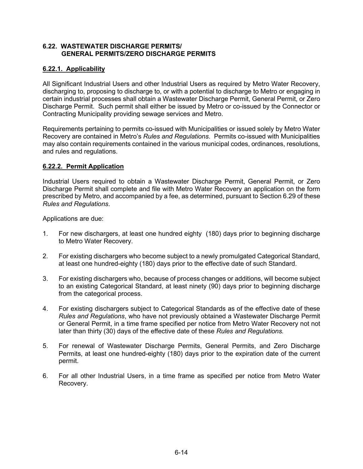#### **6.22. WASTEWATER DISCHARGE PERMITS/ GENERAL PERMITS/ZERO DISCHARGE PERMITS**

## **6.22.1. Applicability**

All Significant Industrial Users and other Industrial Users as required by Metro Water Recovery, discharging to, proposing to discharge to, or with a potential to discharge to Metro or engaging in certain industrial processes shall obtain a Wastewater Discharge Permit, General Permit, or Zero Discharge Permit. Such permit shall either be issued by Metro or co-issued by the Connector or Contracting Municipality providing sewage services and Metro.

Requirements pertaining to permits co-issued with Municipalities or issued solely by Metro Water Recovery are contained in Metro's *Rules and Regulations*. Permits co-issued with Municipalities may also contain requirements contained in the various municipal codes, ordinances, resolutions, and rules and regulations.

### **6.22.2. Permit Application**

Industrial Users required to obtain a Wastewater Discharge Permit, General Permit, or Zero Discharge Permit shall complete and file with Metro Water Recovery an application on the form prescribed by Metro, and accompanied by a fee, as determined, pursuant to Section 6.29 of these *Rules and Regulations*.

Applications are due:

- 1. For new dischargers, at least one hundred eighty (180) days prior to beginning discharge to Metro Water Recovery.
- 2. For existing dischargers who become subject to a newly promulgated Categorical Standard, at least one hundred-eighty (180) days prior to the effective date of such Standard.
- 3. For existing dischargers who, because of process changes or additions, will become subject to an existing Categorical Standard, at least ninety (90) days prior to beginning discharge from the categorical process.
- 4. For existing dischargers subject to Categorical Standards as of the effective date of these *Rules and Regulations*, who have not previously obtained a Wastewater Discharge Permit or General Permit, in a time frame specified per notice from Metro Water Recovery not not later than thirty (30) days of the effective date of these *Rules and Regulations.*
- 5. For renewal of Wastewater Discharge Permits, General Permits, and Zero Discharge Permits, at least one hundred-eighty (180) days prior to the expiration date of the current permit.
- 6. For all other Industrial Users, in a time frame as specified per notice from Metro Water Recovery.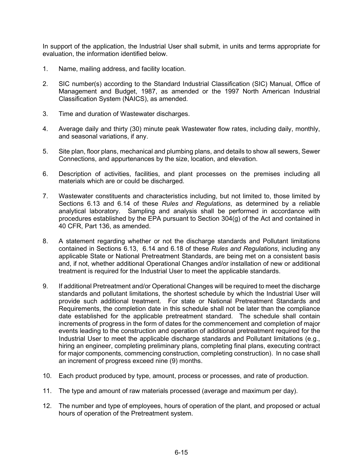In support of the application, the Industrial User shall submit, in units and terms appropriate for evaluation, the information identified below.

- 1. Name, mailing address, and facility location.
- 2. SIC number(s) according to the Standard Industrial Classification (SIC) Manual, Office of Management and Budget, 1987, as amended or the 1997 North American Industrial Classification System (NAICS), as amended.
- 3. Time and duration of Wastewater discharges.
- 4. Average daily and thirty (30) minute peak Wastewater flow rates, including daily, monthly, and seasonal variations, if any.
- 5. Site plan, floor plans, mechanical and plumbing plans, and details to show all sewers, Sewer Connections, and appurtenances by the size, location, and elevation.
- 6. Description of activities, facilities, and plant processes on the premises including all materials which are or could be discharged.
- 7. Wastewater constituents and characteristics including, but not limited to, those limited by Sections 6.13 and 6.14 of these *Rules and Regulations*, as determined by a reliable analytical laboratory. Sampling and analysis shall be performed in accordance with procedures established by the EPA pursuant to Section 304(g) of the Act and contained in 40 CFR, Part 136, as amended.
- 8. A statement regarding whether or not the discharge standards and Pollutant limitations contained in Sections 6.13, 6.14 and 6.18 of these *Rules and Regulations*, including any applicable State or National Pretreatment Standards, are being met on a consistent basis and, if not, whether additional Operational Changes and/or installation of new or additional treatment is required for the Industrial User to meet the applicable standards.
- 9. If additional Pretreatment and/or Operational Changes will be required to meet the discharge standards and pollutant limitations, the shortest schedule by which the Industrial User will provide such additional treatment. For state or National Pretreatment Standards and Requirements, the completion date in this schedule shall not be later than the compliance date established for the applicable pretreatment standard. The schedule shall contain increments of progress in the form of dates for the commencement and completion of major events leading to the construction and operation of additional pretreatment required for the Industrial User to meet the applicable discharge standards and Pollutant limitations (e.g., hiring an engineer, completing preliminary plans, completing final plans, executing contract for major components, commencing construction, completing construction). In no case shall an increment of progress exceed nine (9) months.
- 10. Each product produced by type, amount, process or processes, and rate of production.
- 11. The type and amount of raw materials processed (average and maximum per day).
- 12. The number and type of employees, hours of operation of the plant, and proposed or actual hours of operation of the Pretreatment system.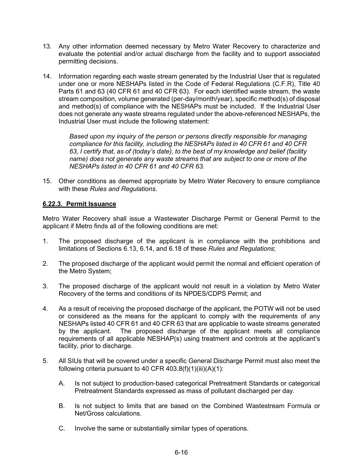- 13. Any other information deemed necessary by Metro Water Recovery to characterize and evaluate the potential and/or actual discharge from the facility and to support associated permitting decisions.
- 14. Information regarding each waste stream generated by the Industrial User that is regulated under one or more NESHAPs listed in the Code of Federal Regulations (C.F.R), Title 40 Parts 61 and 63 (40 CFR 61 and 40 CFR 63). For each identified waste stream, the waste stream composition, volume generated (per-day/month/year), specific method(s) of disposal and method(s) of compliance with the NESHAPs must be included. If the Industrial User does not generate any waste streams regulated under the above-referenced NESHAPs, the Industrial User must include the following statement:

*Based upon my inquiry of the person or persons directly responsible for managing compliance for this facility, including the NESHAPs listed in 40 CFR 61 and 40 CFR 63, I certify that, as of (today's date), to the best of my knowledge and belief (facility name) does not generate any waste streams that are subject to one or more of the NESHAPs listed in 40 CFR 61 and 40 CFR 63.*

15. Other conditions as deemed appropriate by Metro Water Recovery to ensure compliance with these *Rules and Regulations*.

## **6.22.3. Permit Issuance**

Metro Water Recovery shall issue a Wastewater Discharge Permit or General Permit to the applicant if Metro finds all of the following conditions are met:

- 1. The proposed discharge of the applicant is in compliance with the prohibitions and limitations of Sections 6.13, 6.14, and 6.18 of these *Rules and Regulations*;
- 2. The proposed discharge of the applicant would permit the normal and efficient operation of the Metro System;
- 3. The proposed discharge of the applicant would not result in a violation by Metro Water Recovery of the terms and conditions of its NPDES/CDPS Permit; and
- 4. As a result of receiving the proposed discharge of the applicant, the POTW will not be used or considered as the means for the applicant to comply with the requirements of any NESHAPs listed 40 CFR 61 and 40 CFR 63 that are applicable to waste streams generated by the applicant. The proposed discharge of the applicant meets all compliance requirements of all applicable NESHAP(s) using treatment and controls at the applicant's facility, prior to discharge.
- 5. All SIUs that will be covered under a specific General Discharge Permit must also meet the following criteria pursuant to 40 CFR  $403.8(f)(1)(iii)(A)(1)$ :
	- A. Is not subject to production-based categorical Pretreatment Standards or categorical Pretreatment Standards expressed as mass of pollutant discharged per day.
	- B. Is not subject to limits that are based on the Combined Wastestream Formula or Net/Gross calculations.
	- C. Involve the same or substantially similar types of operations.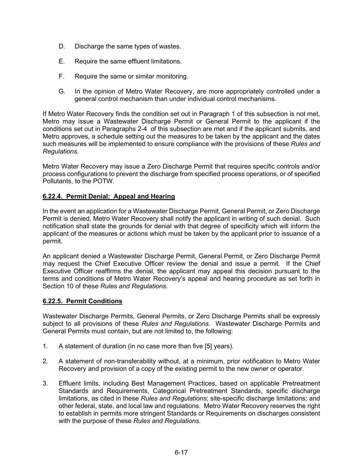- D. Discharge the same types of wastes.
- E. Require the same effluent limitations.
- F. Require the same or similar monitoring.
- G. In the opinion of Metro Water Recovery, are more appropriately controlled under a general control mechanism than under individual control mechanisms.

If Metro Water Recovery finds the condition set out in Paragraph 1 of this subsection is not met, Metro may issue a Wastewater Discharge Permit or General Permit to the applicant if the conditions set out in Paragraphs 2-4 of this subsection are met and if the applicant submits, and Metro approves, a schedule setting out the measures to be taken by the applicant and the dates such measures will be implemented to ensure compliance with the provisions of these *Rules and Regulations.*

Metro Water Recovery may issue a Zero Discharge Permit that requires specific controls and/or process configurations to prevent the discharge from specified process operations, or of specified Pollutants, to the POTW.

### **6.22.4. Permit Denial: Appeal and Hearing**

In the event an application for a Wastewater Discharge Permit, General Permit, or Zero Discharge Permit is denied, Metro Water Recovery shall notify the applicant in writing of such denial. Such notification shall state the grounds for denial with that degree of specificity which will inform the applicant of the measures or actions which must be taken by the applicant prior to issuance of a permit.

An applicant denied a Wastewater Discharge Permit, General Permit, or Zero Discharge Permit may request the Chief Executive Officer review the denial and issue a permit. If the Chief Executive Officer reaffirms the denial, the applicant may appeal this decision pursuant to the terms and conditions of Metro Water Recovery's appeal and hearing procedure as set forth in Section 10 of these *Rules and Regulations*.

### **6.22.5. Permit Conditions**

Wastewater Discharge Permits, General Permits, or Zero Discharge Permits shall be expressly subject to all provisions of these *Rules and Regulations*. Wastewater Discharge Permits and General Permits must contain, but are not limited to, the following:

- 1. A statement of duration (in no case more than five [5] years).
- 2. A statement of non-transferability without, at a minimum, prior notification to Metro Water Recovery and provision of a copy of the existing permit to the new owner or operator.
- 3. Effluent limits, including Best Management Practices, based on applicable Pretreatment Standards and Requirements, Categorical Pretreatment Standards, specific discharge limitations, as cited in these *Rules and Regulations*; site-specific discharge limitations; and other federal, state, and local law and regulations. Metro Water Recovery reserves the right to establish in permits more stringent Standards or Requirements on discharges consistent with the purpose of these *Rules and Regulations*.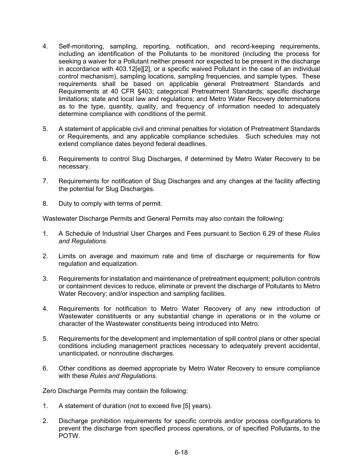- 4. Self-monitoring, sampling, reporting, notification, and record-keeping requirements, including an identification of the Pollutants to be monitored (including the process for seeking a waiver for a Pollutant neither present nor expected to be present in the discharge in accordance with 403.12[e][2], or a specific waived Pollutant in the case of an individual control mechanism), sampling locations, sampling frequencies, and sample types. These requirements shall be based on applicable general Pretreatment Standards and Requirements at 40 CFR §403; categorical Pretreatment Standards; specific discharge limitations; state and local law and regulations; and Metro Water Recovery determinations as to the type, quantity, quality, and frequency of information needed to adequately determine compliance with conditions of the permit.
- 5. A statement of applicable civil and criminal penalties for violation of Pretreatment Standards or Requirements, and any applicable compliance schedules. Such schedules may not extend compliance dates beyond federal deadlines.
- 6. Requirements to control Slug Discharges, if determined by Metro Water Recovery to be necessary.
- 7. Requirements for notification of Slug Discharges and any changes at the facility affecting the potential for Slug Discharges.
- 8. Duty to comply with terms of permit.

Wastewater Discharge Permits and General Permits may also contain the following:

- 1. A Schedule of Industrial User Charges and Fees pursuant to Section 6.29 of these *Rules and Regulations*.
- 2. Limits on average and maximum rate and time of discharge or requirements for flow regulation and equalization.
- 3. Requirements for installation and maintenance of pretreatment equipment; pollution controls or containment devices to reduce, eliminate or prevent the discharge of Pollutants to Metro Water Recovery; and/or inspection and sampling facilities.
- 4. Requirements for notification to Metro Water Recovery of any new introduction of Wastewater constituents or any substantial change in operations or in the volume or character of the Wastewater constituents being introduced into Metro.
- 5. Requirements for the development and implementation of spill control plans or other special conditions including management practices necessary to adequately prevent accidental, unanticipated, or nonroutine discharges.
- 6. Other conditions as deemed appropriate by Metro Water Recovery to ensure compliance with these *Rules and Regulations*.

Zero Discharge Permits may contain the following:

- 1. A statement of duration (not to exceed five [5] years).
- 2. Discharge prohibition requirements for specific controls and/or process configurations to prevent the discharge from specified process operations, or of specified Pollutants, to the POTW.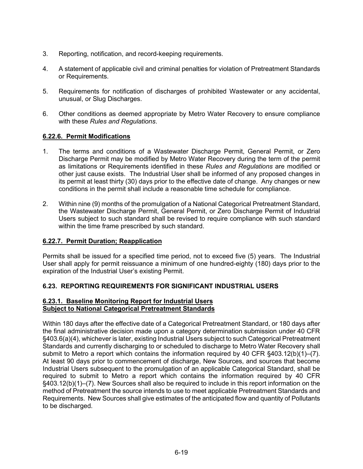- 3. Reporting, notification, and record-keeping requirements.
- 4. A statement of applicable civil and criminal penalties for violation of Pretreatment Standards or Requirements.
- 5. Requirements for notification of discharges of prohibited Wastewater or any accidental, unusual, or Slug Discharges.
- 6. Other conditions as deemed appropriate by Metro Water Recovery to ensure compliance with these *Rules and Regulations*.

## **6.22.6. Permit Modifications**

- 1. The terms and conditions of a Wastewater Discharge Permit, General Permit, or Zero Discharge Permit may be modified by Metro Water Recovery during the term of the permit as limitations or Requirements identified in these *Rules and Regulations* are modified or other just cause exists. The Industrial User shall be informed of any proposed changes in its permit at least thirty (30) days prior to the effective date of change. Any changes or new conditions in the permit shall include a reasonable time schedule for compliance.
- 2. Within nine (9) months of the promulgation of a National Categorical Pretreatment Standard, the Wastewater Discharge Permit, General Permit, or Zero Discharge Permit of Industrial Users subject to such standard shall be revised to require compliance with such standard within the time frame prescribed by such standard.

# **6.22.7. Permit Duration; Reapplication**

Permits shall be issued for a specified time period, not to exceed five (5) years. The Industrial User shall apply for permit reissuance a minimum of one hundred-eighty (180) days prior to the expiration of the Industrial User's existing Permit.

### **6.23. REPORTING REQUIREMENTS FOR SIGNIFICANT INDUSTRIAL USERS**

#### **6.23.1. Baseline Monitoring Report for Industrial Users Subject to National Categorical Pretreatment Standards**

Within 180 days after the effective date of a Categorical Pretreatment Standard, or 180 days after the final administrative decision made upon a category determination submission under 40 CFR §403.6(a)(4), whichever is later, existing Industrial Users subject to such Categorical Pretreatment Standards and currently discharging to or scheduled to discharge to Metro Water Recovery shall submit to Metro a report which contains the information required by 40 CFR §403.12(b)(1)–(7). At least 90 days prior to commencement of discharge, New Sources, and sources that become Industrial Users subsequent to the promulgation of an applicable Categorical Standard, shall be required to submit to Metro a report which contains the information required by 40 CFR §403.12(b)(1)–(7). New Sources shall also be required to include in this report information on the method of Pretreatment the source intends to use to meet applicable Pretreatment Standards and Requirements. New Sources shall give estimates of the anticipated flow and quantity of Pollutants to be discharged.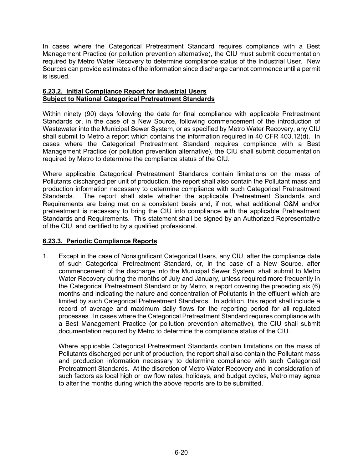In cases where the Categorical Pretreatment Standard requires compliance with a Best Management Practice (or pollution prevention alternative), the CIU must submit documentation required by Metro Water Recovery to determine compliance status of the Industrial User. New Sources can provide estimates of the information since discharge cannot commence until a permit is issued.

### **6.23.2. Initial Compliance Report for Industrial Users Subject to National Categorical Pretreatment Standards**

Within ninety (90) days following the date for final compliance with applicable Pretreatment Standards or, in the case of a New Source, following commencement of the introduction of Wastewater into the Municipal Sewer System, or as specified by Metro Water Recovery, any CIU shall submit to Metro a report which contains the information required in 40 CFR 403.12(d). In cases where the Categorical Pretreatment Standard requires compliance with a Best Management Practice (or pollution prevention alternative), the CIU shall submit documentation required by Metro to determine the compliance status of the CIU.

Where applicable Categorical Pretreatment Standards contain limitations on the mass of Pollutants discharged per unit of production, the report shall also contain the Pollutant mass and production information necessary to determine compliance with such Categorical Pretreatment Standards. The report shall state whether the applicable Pretreatment Standards and Requirements are being met on a consistent basis and, if not, what additional O&M and/or pretreatment is necessary to bring the CIU into compliance with the applicable Pretreatment Standards and Requirements. This statement shall be signed by an Authorized Representative of the CIU<sub>7</sub> and certified to by a qualified professional.

# **6.23.3. Periodic Compliance Reports**

1. Except in the case of Nonsignificant Categorical Users, any CIU, after the compliance date of such Categorical Pretreatment Standard, or, in the case of a New Source, after commencement of the discharge into the Municipal Sewer System, shall submit to Metro Water Recovery during the months of July and January, unless required more frequently in the Categorical Pretreatment Standard or by Metro, a report covering the preceding six (6) months and indicating the nature and concentration of Pollutants in the effluent which are limited by such Categorical Pretreatment Standards. In addition, this report shall include a record of average and maximum daily flows for the reporting period for all regulated processes. In cases where the Categorical Pretreatment Standard requires compliance with a Best Management Practice (or pollution prevention alternative), the CIU shall submit documentation required by Metro to determine the compliance status of the CIU.

Where applicable Categorical Pretreatment Standards contain limitations on the mass of Pollutants discharged per unit of production, the report shall also contain the Pollutant mass and production information necessary to determine compliance with such Categorical Pretreatment Standards. At the discretion of Metro Water Recovery and in consideration of such factors as local high or low flow rates, holidays, and budget cycles, Metro may agree to alter the months during which the above reports are to be submitted.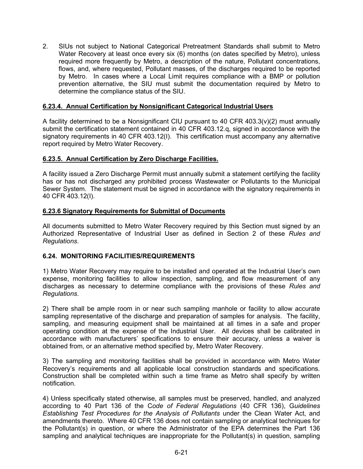2. SIUs not subject to National Categorical Pretreatment Standards shall submit to Metro Water Recovery at least once every six (6) months (on dates specified by Metro), unless required more frequently by Metro, a description of the nature, Pollutant concentrations, flows, and, where requested, Pollutant masses, of the discharges required to be reported by Metro. In cases where a Local Limit requires compliance with a BMP or pollution prevention alternative, the SIU must submit the documentation required by Metro to determine the compliance status of the SIU.

### **6.23.4. Annual Certification by Nonsignificant Categorical Industrial Users**

A facility determined to be a Nonsignificant CIU pursuant to 40 CFR 403.3(v)(2) must annually submit the certification statement contained in 40 CFR 403.12.q, signed in accordance with the signatory requirements in 40 CFR 403.12(I). This certification must accompany any alternative report required by Metro Water Recovery.

### **6.23.5. Annual Certification by Zero Discharge Facilities.**

A facility issued a Zero Discharge Permit must annually submit a statement certifying the facility has or has not discharged any prohibited process Wastewater or Pollutants to the Municipal Sewer System. The statement must be signed in accordance with the signatory requirements in 40 CFR 403.12(I).

# **6.23.6 Signatory Requirements for Submittal of Documents**

All documents submitted to Metro Water Recovery required by this Section must signed by an Authorized Representative of Industrial User as defined in Section 2 of these *Rules and Regulations*.

### **6.24. MONITORING FACILITIES/REQUIREMENTS**

1) Metro Water Recovery may require to be installed and operated at the Industrial User's own expense, monitoring facilities to allow inspection, sampling, and flow measurement of any discharges as necessary to determine compliance with the provisions of these *Rules and Regulations*.

2) There shall be ample room in or near such sampling manhole or facility to allow accurate sampling representative of the discharge and preparation of samples for analysis. The facility, sampling, and measuring equipment shall be maintained at all times in a safe and proper operating condition at the expense of the Industrial User. All devices shall be calibrated in accordance with manufacturers' specifications to ensure their accuracy, unless a waiver is obtained from, or an alternative method specified by, Metro Water Recovery.

3) The sampling and monitoring facilities shall be provided in accordance with Metro Water Recovery's requirements and all applicable local construction standards and specifications. Construction shall be completed within such a time frame as Metro shall specify by written notification.

4) Unless specifically stated otherwise, all samples must be preserved, handled, and analyzed according to 40 Part 136 of the C*ode of Federal Regulations* (40 CFR 136), G*uidelines Establishing Test Procedures for the Analysis of Pollutants* under the Clean Water Act, and amendments thereto. Where 40 CFR 136 does not contain sampling or analytical techniques for the Pollutant(s) in question, or where the Administrator of the EPA determines the Part 136 sampling and analytical techniques are inappropriate for the Pollutant(s) in question, sampling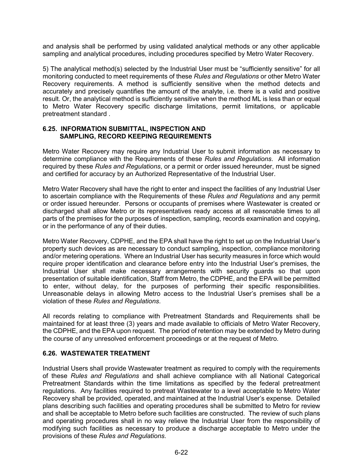and analysis shall be performed by using validated analytical methods or any other applicable sampling and analytical procedures, including procedures specified by Metro Water Recovery.

5) The analytical method(s) selected by the Industrial User must be "sufficiently sensitive" for all monitoring conducted to meet requirements of these *Rules and Regulations* or other Metro Water Recovery requirements. A method is sufficiently sensitive when the method detects and accurately and precisely quantifies the amount of the analyte, i.e. there is a valid and positive result. Or, the analytical method is sufficiently sensitive when the method ML is less than or equal to Metro Water Recovery specific discharge limitations, permit limitations, or applicable pretreatment standard .

### **6.25. INFORMATION SUBMITTAL, INSPECTION AND SAMPLING, RECORD KEEPING REQUIREMENTS**

Metro Water Recovery may require any Industrial User to submit information as necessary to determine compliance with the Requirements of these *Rules and Regulations*. All information required by these *Rules and Regulations*, or a permit or order issued hereunder, must be signed and certified for accuracy by an Authorized Representative of the Industrial User.

Metro Water Recovery shall have the right to enter and inspect the facilities of any Industrial User to ascertain compliance with the Requirements of these *Rules and Regulations* and any permit or order issued hereunder. Persons or occupants of premises where Wastewater is created or discharged shall allow Metro or its representatives ready access at all reasonable times to all parts of the premises for the purposes of inspection, sampling, records examination and copying, or in the performance of any of their duties.

Metro Water Recovery, CDPHE, and the EPA shall have the right to set up on the Industrial User's property such devices as are necessary to conduct sampling, inspection, compliance monitoring and/or metering operations. Where an Industrial User has security measures in force which would require proper identification and clearance before entry into the Industrial User's premises, the Industrial User shall make necessary arrangements with security guards so that upon presentation of suitable identification, Staff from Metro, the CDPHE, and the EPA will be permitted to enter, without delay, for the purposes of performing their specific responsibilities. Unreasonable delays in allowing Metro access to the Industrial User's premises shall be a violation of these *Rules and Regulations*.

All records relating to compliance with Pretreatment Standards and Requirements shall be maintained for at least three (3) years and made available to officials of Metro Water Recovery, the CDPHE, and the EPA upon request. The period of retention may be extended by Metro during the course of any unresolved enforcement proceedings or at the request of Metro.

### **6.26. WASTEWATER TREATMENT**

Industrial Users shall provide Wastewater treatment as required to comply with the requirements of these *Rules and Regulations* and shall achieve compliance with all National Categorical Pretreatment Standards within the time limitations as specified by the federal pretreatment regulations. Any facilities required to pretreat Wastewater to a level acceptable to Metro Water Recovery shall be provided, operated, and maintained at the Industrial User's expense. Detailed plans describing such facilities and operating procedures shall be submitted to Metro for review and shall be acceptable to Metro before such facilities are constructed. The review of such plans and operating procedures shall in no way relieve the Industrial User from the responsibility of modifying such facilities as necessary to produce a discharge acceptable to Metro under the provisions of these *Rules and Regulations*.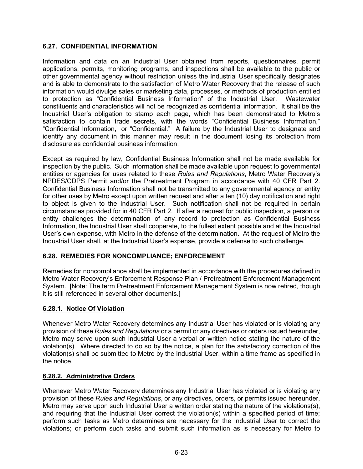## **6.27. CONFIDENTIAL INFORMATION**

Information and data on an Industrial User obtained from reports, questionnaires, permit applications, permits, monitoring programs, and inspections shall be available to the public or other governmental agency without restriction unless the Industrial User specifically designates and is able to demonstrate to the satisfaction of Metro Water Recovery that the release of such information would divulge sales or marketing data, processes, or methods of production entitled to protection as "Confidential Business Information" of the Industrial User. Wastewater constituents and characteristics will not be recognized as confidential information. It shall be the Industrial User's obligation to stamp each page, which has been demonstrated to Metro's satisfaction to contain trade secrets, with the words "Confidential Business Information," "Confidential Information," or "Confidential." A failure by the Industrial User to designate and identify any document in this manner may result in the document losing its protection from disclosure as confidential business information.

Except as required by law, Confidential Business Information shall not be made available for inspection by the public. Such information shall be made available upon request to governmental entities or agencies for uses related to these *Rules and Regulations*, Metro Water Recovery's NPDES/CDPS Permit and/or the Pretreatment Program in accordance with 40 CFR Part 2. Confidential Business Information shall not be transmitted to any governmental agency or entity for other uses by Metro except upon written request and after a ten (10) day notification and right to object is given to the Industrial User. Such notification shall not be required in certain circumstances provided for in 40 CFR Part 2. If after a request for public inspection, a person or entity challenges the determination of any record to protection as Confidential Business Information, the Industrial User shall cooperate, to the fullest extent possible and at the Industrial User's own expense, with Metro in the defense of the determination. At the request of Metro the Industrial User shall, at the Industrial User's expense, provide a defense to such challenge.

### **6.28. REMEDIES FOR NONCOMPLIANCE; ENFORCEMENT**

Remedies for noncompliance shall be implemented in accordance with the procedures defined in Metro Water Recovery's Enforcement Response Plan / Pretreatment Enforcement Management System. [Note: The term Pretreatment Enforcement Management System is now retired, though it is still referenced in several other documents.]

### **6.28.1. Notice Of Violation**

Whenever Metro Water Recovery determines any Industrial User has violated or is violating any provision of these *Rules and Regulations* or a permit or any directives or orders issued hereunder, Metro may serve upon such Industrial User a verbal or written notice stating the nature of the violation(s). Where directed to do so by the notice, a plan for the satisfactory correction of the violation(s) shall be submitted to Metro by the Industrial User, within a time frame as specified in the notice.

### **6.28.2. Administrative Orders**

Whenever Metro Water Recovery determines any Industrial User has violated or is violating any provision of these *Rules and Regulations*, or any directives, orders, or permits issued hereunder, Metro may serve upon such Industrial User a written order stating the nature of the violations(s), and requiring that the Industrial User correct the violation(s) within a specified period of time; perform such tasks as Metro determines are necessary for the Industrial User to correct the violations; or perform such tasks and submit such information as is necessary for Metro to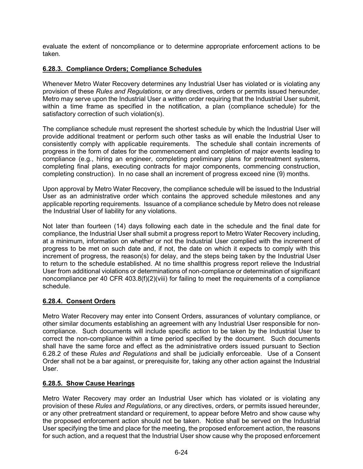evaluate the extent of noncompliance or to determine appropriate enforcement actions to be taken.

# **6.28.3. Compliance Orders; Compliance Schedules**

Whenever Metro Water Recovery determines any Industrial User has violated or is violating any provision of these *Rules and Regulations*, or any directives, orders or permits issued hereunder, Metro may serve upon the Industrial User a written order requiring that the Industrial User submit, within a time frame as specified in the notification, a plan (compliance schedule) for the satisfactory correction of such violation(s).

The compliance schedule must represent the shortest schedule by which the Industrial User will provide additional treatment or perform such other tasks as will enable the Industrial User to consistently comply with applicable requirements. The schedule shall contain increments of progress in the form of dates for the commencement and completion of major events leading to compliance (e.g., hiring an engineer, completing preliminary plans for pretreatment systems, completing final plans, executing contracts for major components, commencing construction, completing construction). In no case shall an increment of progress exceed nine (9) months.

Upon approval by Metro Water Recovery, the compliance schedule will be issued to the Industrial User as an administrative order which contains the approved schedule milestones and any applicable reporting requirements. Issuance of a compliance schedule by Metro does not release the Industrial User of liability for any violations.

Not later than fourteen (14) days following each date in the schedule and the final date for compliance, the Industrial User shall submit a progress report to Metro Water Recovery including, at a minimum, information on whether or not the Industrial User complied with the increment of progress to be met on such date and, if not, the date on which it expects to comply with this increment of progress, the reason(s) for delay, and the steps being taken by the Industrial User to return to the schedule established. At no time shallthis progress report relieve the Industrial User from additional violations or determinations of non-compliance or determination of significant noncompliance per 40 CFR 403.8(f)(2)(viii) for failing to meet the requirements of a compliance schedule.

### **6.28.4. Consent Orders**

Metro Water Recovery may enter into Consent Orders, assurances of voluntary compliance, or other similar documents establishing an agreement with any Industrial User responsible for noncompliance. Such documents will include specific action to be taken by the Industrial User to correct the non-compliance within a time period specified by the document. Such documents shall have the same force and effect as the administrative orders issued pursuant to Section 6.28.2 of these *Rules and Regulations* and shall be judicially enforceable. Use of a Consent Order shall not be a bar against, or prerequisite for, taking any other action against the Industrial User.

### **6.28.5. Show Cause Hearings**

Metro Water Recovery may order an Industrial User which has violated or is violating any provision of these *Rules and Regulations*, or any directives, orders, or permits issued hereunder, or any other pretreatment standard or requirement, to appear before Metro and show cause why the proposed enforcement action should not be taken. Notice shall be served on the Industrial User specifying the time and place for the meeting, the proposed enforcement action, the reasons for such action, and a request that the Industrial User show cause why the proposed enforcement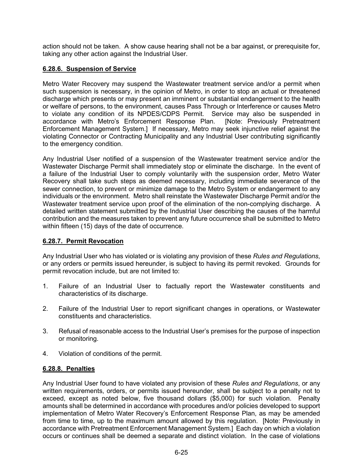action should not be taken. A show cause hearing shall not be a bar against, or prerequisite for, taking any other action against the Industrial User.

# **6.28.6. Suspension of Service**

Metro Water Recovery may suspend the Wastewater treatment service and/or a permit when such suspension is necessary, in the opinion of Metro, in order to stop an actual or threatened discharge which presents or may present an imminent or substantial endangerment to the health or welfare of persons, to the environment, causes Pass Through or Interference or causes Metro to violate any condition of its NPDES/CDPS Permit. Service may also be suspended in accordance with Metro's Enforcement Response Plan. [Note: Previously Pretreatment accordance with Metro's Enforcement Response Plan. Enforcement Management System.] If necessary, Metro may seek injunctive relief against the violating Connector or Contracting Municipality and any Industrial User contributing significantly to the emergency condition.

Any Industrial User notified of a suspension of the Wastewater treatment service and/or the Wastewater Discharge Permit shall immediately stop or eliminate the discharge. In the event of a failure of the Industrial User to comply voluntarily with the suspension order, Metro Water Recovery shall take such steps as deemed necessary, including immediate severance of the sewer connection, to prevent or minimize damage to the Metro System or endangerment to any individuals or the environment. Metro shall reinstate the Wastewater Discharge Permit and/or the Wastewater treatment service upon proof of the elimination of the non-complying discharge. A detailed written statement submitted by the Industrial User describing the causes of the harmful contribution and the measures taken to prevent any future occurrence shall be submitted to Metro within fifteen (15) days of the date of occurrence.

# **6.28.7. Permit Revocation**

Any Industrial User who has violated or is violating any provision of these *Rules and Regulations*, or any orders or permits issued hereunder, is subject to having its permit revoked. Grounds for permit revocation include, but are not limited to:

- 1. Failure of an Industrial User to factually report the Wastewater constituents and characteristics of its discharge.
- 2. Failure of the Industrial User to report significant changes in operations, or Wastewater constituents and characteristics.
- 3. Refusal of reasonable access to the Industrial User's premises for the purpose of inspection or monitoring.
- 4. Violation of conditions of the permit.

# **6.28.8. Penalties**

Any Industrial User found to have violated any provision of these *Rules and Regulations*, or any written requirements, orders, or permits issued hereunder, shall be subject to a penalty not to exceed, except as noted below, five thousand dollars (\$5,000) for such violation. Penalty amounts shall be determined in accordance with procedures and/or policies developed to support implementation of Metro Water Recovery's Enforcement Response Plan, as may be amended from time to time, up to the maximum amount allowed by this regulation.[Note: Previously in accordance with Pretreatment Enforcement Management System.]Each day on which a violation occurs or continues shall be deemed a separate and distinct violation. In the case of violations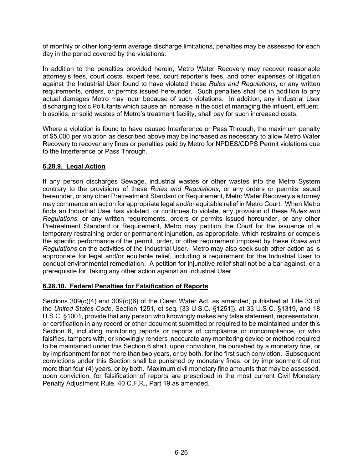of monthly or other long-term average discharge limitations, penalties may be assessed for each day in the period covered by the violations.

In addition to the penalties provided herein, Metro Water Recovery may recover reasonable attorney's fees, court costs, expert fees, court reporter's fees, and other expenses of litigation against the Industrial User found to have violated these *Rules and Regulations*, or any written requirements, orders, or permits issued hereunder. Such penalties shall be in addition to any actual damages Metro may incur because of such violations. In addition, any Industrial User discharging toxic Pollutants which cause an increase in the cost of managing the influent, effluent, biosolids, or solid wastes of Metro's treatment facility, shall pay for such increased costs.

Where a violation is found to have caused Interference or Pass Through, the maximum penalty of \$5,000 per violation as described above may be increased as necessary to allow Metro Water Recovery to recover any fines or penalties paid by Metro for NPDES/CDPS Permit violations due to the Interference or Pass Through.

### **6.28.9. Legal Action**

If any person discharges Sewage, industrial wastes or other wastes into the Metro System contrary to the provisions of these *Rules and Regulations*, or any orders or permits issued hereunder, or any other Pretreatment Standard or Requirement, Metro Water Recovery's attorney may commence an action for appropriate legal and/or equitable relief in Metro Court. When Metro finds an Industrial User has violated, or continues to violate, any provision of these *Rules and Regulations*, or any written requirements, orders or permits issued hereunder, or any other Pretreatment Standard or Requirement, Metro may petition the Court for the issuance of a temporary restraining order or permanent injunction, as appropriate, which restrains or compels the specific performance of the permit, order, or other requirement imposed by these *Rules and Regulations* on the activities of the Industrial User. Metro may also seek such other action as is appropriate for legal and/or equitable relief, including a requirement for the Industrial User to conduct environmental remediation. A petition for injunctive relief shall not be a bar against, or a prerequisite for, taking any other action against an Industrial User.

### **6.28.10. Federal Penalties for Falsification of Reports**

Sections 309(c)(4) and 309(c)(6) of the Clean Water Act, as amended, published at Title 33 of the *United States Code*, Section 1251, et seq. [33 U.S.C. §1251]), at 33 U.S.C. §1319, and 18 U.S.C. §1001, provide that any person who knowingly makes any false statement, representation, or certification in any record or other document submitted or required to be maintained under this Section 6, including monitoring reports or reports of compliance or noncompliance, or who falsifies, tampers with, or knowingly renders inaccurate any monitoring device or method required to be maintained under this Section 6 shall, upon conviction, be punished by a monetary fine, or by imprisonment for not more than two years, or by both, for the first such conviction. Subsequent convictions under this Section shall be punished by monetary fines, or by imprisonment of not more than four (4) years, or by both. Maximum civil monetary fine amounts that may be assessed, upon conviction, for falsification of reports are prescribed in the most current Civil Monetary Penalty Adjustment Rule, 40 C.F.R., Part 19 as amended.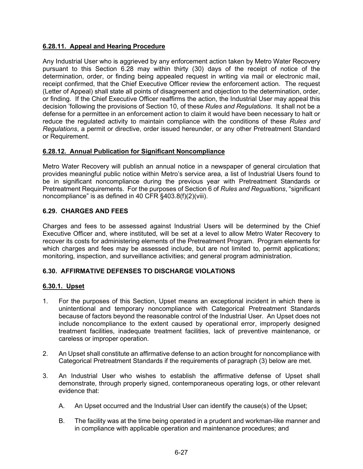# **6.28.11. Appeal and Hearing Procedure**

Any Industrial User who is aggrieved by any enforcement action taken by Metro Water Recovery pursuant to this Section 6.28 may within thirty (30) days of the receipt of notice of the determination, order, or finding being appealed request in writing via mail or electronic mail, receipt confirmed, that the Chief Executive Officer review the enforcement action. The request (Letter of Appeal) shall state all points of disagreement and objection to the determination, order, or finding. If the Chief Executive Officer reaffirms the action, the Industrial User may appeal this decision 'following the provisions of Section 10, of these *Rules and Regulations*. It shall not be a defense for a permittee in an enforcement action to claim it would have been necessary to halt or reduce the regulated activity to maintain compliance with the conditions of these *Rules and Regulations*, a permit or directive, order issued hereunder, or any other Pretreatment Standard or Requirement.

### **6.28.12. Annual Publication for Significant Noncompliance**

Metro Water Recovery will publish an annual notice in a newspaper of general circulation that provides meaningful public notice within Metro's service area, a list of Industrial Users found to be in significant noncompliance during the previous year with Pretreatment Standards or Pretreatment Requirements. For the purposes of Section 6 of *Rules and Regualtions*, "significant noncompliance" is as defined in 40 CFR §403.8(f)(2)(viii).

## **6.29. CHARGES AND FEES**

Charges and fees to be assessed against Industrial Users will be determined by the Chief Executive Officer and, where instituted, will be set at a level to allow Metro Water Recovery to recover its costs for administering elements of the Pretreatment Program. Program elements for which charges and fees may be assessed include, but are not limited to, permit applications; monitoring, inspection, and surveillance activities; and general program administration.

### **6.30. AFFIRMATIVE DEFENSES TO DISCHARGE VIOLATIONS**

### **6.30.1. Upset**

- 1. For the purposes of this Section, Upset means an exceptional incident in which there is unintentional and temporary noncompliance with Categorical Pretreatment Standards because of factors beyond the reasonable control of the Industrial User. An Upset does not include noncompliance to the extent caused by operational error, improperly designed treatment facilities, inadequate treatment facilities, lack of preventive maintenance, or careless or improper operation.
- 2. An Upset shall constitute an affirmative defense to an action brought for noncompliance with Categorical Pretreatment Standards if the requirements of paragraph (3) below are met.
- 3. An Industrial User who wishes to establish the affirmative defense of Upset shall demonstrate, through properly signed, contemporaneous operating logs, or other relevant evidence that:
	- A. An Upset occurred and the Industrial User can identify the cause(s) of the Upset;
	- B. The facility was at the time being operated in a prudent and workman-like manner and in compliance with applicable operation and maintenance procedures; and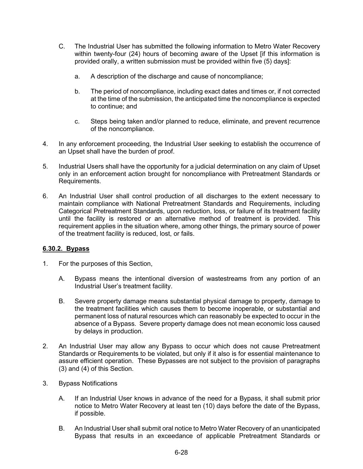- C. The Industrial User has submitted the following information to Metro Water Recovery within twenty-four (24) hours of becoming aware of the Upset [if this information is provided orally, a written submission must be provided within five (5) days]:
	- a. A description of the discharge and cause of noncompliance;
	- b. The period of noncompliance, including exact dates and times or, if not corrected at the time of the submission, the anticipated time the noncompliance is expected to continue; and
	- c. Steps being taken and/or planned to reduce, eliminate, and prevent recurrence of the noncompliance.
- 4. In any enforcement proceeding, the Industrial User seeking to establish the occurrence of an Upset shall have the burden of proof.
- 5. Industrial Users shall have the opportunity for a judicial determination on any claim of Upset only in an enforcement action brought for noncompliance with Pretreatment Standards or Requirements.
- 6. An Industrial User shall control production of all discharges to the extent necessary to maintain compliance with National Pretreatment Standards and Requirements, including Categorical Pretreatment Standards, upon reduction, loss, or failure of its treatment facility until the facility is restored or an alternative method of treatment is provided. This requirement applies in the situation where, among other things, the primary source of power of the treatment facility is reduced, lost, or fails.

### **6.30.2. Bypass**

- 1. For the purposes of this Section,
	- A. Bypass means the intentional diversion of wastestreams from any portion of an Industrial User's treatment facility.
	- B. Severe property damage means substantial physical damage to property, damage to the treatment facilities which causes them to become inoperable, or substantial and permanent loss of natural resources which can reasonably be expected to occur in the absence of a Bypass. Severe property damage does not mean economic loss caused by delays in production.
- 2. An Industrial User may allow any Bypass to occur which does not cause Pretreatment Standards or Requirements to be violated, but only if it also is for essential maintenance to assure efficient operation. These Bypasses are not subject to the provision of paragraphs (3) and (4) of this Section.
- 3. Bypass Notifications
	- A. If an Industrial User knows in advance of the need for a Bypass, it shall submit prior notice to Metro Water Recovery at least ten (10) days before the date of the Bypass, if possible.
	- B. An Industrial User shall submit oral notice to Metro Water Recovery of an unanticipated Bypass that results in an exceedance of applicable Pretreatment Standards or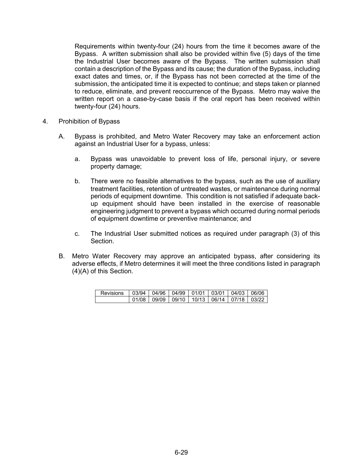Requirements within twenty-four (24) hours from the time it becomes aware of the Bypass. A written submission shall also be provided within five (5) days of the time the Industrial User becomes aware of the Bypass. The written submission shall contain a description of the Bypass and its cause; the duration of the Bypass, including exact dates and times, or, if the Bypass has not been corrected at the time of the submission, the anticipated time it is expected to continue; and steps taken or planned to reduce, eliminate, and prevent reoccurrence of the Bypass. Metro may waive the written report on a case-by-case basis if the oral report has been received within twenty-four (24) hours.

- 4. Prohibition of Bypass
	- A. Bypass is prohibited, and Metro Water Recovery may take an enforcement action against an Industrial User for a bypass, unless:
		- a. Bypass was unavoidable to prevent loss of life, personal injury, or severe property damage;
		- b. There were no feasible alternatives to the bypass, such as the use of auxiliary treatment facilities, retention of untreated wastes, or maintenance during normal periods of equipment downtime. This condition is not satisfied if adequate backup equipment should have been installed in the exercise of reasonable engineering judgment to prevent a bypass which occurred during normal periods of equipment downtime or preventive maintenance; and
		- c. The Industrial User submitted notices as required under paragraph (3) of this Section.
	- B. Metro Water Recovery may approve an anticipated bypass, after considering its adverse effects, if Metro determines it will meet the three conditions listed in paragraph (4)(A) of this Section.

| Revisions | 03/94   04/96   04/99   01/01   03/01   04/03   06/06 |  |  |  |
|-----------|-------------------------------------------------------|--|--|--|
|           | 01/08   09/09   09/10   10/13   06/14   07/18   03/22 |  |  |  |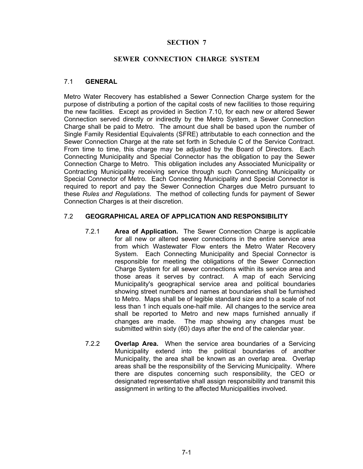# **SECTION 7**

# **SEWER CONNECTION CHARGE SYSTEM**

#### 7.1 **GENERAL**

Metro Water Recovery has established a Sewer Connection Charge system for the purpose of distributing a portion of the capital costs of new facilities to those requiring the new facilities. Except as provided in Section 7.10, for each new or altered Sewer Connection served directly or indirectly by the Metro System, a Sewer Connection Charge shall be paid to Metro. The amount due shall be based upon the number of Single Family Residential Equivalents (SFRE) attributable to each connection and the Sewer Connection Charge at the rate set forth in Schedule C of the Service Contract. From time to time, this charge may be adjusted by the Board of Directors. Each Connecting Municipality and Special Connector has the obligation to pay the Sewer Connection Charge to Metro. This obligation includes any Associated Municipality or Contracting Municipality receiving service through such Connecting Municipality or Special Connector of Metro. Each Connecting Municipality and Special Connector is required to report and pay the Sewer Connection Charges due Metro pursuant to these *Rules and Regulations*. The method of collecting funds for payment of Sewer Connection Charges is at their discretion.

#### 7.2 **GEOGRAPHICAL AREA OF APPLICATION AND RESPONSIBILITY**

- 7.2.1 **Area of Application.** The Sewer Connection Charge is applicable for all new or altered sewer connections in the entire service area from which Wastewater Flow enters the Metro Water Recovery System. Each Connecting Municipality and Special Connector is responsible for meeting the obligations of the Sewer Connection Charge System for all sewer connections within its service area and those areas it serves by contract. A map of each Servicing Municipality's geographical service area and political boundaries showing street numbers and names at boundaries shall be furnished to Metro. Maps shall be of legible standard size and to a scale of not less than 1 inch equals one-half mile. All changes to the service area shall be reported to Metro and new maps furnished annually if changes are made. The map showing any changes must be submitted within sixty (60) days after the end of the calendar year.
- 7.2.2 **Overlap Area.** When the service area boundaries of a Servicing Municipality extend into the political boundaries of another Municipality, the area shall be known as an overlap area. Overlap areas shall be the responsibility of the Servicing Municipality. Where there are disputes concerning such responsibility, the CEO or designated representative shall assign responsibility and transmit this assignment in writing to the affected Municipalities involved.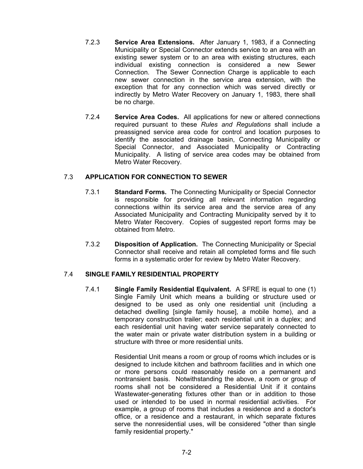- 7.2.3 **Service Area Extensions.** After January 1, 1983, if a Connecting Municipality or Special Connector extends service to an area with an existing sewer system or to an area with existing structures, each individual existing connection is considered a new Sewer Connection. The Sewer Connection Charge is applicable to each new sewer connection in the service area extension, with the exception that for any connection which was served directly or indirectly by Metro Water Recovery on January 1, 1983, there shall be no charge.
- 7.2.4 **Service Area Codes.** All applications for new or altered connections required pursuant to these *Rules and Regulations* shall include a preassigned service area code for control and location purposes to identify the associated drainage basin, Connecting Municipality or Special Connector, and Associated Municipality or Contracting Municipality. A listing of service area codes may be obtained from Metro Water Recovery.

# 7.3 **APPLICATION FOR CONNECTION TO SEWER**

- 7.3.1 **Standard Forms.** The Connecting Municipality or Special Connector is responsible for providing all relevant information regarding connections within its service area and the service area of any Associated Municipality and Contracting Municipality served by it to Metro Water Recovery. Copies of suggested report forms may be obtained from Metro.
- 7.3.2 **Disposition of Application.** The Connecting Municipality or Special Connector shall receive and retain all completed forms and file such forms in a systematic order for review by Metro Water Recovery.

# 7.4 **SINGLE FAMILY RESIDENTIAL PROPERTY**

7.4.1 **Single Family Residential Equivalent.** A SFRE is equal to one (1) Single Family Unit which means a building or structure used or designed to be used as only one residential unit (including a detached dwelling [single family house], a mobile home), and a temporary construction trailer; each residential unit in a duplex; and each residential unit having water service separately connected to the water main or private water distribution system in a building or structure with three or more residential units.

> Residential Unit means a room or group of rooms which includes or is designed to include kitchen and bathroom facilities and in which one or more persons could reasonably reside on a permanent and nontransient basis. Notwithstanding the above, a room or group of rooms shall not be considered a Residential Unit if it contains Wastewater-generating fixtures other than or in addition to those used or intended to be used in normal residential activities. For example, a group of rooms that includes a residence and a doctor's office, or a residence and a restaurant, in which separate fixtures serve the nonresidential uses, will be considered "other than single family residential property."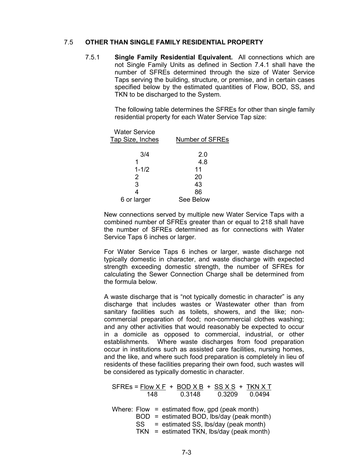#### 7.5 **OTHER THAN SINGLE FAMILY RESIDENTIAL PROPERTY**

7.5.1 **Single Family Residential Equivalent.** All connections which are not Single Family Units as defined in Section 7.4.1 shall have the number of SFREs determined through the size of Water Service Taps serving the building, structure, or premise, and in certain cases specified below by the estimated quantities of Flow, BOD, SS, and TKN to be discharged to the System.

> The following table determines the SFREs for other than single family residential property for each Water Service Tap size:

| <b>Water Service</b><br>Tap Size, Inches | <b>Number of SFREs</b> |
|------------------------------------------|------------------------|
| 3/4                                      | 2.0                    |
|                                          | 4.8                    |
| $1 - 1/2$                                | 11                     |
| 2                                        | 20                     |
| 3                                        | 43                     |
|                                          | 86                     |
| 6 or larger                              | See Below              |
|                                          |                        |

New connections served by multiple new Water Service Taps with a combined number of SFREs greater than or equal to 218 shall have the number of SFREs determined as for connections with Water Service Taps 6 inches or larger.

For Water Service Taps 6 inches or larger, waste discharge not typically domestic in character, and waste discharge with expected strength exceeding domestic strength, the number of SFREs for calculating the Sewer Connection Charge shall be determined from the formula below.

A waste discharge that is "not typically domestic in character" is any discharge that includes wastes or Wastewater other than from sanitary facilities such as toilets, showers, and the like; noncommercial preparation of food; non-commercial clothes washing; and any other activities that would reasonably be expected to occur in a domicile as opposed to commercial, industrial, or other establishments. Where waste discharges from food preparation occur in institutions such as assisted care facilities, nursing homes, and the like, and where such food preparation is completely in lieu of residents of these facilities preparing their own food, such wastes will be considered as typically domestic in character.

 $SFREs = Flow X F + BOD X B + SS X S + TKN X T$ 148 0.3148 0.3209 0.0494 Where: Flow = estimated flow, gpd (peak month) BOD = estimated BOD, lbs/day (peak month) SS = estimated SS, lbs/day (peak month) TKN = estimated TKN, lbs/day (peak month)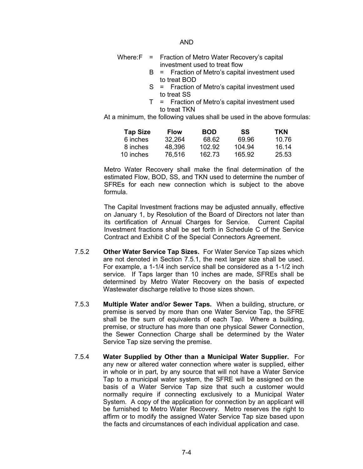#### AND

|  | Where:F = Fraction of Metro Water Recovery's capital |  |
|--|------------------------------------------------------|--|
|  | investment used to treat flow                        |  |

- B = Fraction of Metro's capital investment used to treat BOD
- S = Fraction of Metro's capital investment used to treat SS
- T = Fraction of Metro's capital investment used to treat TKN

At a minimum, the following values shall be used in the above formulas:

| <b>Tap Size</b> | <b>Flow</b> | <b>BOD</b> | SS     | <b>TKN</b> |
|-----------------|-------------|------------|--------|------------|
| 6 inches        | 32.264      | 68.62      | 69.96  | 10.76      |
| 8 inches        | 48.396      | 102.92     | 104.94 | 16.14      |
| 10 inches       | 76,516      | 162.73     | 165.92 | 25.53      |

Metro Water Recovery shall make the final determination of the estimated Flow, BOD, SS, and TKN used to determine the number of SFREs for each new connection which is subject to the above formula.

The Capital Investment fractions may be adjusted annually, effective on January 1, by Resolution of the Board of Directors not later than its certification of Annual Charges for Service. Current Capital Investment fractions shall be set forth in Schedule C of the Service Contract and Exhibit C of the Special Connectors Agreement.

- 7.5.2 **Other Water Service Tap Sizes.** For Water Service Tap sizes which are not denoted in Section 7.5.1, the next larger size shall be used. For example, a 1-1/4 inch service shall be considered as a 1-1/2 inch service. If Taps larger than 10 inches are made, SFREs shall be determined by Metro Water Recovery on the basis of expected Wastewater discharge relative to those sizes shown.
- 7.5.3 **Multiple Water and/or Sewer Taps.** When a building, structure, or premise is served by more than one Water Service Tap, the SFRE shall be the sum of equivalents of each Tap. Where a building, premise, or structure has more than one physical Sewer Connection, the Sewer Connection Charge shall be determined by the Water Service Tap size serving the premise.
- 7.5.4 **Water Supplied by Other than a Municipal Water Supplier.** For any new or altered water connection where water is supplied, either in whole or in part, by any source that will not have a Water Service Tap to a municipal water system, the SFRE will be assigned on the basis of a Water Service Tap size that such a customer would normally require if connecting exclusively to a Municipal Water System. A copy of the application for connection by an applicant will be furnished to Metro Water Recovery. Metro reserves the right to affirm or to modify the assigned Water Service Tap size based upon the facts and circumstances of each individual application and case.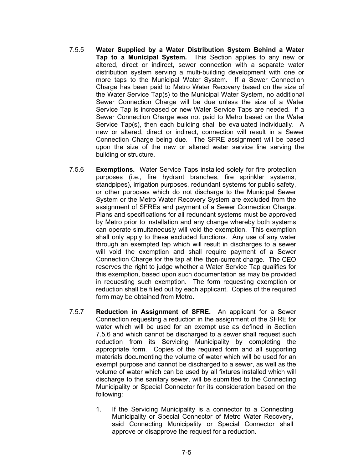- 7.5.5 **Water Supplied by a Water Distribution System Behind a Water Tap to a Municipal System.** This Section applies to any new or altered, direct or indirect, sewer connection with a separate water distribution system serving a multi-building development with one or more taps to the Municipal Water System. If a Sewer Connection Charge has been paid to Metro Water Recovery based on the size of the Water Service Tap(s) to the Municipal Water System, no additional Sewer Connection Charge will be due unless the size of a Water Service Tap is increased or new Water Service Taps are needed. If a Sewer Connection Charge was not paid to Metro based on the Water Service Tap(s), then each building shall be evaluated individually. A new or altered, direct or indirect, connection will result in a Sewer Connection Charge being due. The SFRE assignment will be based upon the size of the new or altered water service line serving the building or structure.
- 7.5.6 **Exemptions.** Water Service Taps installed solely for fire protection purposes (i.e., fire hydrant branches, fire sprinkler systems, standpipes), irrigation purposes, redundant systems for public safety, or other purposes which do not discharge to the Municipal Sewer System or the Metro Water Recovery System are excluded from the assignment of SFREs and payment of a Sewer Connection Charge. Plans and specifications for all redundant systems must be approved by Metro prior to installation and any change whereby both systems can operate simultaneously will void the exemption. This exemption shall only apply to these excluded functions. Any use of any water through an exempted tap which will result in discharges to a sewer will void the exemption and shall require payment of a Sewer Connection Charge for the tap at the then-current charge. The CEO reserves the right to judge whether a Water Service Tap qualifies for this exemption, based upon such documentation as may be provided in requesting such exemption. The form requesting exemption or reduction shall be filled out by each applicant. Copies of the required form may be obtained from Metro.
- 7.5.7 **Reduction in Assignment of SFRE.** An applicant for a Sewer Connection requesting a reduction in the assignment of the SFRE for water which will be used for an exempt use as defined in Section 7.5.6 and which cannot be discharged to a sewer shall request such reduction from its Servicing Municipality by completing the appropriate form. Copies of the required form and all supporting materials documenting the volume of water which will be used for an exempt purpose and cannot be discharged to a sewer, as well as the volume of water which can be used by all fixtures installed which will discharge to the sanitary sewer, will be submitted to the Connecting Municipality or Special Connector for its consideration based on the following:
	- 1. If the Servicing Municipality is a connector to a Connecting Municipality or Special Connector of Metro Water Recovery, said Connecting Municipality or Special Connector shall approve or disapprove the request for a reduction.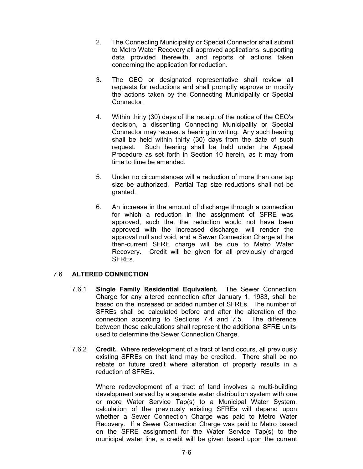- 2. The Connecting Municipality or Special Connector shall submit to Metro Water Recovery all approved applications, supporting data provided therewith, and reports of actions taken concerning the application for reduction.
- 3. The CEO or designated representative shall review all requests for reductions and shall promptly approve or modify the actions taken by the Connecting Municipality or Special Connector.
- 4. Within thirty (30) days of the receipt of the notice of the CEO's decision, a dissenting Connecting Municipality or Special Connector may request a hearing in writing. Any such hearing shall be held within thirty (30) days from the date of such request. Such hearing shall be held under the Appeal Procedure as set forth in Section 10 herein, as it may from time to time be amended.
- 5. Under no circumstances will a reduction of more than one tap size be authorized. Partial Tap size reductions shall not be granted.
- 6. An increase in the amount of discharge through a connection for which a reduction in the assignment of SFRE was approved, such that the reduction would not have been approved with the increased discharge, will render the approval null and void, and a Sewer Connection Charge at the then-current SFRE charge will be due to Metro Water Recovery. Credit will be given for all previously charged SFREs.

# 7.6 **ALTERED CONNECTION**

- 7.6.1 **Single Family Residential Equivalent.** The Sewer Connection Charge for any altered connection after January 1, 1983, shall be based on the increased or added number of SFREs. The number of SFREs shall be calculated before and after the alteration of the connection according to Sections 7.4 and 7.5. The difference between these calculations shall represent the additional SFRE units used to determine the Sewer Connection Charge.
- 7.6.2 **Credit.** Where redevelopment of a tract of land occurs, all previously existing SFREs on that land may be credited. There shall be no rebate or future credit where alteration of property results in a reduction of SFREs.

Where redevelopment of a tract of land involves a multi-building development served by a separate water distribution system with one or more Water Service Tap(s) to a Municipal Water System, calculation of the previously existing SFREs will depend upon whether a Sewer Connection Charge was paid to Metro Water Recovery. If a Sewer Connection Charge was paid to Metro based on the SFRE assignment for the Water Service Tap(s) to the municipal water line, a credit will be given based upon the current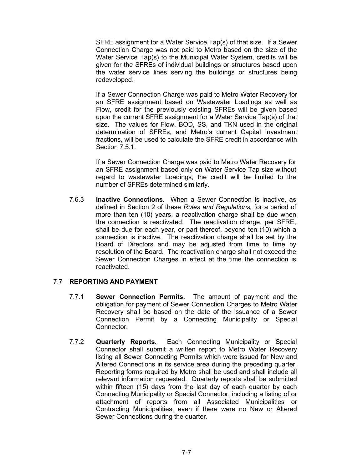SFRE assignment for a Water Service Tap(s) of that size. If a Sewer Connection Charge was not paid to Metro based on the size of the Water Service Tap(s) to the Municipal Water System, credits will be given for the SFREs of individual buildings or structures based upon the water service lines serving the buildings or structures being redeveloped.

If a Sewer Connection Charge was paid to Metro Water Recovery for an SFRE assignment based on Wastewater Loadings as well as Flow, credit for the previously existing SFREs will be given based upon the current SFRE assignment for a Water Service Tap(s) of that size. The values for Flow, BOD, SS, and TKN used in the original determination of SFREs, and Metro's current Capital Investment fractions, will be used to calculate the SFRE credit in accordance with Section 7.5.1.

If a Sewer Connection Charge was paid to Metro Water Recovery for an SFRE assignment based only on Water Service Tap size without regard to wastewater Loadings, the credit will be limited to the number of SFREs determined similarly.

7.6.3 **Inactive Connections.** When a Sewer Connection is inactive, as defined in Section 2 of these *Rules and Regulations,* for a period of more than ten (10) years, a reactivation charge shall be due when the connection is reactivated. The reactivation charge, per SFRE, shall be due for each year, or part thereof, beyond ten (10) which a connection is inactive. The reactivation charge shall be set by the Board of Directors and may be adjusted from time to time by resolution of the Board. The reactivation charge shall not exceed the Sewer Connection Charges in effect at the time the connection is reactivated.

# 7.7 **REPORTING AND PAYMENT**

- 7.7.1 **Sewer Connection Permits.** The amount of payment and the obligation for payment of Sewer Connection Charges to Metro Water Recovery shall be based on the date of the issuance of a Sewer Connection Permit by a Connecting Municipality or Special Connector.
- 7.7.2 **Quarterly Reports.** Each Connecting Municipality or Special Connector shall submit a written report to Metro Water Recovery listing all Sewer Connecting Permits which were issued for New and Altered Connections in its service area during the preceding quarter. Reporting forms required by Metro shall be used and shall include all relevant information requested. Quarterly reports shall be submitted within fifteen (15) days from the last day of each quarter by each Connecting Municipality or Special Connector, including a listing of or attachment of reports from all Associated Municipalities or Contracting Municipalities, even if there were no New or Altered Sewer Connections during the quarter.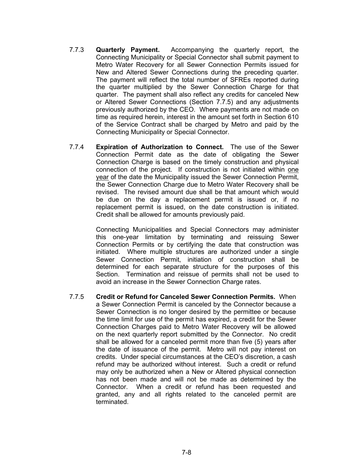- 7.7.3 **Quarterly Payment.** Accompanying the quarterly report, the Connecting Municipality or Special Connector shall submit payment to Metro Water Recovery for all Sewer Connection Permits issued for New and Altered Sewer Connections during the preceding quarter. The payment will reflect the total number of SFREs reported during the quarter multiplied by the Sewer Connection Charge for that quarter. The payment shall also reflect any credits for canceled New or Altered Sewer Connections (Section 7.7.5) and any adjustments previously authorized by the CEO. Where payments are not made on time as required herein, interest in the amount set forth in Section 610 of the Service Contract shall be charged by Metro and paid by the Connecting Municipality or Special Connector.
- 7.7.4 **Expiration of Authorization to Connect.** The use of the Sewer Connection Permit date as the date of obligating the Sewer Connection Charge is based on the timely construction and physical connection of the project. If construction is not initiated within one year of the date the Municipality issued the Sewer Connection Permit, the Sewer Connection Charge due to Metro Water Recovery shall be revised. The revised amount due shall be that amount which would be due on the day a replacement permit is issued or, if no replacement permit is issued, on the date construction is initiated. Credit shall be allowed for amounts previously paid.

 Connecting Municipalities and Special Connectors may administer this one-year limitation by terminating and reissuing Sewer Connection Permits or by certifying the date that construction was initiated. Where multiple structures are authorized under a single Sewer Connection Permit, initiation of construction shall be determined for each separate structure for the purposes of this Section. Termination and reissue of permits shall not be used to avoid an increase in the Sewer Connection Charge rates.

7.7.5 **Credit or Refund for Canceled Sewer Connection Permits.** When a Sewer Connection Permit is canceled by the Connector because a Sewer Connection is no longer desired by the permittee or because the time limit for use of the permit has expired, a credit for the Sewer Connection Charges paid to Metro Water Recovery will be allowed on the next quarterly report submitted by the Connector. No credit shall be allowed for a canceled permit more than five (5) years after the date of issuance of the permit. Metro will not pay interest on credits. Under special circumstances at the CEO's discretion, a cash refund may be authorized without interest. Such a credit or refund may only be authorized when a New or Altered physical connection has not been made and will not be made as determined by the Connector. When a credit or refund has been requested and granted, any and all rights related to the canceled permit are terminated.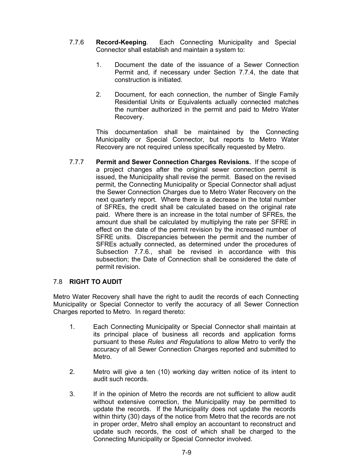- 7.7.6 **Record-Keeping**. Each Connecting Municipality and Special Connector shall establish and maintain a system to:
	- 1. Document the date of the issuance of a Sewer Connection Permit and, if necessary under Section 7.7.4, the date that construction is initiated.
	- 2. Document, for each connection, the number of Single Family Residential Units or Equivalents actually connected matches the number authorized in the permit and paid to Metro Water Recovery.

This documentation shall be maintained by the Connecting Municipality or Special Connector, but reports to Metro Water Recovery are not required unless specifically requested by Metro.

7.7.7 **Permit and Sewer Connection Charges Revisions.** If the scope of a project changes after the original sewer connection permit is issued, the Municipality shall revise the permit. Based on the revised permit, the Connecting Municipality or Special Connector shall adjust the Sewer Connection Charges due to Metro Water Recovery on the next quarterly report. Where there is a decrease in the total number of SFREs, the credit shall be calculated based on the original rate paid. Where there is an increase in the total number of SFREs, the amount due shall be calculated by multiplying the rate per SFRE in effect on the date of the permit revision by the increased number of SFRE units. Discrepancies between the permit and the number of SFREs actually connected, as determined under the procedures of Subsection 7.7.6., shall be revised in accordance with this subsection; the Date of Connection shall be considered the date of permit revision.

# 7.8 **RIGHT TO AUDIT**

Metro Water Recovery shall have the right to audit the records of each Connecting Municipality or Special Connector to verify the accuracy of all Sewer Connection Charges reported to Metro. In regard thereto:

- 1. Each Connecting Municipality or Special Connector shall maintain at its principal place of business all records and application forms pursuant to these *Rules and Regulations* to allow Metro to verify the accuracy of all Sewer Connection Charges reported and submitted to Metro.
- 2. Metro will give a ten (10) working day written notice of its intent to audit such records.
- 3. If in the opinion of Metro the records are not sufficient to allow audit without extensive correction, the Municipality may be permitted to update the records. If the Municipality does not update the records within thirty (30) days of the notice from Metro that the records are not in proper order, Metro shall employ an accountant to reconstruct and update such records, the cost of which shall be charged to the Connecting Municipality or Special Connector involved.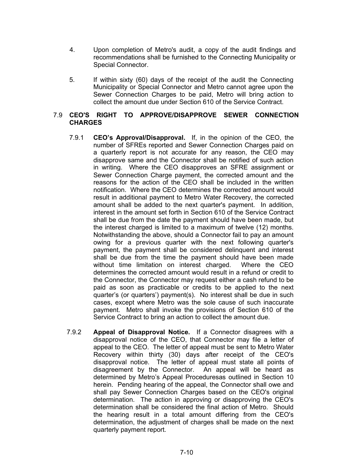- 4. Upon completion of Metro's audit, a copy of the audit findings and recommendations shall be furnished to the Connecting Municipality or Special Connector.
- 5. If within sixty (60) days of the receipt of the audit the Connecting Municipality or Special Connector and Metro cannot agree upon the Sewer Connection Charges to be paid, Metro will bring action to collect the amount due under Section 610 of the Service Contract.

#### 7.9 **CEO'S RIGHT TO APPROVE/DISAPPROVE SEWER CONNECTION CHARGES**

- 7.9.1 **CEO's Approval/Disapproval.** If, in the opinion of the CEO, the number of SFREs reported and Sewer Connection Charges paid on a quarterly report is not accurate for any reason, the CEO may disapprove same and the Connector shall be notified of such action in writing. Where the CEO disapproves an SFRE assignment or Sewer Connection Charge payment, the corrected amount and the reasons for the action of the CEO shall be included in the written notification. Where the CEO determines the corrected amount would result in additional payment to Metro Water Recovery, the corrected amount shall be added to the next quarter's payment. In addition, interest in the amount set forth in Section 610 of the Service Contract shall be due from the date the payment should have been made, but the interest charged is limited to a maximum of twelve (12) months. Notwithstanding the above, should a Connector fail to pay an amount owing for a previous quarter with the next following quarter's payment, the payment shall be considered delinquent and interest shall be due from the time the payment should have been made without time limitation on interest charged. Where the CEO determines the corrected amount would result in a refund or credit to the Connector, the Connector may request either a cash refund to be paid as soon as practicable or credits to be applied to the next quarter's (or quarters') payment(s). No interest shall be due in such cases, except where Metro was the sole cause of such inaccurate payment. Metro shall invoke the provisions of Section 610 of the Service Contract to bring an action to collect the amount due.
- 7.9.2 **Appeal of Disapproval Notice.** If a Connector disagrees with a disapproval notice of the CEO, that Connector may file a letter of appeal to the CEO. The letter of appeal must be sent to Metro Water Recovery within thirty (30) days after receipt of the CEO's disapproval notice. The letter of appeal must state all points of disagreement by the Connector. An appeal will be heard as determined by Metro's Appeal Proceduresas outlined in Section 10 herein. Pending hearing of the appeal, the Connector shall owe and shall pay Sewer Connection Charges based on the CEO's original determination. The action in approving or disapproving the CEO's determination shall be considered the final action of Metro. Should the hearing result in a total amount differing from the CEO's determination, the adjustment of charges shall be made on the next quarterly payment report.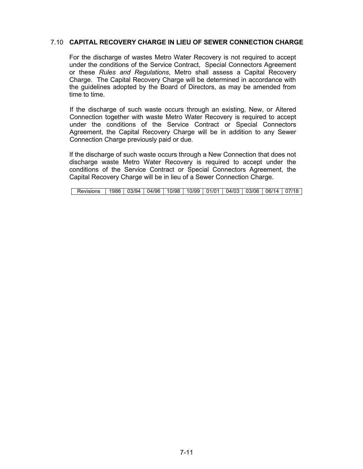#### 7.10 **CAPITAL RECOVERY CHARGE IN LIEU OF SEWER CONNECTION CHARGE**

For the discharge of wastes Metro Water Recovery is not required to accept under the conditions of the Service Contract, Special Connectors Agreement or these *Rules and Regulations*, Metro shall assess a Capital Recovery Charge. The Capital Recovery Charge will be determined in accordance with the guidelines adopted by the Board of Directors, as may be amended from time to time.

If the discharge of such waste occurs through an existing, New, or Altered Connection together with waste Metro Water Recovery is required to accept under the conditions of the Service Contract or Special Connectors Agreement, the Capital Recovery Charge will be in addition to any Sewer Connection Charge previously paid or due.

If the discharge of such waste occurs through a New Connection that does not discharge waste Metro Water Recovery is required to accept under the conditions of the Service Contract or Special Connectors Agreement, the Capital Recovery Charge will be in lieu of a Sewer Connection Charge.

| Revisions |  |  |  |  |  |  |  | <u>  1986   03/94   04/96   10/98   10/99   01/01   04/03   03/06   06/14   07/18  </u> |  |  |
|-----------|--|--|--|--|--|--|--|-----------------------------------------------------------------------------------------|--|--|
|-----------|--|--|--|--|--|--|--|-----------------------------------------------------------------------------------------|--|--|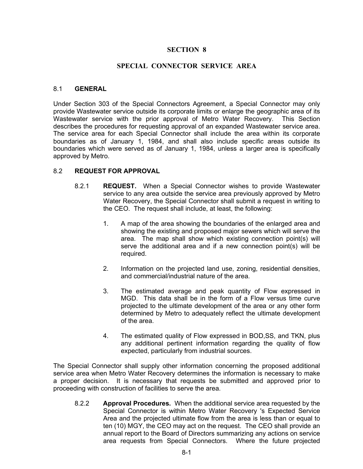# **SECTION 8**

### **SPECIAL CONNECTOR SERVICE AREA**

#### 8.1 **GENERAL**

Under Section 303 of the Special Connectors Agreement, a Special Connector may only provide Wastewater service outside its corporate limits or enlarge the geographic area of its Wastewater service with the prior approval of Metro Water Recovery. This Section describes the procedures for requesting approval of an expanded Wastewater service area. The service area for each Special Connector shall include the area within its corporate boundaries as of January 1, 1984, and shall also include specific areas outside its boundaries which were served as of January 1, 1984, unless a larger area is specifically approved by Metro.

# 8.2 **REQUEST FOR APPROVAL**

- 8.2.1 **REQUEST.** When a Special Connector wishes to provide Wastewater service to any area outside the service area previously approved by Metro Water Recovery, the Special Connector shall submit a request in writing to the CEO. The request shall include, at least, the following:
	- 1. A map of the area showing the boundaries of the enlarged area and showing the existing and proposed major sewers which will serve the area. The map shall show which existing connection point(s) will serve the additional area and if a new connection point(s) will be required.
	- 2. Information on the projected land use, zoning, residential densities, and commercial/industrial nature of the area.
	- 3. The estimated average and peak quantity of Flow expressed in MGD. This data shall be in the form of a Flow versus time curve projected to the ultimate development of the area or any other form determined by Metro to adequately reflect the ultimate development of the area.
	- 4. The estimated quality of Flow expressed in BOD,SS, and TKN, plus any additional pertinent information regarding the quality of flow expected, particularly from industrial sources.

The Special Connector shall supply other information concerning the proposed additional service area when Metro Water Recovery determines the information is necessary to make a proper decision. It is necessary that requests be submitted and approved prior to proceeding with construction of facilities to serve the area.

8.2.2 **Approval Procedures.** When the additional service area requested by the Special Connector is within Metro Water Recovery 's Expected Service Area and the projected ultimate flow from the area is less than or equal to ten (10) MGY, the CEO may act on the request. The CEO shall provide an annual report to the Board of Directors summarizing any actions on service area requests from Special Connectors. Where the future projected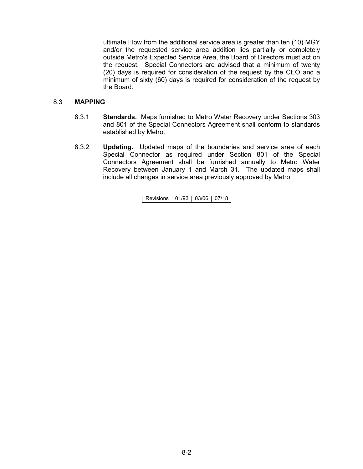ultimate Flow from the additional service area is greater than ten (10) MGY and/or the requested service area addition lies partially or completely outside Metro's Expected Service Area, the Board of Directors must act on the request. Special Connectors are advised that a minimum of twenty (20) days is required for consideration of the request by the CEO and a minimum of sixty (60) days is required for consideration of the request by the Board.

### 8.3 **MAPPING**

- 8.3.1 **Standards.** Maps furnished to Metro Water Recovery under Sections 303 and 801 of the Special Connectors Agreement shall conform to standards established by Metro.
- 8.3.2 **Updating.** Updated maps of the boundaries and service area of each Special Connector as required under Section 801 of the Special Connectors Agreement shall be furnished annually to Metro Water Recovery between January 1 and March 31. The updated maps shall include all changes in service area previously approved by Metro.

Revisions | 01/93 | 03/06 | 07/18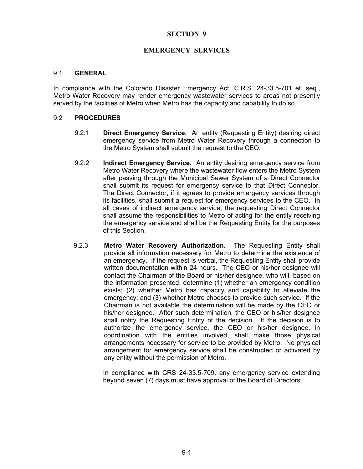# **SECTION 9**

# **EMERGENCY SERVICES**

#### 9.1 **GENERAL**

In compliance with the Colorado Disaster Emergency Act, C.R.S. 24-33.5-701 et. seq., Metro Water Recovery may render emergency wastewater services to areas not presently served by the facilities of Metro when Metro has the capacity and capability to do so.

#### 9.2 **PROCEDURES**

- 9.2.1 **Direct Emergency Service.** An entity (Requesting Entity) desiring direct emergency service from Metro Water Recovery through a connection to the Metro System shall submit the request to the CEO.
- 9.2.2 **Indirect Emergency Service.** An entity desiring emergency service from Metro Water Recovery where the wastewater flow enters the Metro System after passing through the Municipal Sewer System of a Direct Connector shall submit its request for emergency service to that Direct Connector. The Direct Connector, if it agrees to provide emergency services through its facilities, shall submit a request for emergency services to the CEO. In all cases of indirect emergency service, the requesting Direct Connector shall assume the responsibilities to Metro of acting for the entity receiving the emergency service and shall be the Requesting Entity for the purposes of this Section.
- 9.2.3 **Metro Water Recovery Authorization.** The Requesting Entity shall provide all information necessary for Metro to determine the existence of an emergency. If the request is verbal, the Requesting Entity shall provide written documentation within 24 hours. The CEO or his/her designee will contact the Chairman of the Board or his/her designee, who will, based on the information presented, determine (1) whether an emergency condition exists; (2) whether Metro has capacity and capability to alleviate the emergency; and (3) whether Metro chooses to provide such service. If the Chairman is not available the determination will be made by the CEO or his/her designee. After such determination, the CEO or his/her designee shall notify the Requesting Entity of the decision. If the decision is to authorize the emergency service, the CEO or his/her designee, in coordination with the entities involved, shall make those physical arrangements necessary for service to be provided by Metro. No physical arrangement for emergency service shall be constructed or activated by any entity without the permission of Metro.

In compliance with CRS 24-33.5-709, any emergency service extending beyond seven (7) days must have approval of the Board of Directors.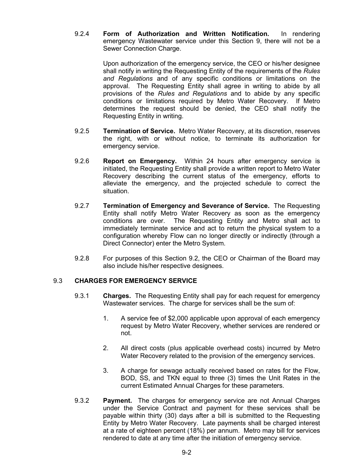9.2.4 **Form of Authorization and Written Notification.** In rendering emergency Wastewater service under this Section 9, there will not be a Sewer Connection Charge.

> Upon authorization of the emergency service, the CEO or his/her designee shall notify in writing the Requesting Entity of the requirements of the *Rules and Regulations* and of any specific conditions or limitations on the approval. The Requesting Entity shall agree in writing to abide by all provisions of the *Rules and Regulations* and to abide by any specific conditions or limitations required by Metro Water Recovery. If Metro determines the request should be denied, the CEO shall notify the Requesting Entity in writing.

- 9.2.5 **Termination of Service.** Metro Water Recovery, at its discretion, reserves the right, with or without notice, to terminate its authorization for emergency service.
- 9.2.6 **Report on Emergency.** Within 24 hours after emergency service is initiated, the Requesting Entity shall provide a written report to Metro Water Recovery describing the current status of the emergency, efforts to alleviate the emergency, and the projected schedule to correct the situation.
- 9.2.7 **Termination of Emergency and Severance of Service.** The Requesting Entity shall notify Metro Water Recovery as soon as the emergency conditions are over. The Requesting Entity and Metro shall act to immediately terminate service and act to return the physical system to a configuration whereby Flow can no longer directly or indirectly (through a Direct Connector) enter the Metro System.
- 9.2.8 For purposes of this Section 9.2, the CEO or Chairman of the Board may also include his/her respective designees.

# 9.3 **CHARGES FOR EMERGENCY SERVICE**

- 9.3.1 **Charges.** The Requesting Entity shall pay for each request for emergency Wastewater services. The charge for services shall be the sum of:
	- 1. A service fee of \$2,000 applicable upon approval of each emergency request by Metro Water Recovery, whether services are rendered or not.
	- 2. All direct costs (plus applicable overhead costs) incurred by Metro Water Recovery related to the provision of the emergency services.
	- 3. A charge for sewage actually received based on rates for the Flow, BOD, SS, and TKN equal to three (3) times the Unit Rates in the current Estimated Annual Charges for these parameters.
- 9.3.2 **Payment.** The charges for emergency service are not Annual Charges under the Service Contract and payment for these services shall be payable within thirty (30) days after a bill is submitted to the Requesting Entity by Metro Water Recovery. Late payments shall be charged interest at a rate of eighteen percent (18%) per annum. Metro may bill for services rendered to date at any time after the initiation of emergency service.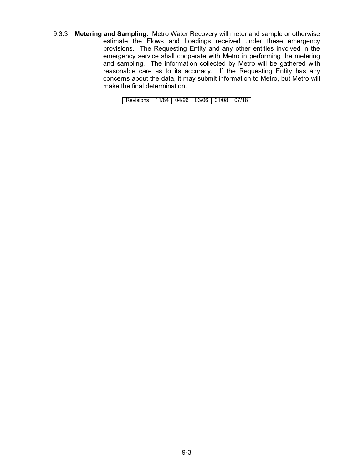9.3.3 **Metering and Sampling.** Metro Water Recovery will meter and sample or otherwise estimate the Flows and Loadings received under these emergency provisions. The Requesting Entity and any other entities involved in the emergency service shall cooperate with Metro in performing the metering and sampling. The information collected by Metro will be gathered with reasonable care as to its accuracy. If the Requesting Entity has any concerns about the data, it may submit information to Metro, but Metro will make the final determination.

| Revisions   11/84   04/96   03/06   01/08   07/18 |  |  |  |
|---------------------------------------------------|--|--|--|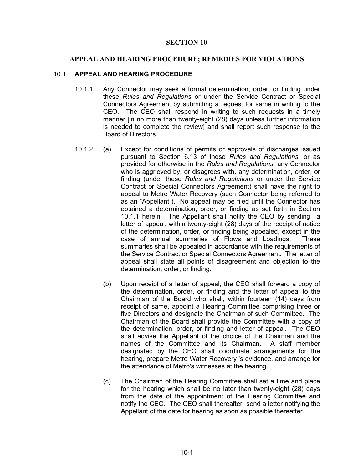# **SECTION 10**

# **APPEAL AND HEARING PROCEDURE; REMEDIES FOR VIOLATIONS**

#### 10.1 **APPEAL AND HEARING PROCEDURE**

- 10.1.1 Any Connector may seek a formal determination, order, or finding under these *Rules and Regulations* or under the Service Contract or Special Connectors Agreement by submitting a request for same in writing to the CEO. The CEO shall respond in writing to such requests in a timely manner [in no more than twenty-eight (28) days unless further information is needed to complete the review] and shall report such response to the Board of Directors.
- 10.1.2 (a) Except for conditions of permits or approvals of discharges issued pursuant to Section 6.13 of these *Rules and Regulations*, or as provided for otherwise in the *Rules and Regulations*, any Connector who is aggrieved by, or disagrees with, any determination, order, or finding (under these *Rules and Regulations* or under the Service Contract or Special Connectors Agreement) shall have the right to appeal to Metro Water Recovery (such Connector being referred to as an "Appellant"). No appeal may be filed until the Connector has obtained a determination, order, or finding as set forth in Section 10.1.1 herein. The Appellant shall notify the CEO by sending a letter of appeal, within twenty-eight (28) days of the receipt of notice of the determination, order, or finding being appealed, except in the case of annual summaries of Flows and Loadings. These summaries shall be appealed in accordance with the requirements of the Service Contract or Special Connectors Agreement. The letter of appeal shall state all points of disagreement and objection to the determination, order, or finding.
	- (b) Upon receipt of a letter of appeal, the CEO shall forward a copy of the determination, order, or finding and the letter of appeal to the Chairman of the Board who shall, within fourteen (14) days from receipt of same, appoint a Hearing Committee comprising three or five Directors and designate the Chairman of such Committee. The Chairman of the Board shall provide the Committee with a copy of the determination, order, or finding and letter of appeal. The CEO shall advise the Appellant of the choice of the Chairman and the names of the Committee and its Chairman. A staff member designated by the CEO shall coordinate arrangements for the hearing, prepare Metro Water Recovery 's evidence, and arrange for the attendance of Metro's witnesses at the hearing.
	- (c) The Chairman of the Hearing Committee shall set a time and place for the hearing which shall be no later than twenty-eight (28) days from the date of the appointment of the Hearing Committee and notify the CEO. The CEO shall thereafter send a letter notifying the Appellant of the date for hearing as soon as possible thereafter.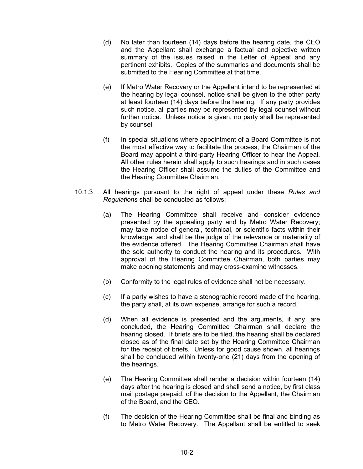- (d) No later than fourteen (14) days before the hearing date, the CEO and the Appellant shall exchange a factual and objective written summary of the issues raised in the Letter of Appeal and any pertinent exhibits. Copies of the summaries and documents shall be submitted to the Hearing Committee at that time.
- (e) If Metro Water Recovery or the Appellant intend to be represented at the hearing by legal counsel, notice shall be given to the other party at least fourteen (14) days before the hearing. If any party provides such notice, all parties may be represented by legal counsel without further notice. Unless notice is given, no party shall be represented by counsel.
- (f) In special situations where appointment of a Board Committee is not the most effective way to facilitate the process, the Chairman of the Board may appoint a third-party Hearing Officer to hear the Appeal. All other rules herein shall apply to such hearings and in such cases the Hearing Officer shall assume the duties of the Committee and the Hearing Committee Chairman.
- 10.1.3 All hearings pursuant to the right of appeal under these *Rules and Regulations* shall be conducted as follows:
	- (a) The Hearing Committee shall receive and consider evidence presented by the appealing party and by Metro Water Recovery; may take notice of general, technical, or scientific facts within their knowledge; and shall be the judge of the relevance or materiality of the evidence offered. The Hearing Committee Chairman shall have the sole authority to conduct the hearing and its procedures. With approval of the Hearing Committee Chairman, both parties may make opening statements and may cross-examine witnesses.
	- (b) Conformity to the legal rules of evidence shall not be necessary.
	- (c) If a party wishes to have a stenographic record made of the hearing, the party shall, at its own expense, arrange for such a record.
	- (d) When all evidence is presented and the arguments, if any, are concluded, the Hearing Committee Chairman shall declare the hearing closed. If briefs are to be filed, the hearing shall be declared closed as of the final date set by the Hearing Committee Chairman for the receipt of briefs. Unless for good cause shown, all hearings shall be concluded within twenty-one (21) days from the opening of the hearings.
	- (e) The Hearing Committee shall render a decision within fourteen (14) days after the hearing is closed and shall send a notice, by first class mail postage prepaid, of the decision to the Appellant, the Chairman of the Board, and the CEO.
	- (f) The decision of the Hearing Committee shall be final and binding as to Metro Water Recovery. The Appellant shall be entitled to seek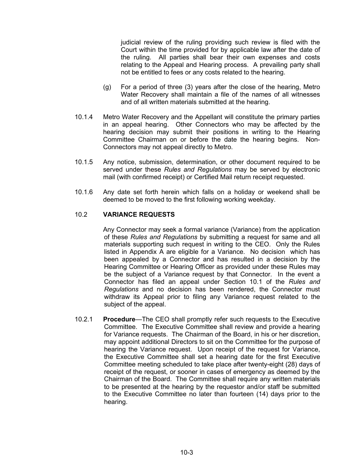judicial review of the ruling providing such review is filed with the Court within the time provided for by applicable law after the date of the ruling. All parties shall bear their own expenses and costs relating to the Appeal and Hearing process. A prevailing party shall not be entitled to fees or any costs related to the hearing.

- (g) For a period of three (3) years after the close of the hearing, Metro Water Recovery shall maintain a file of the names of all witnesses and of all written materials submitted at the hearing.
- 10.1.4 Metro Water Recovery and the Appellant will constitute the primary parties in an appeal hearing. Other Connectors who may be affected by the hearing decision may submit their positions in writing to the Hearing Committee Chairman on or before the date the hearing begins. Non-Connectors may not appeal directly to Metro.
- 10.1.5 Any notice, submission, determination, or other document required to be served under these *Rules and Regulations* may be served by electronic mail (with confirmed receipt) or Certified Mail return receipt requested.
- 10.1.6 Any date set forth herein which falls on a holiday or weekend shall be deemed to be moved to the first following working weekday.

# 10.2 **VARIANCE REQUESTS**

Any Connector may seek a formal variance (Variance) from the application of these *Rules and Regulations* by submitting a request for same and all materials supporting such request in writing to the CEO. Only the Rules listed in Appendix A are eligible for a Variance. No decision which has been appealed by a Connector and has resulted in a decision by the Hearing Committee or Hearing Officer as provided under these Rules may be the subject of a Variance request by that Connector. In the event a Connector has filed an appeal under Section 10.1 of the *Rules and Regulations* and no decision has been rendered, the Connector must withdraw its Appeal prior to filing any Variance request related to the subject of the appeal.

10.2.1 **Procedure**—The CEO shall promptly refer such requests to the Executive Committee. The Executive Committee shall review and provide a hearing for Variance requests. The Chairman of the Board, in his or her discretion, may appoint additional Directors to sit on the Committee for the purpose of hearing the Variance request. Upon receipt of the request for Variance, the Executive Committee shall set a hearing date for the first Executive Committee meeting scheduled to take place after twenty-eight (28) days of receipt of the request, or sooner in cases of emergency as deemed by the Chairman of the Board. The Committee shall require any written materials to be presented at the hearing by the requestor and/or staff be submitted to the Executive Committee no later than fourteen (14) days prior to the hearing.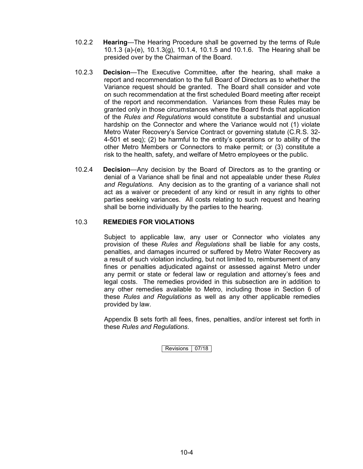- 10.2.2 **Hearing**—The Hearing Procedure shall be governed by the terms of Rule 10.1.3 (a)-(e), 10.1.3(g), 10.1.4, 10.1.5 and 10.1.6. The Hearing shall be presided over by the Chairman of the Board.
- 10.2.3 **Decision**—The Executive Committee, after the hearing, shall make a report and recommendation to the full Board of Directors as to whether the Variance request should be granted. The Board shall consider and vote on such recommendation at the first scheduled Board meeting after receipt of the report and recommendation. Variances from these Rules may be granted only in those circumstances where the Board finds that application of the *Rules and Regulations* would constitute a substantial and unusual hardship on the Connector and where the Variance would not (1) violate Metro Water Recovery's Service Contract or governing statute (C.R.S. 32- 4-501 et seq); (2) be harmful to the entity's operations or to ability of the other Metro Members or Connectors to make permit; or (3) constitute a risk to the health, safety, and welfare of Metro employees or the public.
- 10.2.4 **Decision**—Any decision by the Board of Directors as to the granting or denial of a Variance shall be final and not appealable under these *Rules and Regulations.* Any decision as to the granting of a variance shall not act as a waiver or precedent of any kind or result in any rights to other parties seeking variances. All costs relating to such request and hearing shall be borne individually by the parties to the hearing.

# 10.3 **REMEDIES FOR VIOLATIONS**

Subject to applicable law, any user or Connector who violates any provision of these *Rules and Regulations* shall be liable for any costs, penalties, and damages incurred or suffered by Metro Water Recovery as a result of such violation including, but not limited to, reimbursement of any fines or penalties adjudicated against or assessed against Metro under any permit or state or federal law or regulation and attorney's fees and legal costs. The remedies provided in this subsection are in addition to any other remedies available to Metro, including those in Section 6 of these *Rules and Regulations* as well as any other applicable remedies provided by law.

Appendix B sets forth all fees, fines, penalties, and/or interest set forth in these *Rules and Regulations*.

Revisions 07/18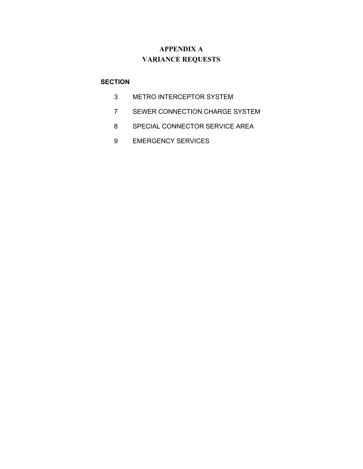# **APPENDIX A VARIANCE REQUESTS**

# **SECTION**

- 3 METRO INTERCEPTOR SYSTEM
- 7 SEWER CONNECTION CHARGE SYSTEM
- 8 SPECIAL CONNECTOR SERVICE AREA
- 9 EMERGENCY SERVICES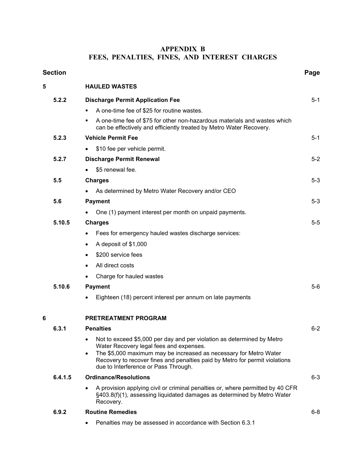# **APPENDIX B FEES, PENALTIES, FINES, AND INTEREST CHARGES**

|   | Section |                                                                                                                                                                                                                  | Page    |
|---|---------|------------------------------------------------------------------------------------------------------------------------------------------------------------------------------------------------------------------|---------|
| 5 |         | <b>HAULED WASTES</b>                                                                                                                                                                                             |         |
|   | 5.2.2   | <b>Discharge Permit Application Fee</b>                                                                                                                                                                          | $5 - 1$ |
|   |         | A one-time fee of \$25 for routine wastes.<br>٠                                                                                                                                                                  |         |
|   |         | A one-time fee of \$75 for other non-hazardous materials and wastes which<br>can be effectively and efficiently treated by Metro Water Recovery.                                                                 |         |
|   | 5.2.3   | <b>Vehicle Permit Fee</b>                                                                                                                                                                                        | $5 - 1$ |
|   |         | \$10 fee per vehicle permit.                                                                                                                                                                                     |         |
|   | 5.2.7   | <b>Discharge Permit Renewal</b>                                                                                                                                                                                  | $5-2$   |
|   |         | \$5 renewal fee.                                                                                                                                                                                                 |         |
|   | 5.5     | <b>Charges</b>                                                                                                                                                                                                   | $5-3$   |
|   |         | As determined by Metro Water Recovery and/or CEO                                                                                                                                                                 |         |
|   | 5.6     | <b>Payment</b>                                                                                                                                                                                                   | $5 - 3$ |
|   |         | One (1) payment interest per month on unpaid payments.                                                                                                                                                           |         |
|   | 5.10.5  | <b>Charges</b>                                                                                                                                                                                                   | $5 - 5$ |
|   |         | Fees for emergency hauled wastes discharge services:                                                                                                                                                             |         |
|   |         | A deposit of \$1,000<br>$\bullet$                                                                                                                                                                                |         |
|   |         | \$200 service fees                                                                                                                                                                                               |         |
|   |         | All direct costs                                                                                                                                                                                                 |         |
|   |         | Charge for hauled wastes                                                                                                                                                                                         |         |
|   | 5.10.6  | <b>Payment</b>                                                                                                                                                                                                   | $5-6$   |
|   |         | Eighteen (18) percent interest per annum on late payments                                                                                                                                                        |         |
| 6 |         | <b>PRETREATMENT PROGRAM</b>                                                                                                                                                                                      |         |
|   | 6.3.1   | <b>Penalties</b>                                                                                                                                                                                                 | $6 - 2$ |
|   |         | Not to exceed \$5,000 per day and per violation as determined by Metro<br>$\bullet$<br>Water Recovery legal fees and expenses.<br>The \$5,000 maximum may be increased as necessary for Metro Water<br>$\bullet$ |         |
|   |         | Recovery to recover fines and penalties paid by Metro for permit violations<br>due to Interference or Pass Through.                                                                                              |         |
|   | 6.4.1.5 | <b>Ordinance/Resolutions</b>                                                                                                                                                                                     | $6 - 3$ |
|   |         | A provision applying civil or criminal penalties or, where permitted by 40 CFR<br>٠<br>§403.8(f)(1), assessing liquidated damages as determined by Metro Water<br>Recovery.                                      |         |
|   | 6.9.2   | <b>Routine Remedies</b>                                                                                                                                                                                          | $6 - 8$ |
|   |         | Penalties may be assessed in accordance with Section 6.3.1                                                                                                                                                       |         |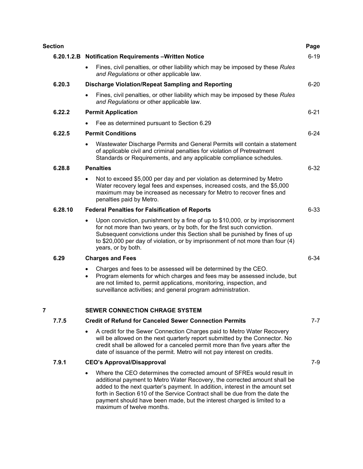|   | <b>Section</b> |                                                                                                                                                                                                                                                                                                                                                                                               | Page     |
|---|----------------|-----------------------------------------------------------------------------------------------------------------------------------------------------------------------------------------------------------------------------------------------------------------------------------------------------------------------------------------------------------------------------------------------|----------|
|   |                | 6.20.1.2.B Notification Requirements - Written Notice                                                                                                                                                                                                                                                                                                                                         | $6 - 19$ |
|   |                | Fines, civil penalties, or other liability which may be imposed by these Rules<br>and Regulations or other applicable law.                                                                                                                                                                                                                                                                    |          |
|   | 6.20.3         | <b>Discharge Violation/Repeat Sampling and Reporting</b>                                                                                                                                                                                                                                                                                                                                      | $6 - 20$ |
|   |                | Fines, civil penalties, or other liability which may be imposed by these Rules<br>and Regulations or other applicable law.                                                                                                                                                                                                                                                                    |          |
|   | 6.22.2         | <b>Permit Application</b>                                                                                                                                                                                                                                                                                                                                                                     | $6 - 21$ |
|   |                | Fee as determined pursuant to Section 6.29                                                                                                                                                                                                                                                                                                                                                    |          |
|   | 6.22.5         | <b>Permit Conditions</b>                                                                                                                                                                                                                                                                                                                                                                      | $6 - 24$ |
|   |                | Wastewater Discharge Permits and General Permits will contain a statement<br>$\bullet$<br>of applicable civil and criminal penalties for violation of Pretreatment<br>Standards or Requirements, and any applicable compliance schedules.                                                                                                                                                     |          |
|   | 6.28.8         | <b>Penalties</b>                                                                                                                                                                                                                                                                                                                                                                              | $6 - 32$ |
|   |                | Not to exceed \$5,000 per day and per violation as determined by Metro<br>$\bullet$<br>Water recovery legal fees and expenses, increased costs, and the \$5,000<br>maximum may be increased as necessary for Metro to recover fines and<br>penalties paid by Metro.                                                                                                                           |          |
|   | 6.28.10        | <b>Federal Penalties for Falsification of Reports</b>                                                                                                                                                                                                                                                                                                                                         | $6 - 33$ |
|   |                | Upon conviction, punishment by a fine of up to \$10,000, or by imprisonment<br>$\bullet$<br>for not more than two years, or by both, for the first such conviction.<br>Subsequent convictions under this Section shall be punished by fines of up<br>to \$20,000 per day of violation, or by imprisonment of not more than four (4)<br>years, or by both.                                     |          |
|   | 6.29           | <b>Charges and Fees</b>                                                                                                                                                                                                                                                                                                                                                                       | $6 - 34$ |
|   |                | Charges and fees to be assessed will be determined by the CEO.<br>$\bullet$<br>Program elements for which charges and fees may be assessed include, but<br>$\bullet$<br>are not limited to, permit applications, monitoring, inspection, and<br>surveillance activities; and general program administration.                                                                                  |          |
| 7 |                | <b>SEWER CONNECTION CHRAGE SYSTEM</b>                                                                                                                                                                                                                                                                                                                                                         |          |
|   | 7.7.5          | <b>Credit of Refund for Canceled Sewer Connection Permits</b>                                                                                                                                                                                                                                                                                                                                 | $7 - 7$  |
|   |                | A credit for the Sewer Connection Charges paid to Metro Water Recovery<br>will be allowed on the next quarterly report submitted by the Connector. No<br>credit shall be allowed for a canceled permit more than five years after the<br>date of issuance of the permit. Metro will not pay interest on credits.                                                                              |          |
|   | 7.9.1          | <b>CEO's Approval/Disapproval</b>                                                                                                                                                                                                                                                                                                                                                             | $7-9$    |
|   |                | Where the CEO determines the corrected amount of SFREs would result in<br>additional payment to Metro Water Recovery, the corrected amount shall be<br>added to the next quarter's payment. In addition, interest in the amount set<br>forth in Section 610 of the Service Contract shall be due from the date the<br>payment should have been made, but the interest charged is limited to a |          |

maximum of twelve months.